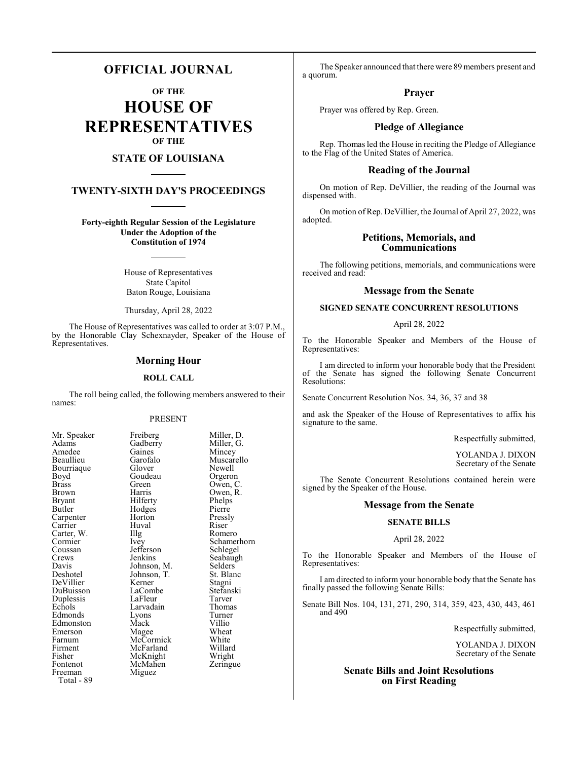# **OFFICIAL JOURNAL**

**OF THE**

**HOUSE OF REPRESENTATIVES OF THE**

# **STATE OF LOUISIANA**

# **TWENTY-SIXTH DAY'S PROCEEDINGS**

**Forty-eighth Regular Session of the Legislature Under the Adoption of the Constitution of 1974**

> House of Representatives State Capitol Baton Rouge, Louisiana

> Thursday, April 28, 2022

The House of Representatives was called to order at 3:07 P.M., by the Honorable Clay Schexnayder, Speaker of the House of Representatives.

#### **Morning Hour**

#### **ROLL CALL**

The roll being called, the following members answered to their names:

#### PRESENT

Boyd Goudeau<br>Brass Green Coussan Jefferson<br>Crews Jenkins Fisher McKnight<br>Fontenot McMahen Freeman Miguez Total - 89

Mr. Speaker Freiberg Miller, D.<br>Adams Gadberry Miller, G. Adams Gadberry Miller, G.<br>Amedee Gaines Mincey Amedee Gaines Mincey<br>Beaullieu Garofalo Muscare Garofalo Muscarello<br>Glover Newell Bourriaque Glover Newell<br>Boyd Goudeau Orgeron Brass Green Owen, C.<br>Brown Harris Owen R Brown Harris Owen, R.<br>Bryant Hilferty Phelps Bryant Hilferty Phelps<br>Butler Hodges Pierre Hodges Pierre<br>
Horton Pressly Carpenter Horton Pressl<br>Carrier Huval Riser Carrier Huval Riser Carter, W. Illg Romero<br>Cormier Ivev Schamer Cormier Ivey Schamerhorn<br>
Coussan Jefferson Schlegel Crews Jenkins Seabaugh<br>
Davis Johnson, M. Selders Davis Johnson, M. Selders<br>Deshotel Johnson, T. St. Blanc Johnson, T. St. Blanch<br>Kerner Stagni DeVillier Kerner Stagni<br>DuBuisson LaCombe Stefanski DuBuisson LaCombe Stefans<br>
Duplessis LaFleur Tarver Duplessis LaFleur Tarver<br>
Echols Larvadain Thomas Larvadain Thoma<br>Lyons Turner Edmonds Lyons Turner<br>Edmonston Mack Villio Edmonston Mack Villio<br>Emerson Magee Wheat Emerson Magee Wheat<br>
Farnum McCormick White Farnum McCormick White<br>Firment McFarland Willard Firment McFarland Willard<br>Fisher McKnight Wright Zeringue

The Speaker announced that there were 89 members present and a quorum.

#### **Prayer**

Prayer was offered by Rep. Green.

# **Pledge of Allegiance**

Rep. Thomas led the House in reciting the Pledge of Allegiance to the Flag of the United States of America.

#### **Reading of the Journal**

On motion of Rep. DeVillier, the reading of the Journal was dispensed with.

On motion of Rep. DeVillier, the Journal of April 27, 2022, was adopted.

## **Petitions, Memorials, and Communications**

The following petitions, memorials, and communications were received and read:

#### **Message from the Senate**

#### **SIGNED SENATE CONCURRENT RESOLUTIONS**

#### April 28, 2022

To the Honorable Speaker and Members of the House of Representatives:

I am directed to inform your honorable body that the President of the Senate has signed the following Senate Concurrent Resolutions:

Senate Concurrent Resolution Nos. 34, 36, 37 and 38

and ask the Speaker of the House of Representatives to affix his signature to the same.

Respectfully submitted,

YOLANDA J. DIXON Secretary of the Senate

The Senate Concurrent Resolutions contained herein were signed by the Speaker of the House.

#### **Message from the Senate**

#### **SENATE BILLS**

#### April 28, 2022

To the Honorable Speaker and Members of the House of Representatives:

I am directed to inform your honorable body that the Senate has finally passed the following Senate Bills:

Senate Bill Nos. 104, 131, 271, 290, 314, 359, 423, 430, 443, 461 and 490

Respectfully submitted,

YOLANDA J. DIXON Secretary of the Senate

# **Senate Bills and Joint Resolutions on First Reading**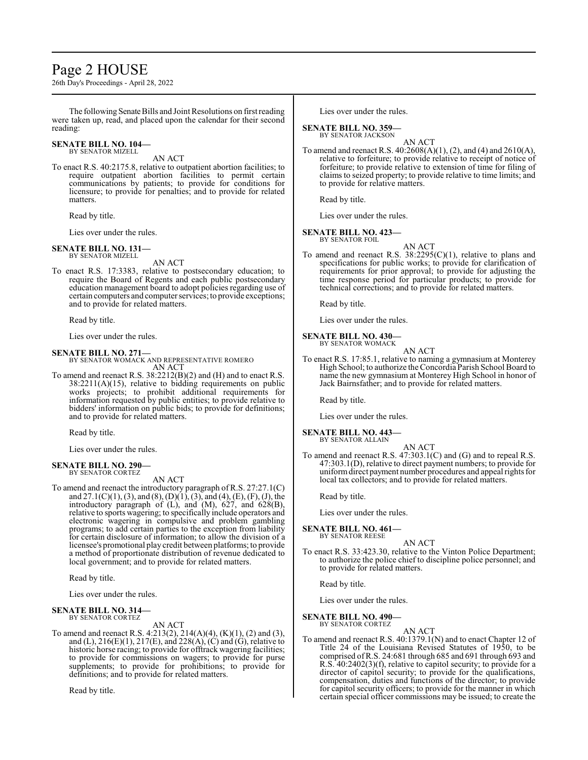# Page 2 HOUSE

26th Day's Proceedings - April 28, 2022

The following Senate Bills and Joint Resolutions on first reading were taken up, read, and placed upon the calendar for their second reading:

#### **SENATE BILL NO. 104—** BY SENATOR MIZELL

AN ACT

To enact R.S. 40:2175.8, relative to outpatient abortion facilities; to require outpatient abortion facilities to permit certain communications by patients; to provide for conditions for licensure; to provide for penalties; and to provide for related matters.

Read by title.

Lies over under the rules.

#### **SENATE BILL NO. 131—**

BY SENATOR MIZELL AN ACT

To enact R.S. 17:3383, relative to postsecondary education; to require the Board of Regents and each public postsecondary education management board to adopt policies regarding use of certain computers and computer services; to provide exceptions; and to provide for related matters.

Read by title.

Lies over under the rules.

# **SENATE BILL NO. 271—**

BY SENATOR WOMACK AND REPRESENTATIVE ROMERO AN ACT

To amend and reenact R.S. 38:2212(B)(2) and (H) and to enact R.S.  $38:2211(A)(15)$ , relative to bidding requirements on public works projects; to prohibit additional requirements for information requested by public entities; to provide relative to bidders' information on public bids; to provide for definitions; and to provide for related matters.

Read by title.

Lies over under the rules.

#### **SENATE BILL NO. 290—** BY SENATOR CORTEZ

AN ACT

To amend and reenact the introductory paragraph of R.S. 27:27.1(C) and  $27.1(C)(1)$ , (3), and (8), (D)(1), (3), and (4), (E), (F), (J), the introductory paragraph of  $(L)$ , and  $(M)$ ,  $627$ , and  $628(B)$ , relative to sports wagering; to specifically include operators and electronic wagering in compulsive and problem gambling programs; to add certain parties to the exception from liability for certain disclosure of information; to allow the division of a licensee's promotional play credit between platforms; to provide a method of proportionate distribution of revenue dedicated to local government; and to provide for related matters.

Read by title.

Lies over under the rules.

#### **SENATE BILL NO. 314—** BY SENATOR CORTEZ

AN ACT

To amend and reenact R.S. 4:213(2), 214(A)(4), (K)(1), (2) and (3), and (L),  $216(E)(1)$ ,  $217(E)$ , and  $228(A)$ , (C) and (G), relative to historic horse racing; to provide for offtrack wagering facilities; to provide for commissions on wagers; to provide for purse supplements; to provide for prohibitions; to provide for definitions; and to provide for related matters.

Read by title.

Lies over under the rules.

# **SENATE BILL NO. 359—**

BY SENATOR JACKSON

- AN ACT
- To amend and reenact R.S. 40:2608(A)(1), (2), and (4) and 2610(A), relative to forfeiture; to provide relative to receipt of notice of forfeiture; to provide relative to extension of time for filing of claims to seized property; to provide relative to time limits; and to provide for relative matters.

Read by title.

Lies over under the rules.

#### **SENATE BILL NO. 423—**

BY SENATOR FOIL

AN ACT To amend and reenact R.S.  $38:2295(C)(1)$ , relative to plans and specifications for public works; to provide for clarification of requirements for prior approval; to provide for adjusting the time response period for particular products; to provide for technical corrections; and to provide for related matters.

Read by title.

Lies over under the rules.

#### **SENATE BILL NO. 430—** BY SENATOR WOMACK

AN ACT

To enact R.S. 17:85.1, relative to naming a gymnasium at Monterey High School; to authorize theConcordia Parish School Board to name the new gymnasium at Monterey High School in honor of Jack Bairnsfather; and to provide for related matters.

Read by title.

Lies over under the rules.

**SENATE BILL NO. 443—** BY SENATOR ALLAIN

AN ACT

To amend and reenact R.S. 47:303.1(C) and (G) and to repeal R.S. 47:303.1(D), relative to direct payment numbers; to provide for uniformdirect payment number procedures and appeal rights for local tax collectors; and to provide for related matters.

Read by title.

Lies over under the rules.

**SENATE BILL NO. 461—** BY SENATOR REESE

AN ACT

To enact R.S. 33:423.30, relative to the Vinton Police Department; to authorize the police chief to discipline police personnel; and to provide for related matters.

Read by title.

Lies over under the rules.

### **SENATE BILL NO. 490—**

BY SENATOR CORTEZ AN ACT

To amend and reenact R.S. 40:1379.1(N) and to enact Chapter 12 of Title 24 of the Louisiana Revised Statutes of 1950, to be comprised ofR.S. 24:681 through 685 and 691 through 693 and R.S. 40:2402(3)(f), relative to capitol security; to provide for a director of capitol security; to provide for the qualifications, compensation, duties and functions of the director; to provide for capitol security officers; to provide for the manner in which certain special officer commissions may be issued; to create the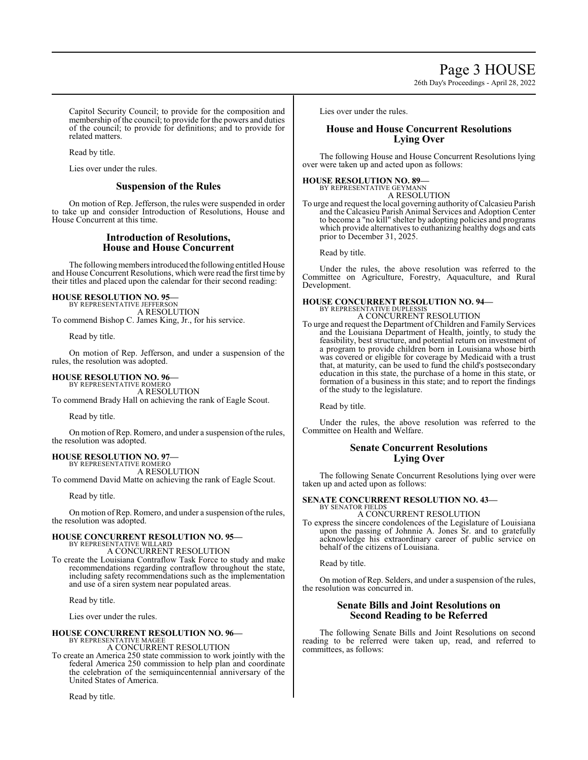Page 3 HOUSE

26th Day's Proceedings - April 28, 2022

Capitol Security Council; to provide for the composition and membership of the council; to provide for the powers and duties of the council; to provide for definitions; and to provide for related matters.

Read by title.

Lies over under the rules.

### **Suspension of the Rules**

On motion of Rep. Jefferson, the rules were suspended in order to take up and consider Introduction of Resolutions, House and House Concurrent at this time.

# **Introduction of Resolutions, House and House Concurrent**

The following members introduced the following entitled House and House Concurrent Resolutions, which were read the first time by their titles and placed upon the calendar for their second reading:

### **HOUSE RESOLUTION NO. 95—**

BY REPRESENTATIVE JEFFERSON A RESOLUTION To commend Bishop C. James King, Jr., for his service.

Read by title.

On motion of Rep. Jefferson, and under a suspension of the rules, the resolution was adopted.

### **HOUSE RESOLUTION NO. 96—**

BY REPRESENTATIVE ROMERO A RESOLUTION

To commend Brady Hall on achieving the rank of Eagle Scout.

Read by title.

On motion of Rep. Romero, and under a suspension of the rules, the resolution was adopted.

# **HOUSE RESOLUTION NO. 97—** BY REPRESENTATIVE ROMERO

A RESOLUTION

To commend David Matte on achieving the rank of Eagle Scout.

Read by title.

On motion of Rep. Romero, and under a suspension of the rules, the resolution was adopted.

#### **HOUSE CONCURRENT RESOLUTION NO. 95—** BY REPRESENTATIVE WILLARD

A CONCURRENT RESOLUTION

To create the Louisiana Contraflow Task Force to study and make recommendations regarding contraflow throughout the state, including safety recommendations such as the implementation and use of a siren system near populated areas.

Read by title.

Lies over under the rules.

#### **HOUSE CONCURRENT RESOLUTION NO. 96—** BY REPRESENTATIVE MAGEE

A CONCURRENT RESOLUTION

To create an America 250 state commission to work jointly with the federal America 250 commission to help plan and coordinate the celebration of the semiquincentennial anniversary of the United States of America.

Read by title.

Lies over under the rules.

# **House and House Concurrent Resolutions Lying Over**

The following House and House Concurrent Resolutions lying over were taken up and acted upon as follows:

#### **HOUSE RESOLUTION NO. 89—**

BY REPRESENTATIVE GEYMANN A RESOLUTION

To urge and request the local governing authority ofCalcasieu Parish and the Calcasieu Parish Animal Services and Adoption Center to become a "no kill" shelter by adopting policies and programs which provide alternatives to euthanizing healthy dogs and cats prior to December 31, 2025.

Read by title.

Under the rules, the above resolution was referred to the Committee on Agriculture, Forestry, Aquaculture, and Rural Development.

#### **HOUSE CONCURRENT RESOLUTION NO. 94—** BY REPRESENTATIVE DUPLESSIS

A CONCURRENT RESOLUTION

To urge and request the Department of Children and Family Services and the Louisiana Department of Health, jointly, to study the feasibility, best structure, and potential return on investment of a program to provide children born in Louisiana whose birth was covered or eligible for coverage by Medicaid with a trust that, at maturity, can be used to fund the child's postsecondary education in this state, the purchase of a home in this state, or formation of a business in this state; and to report the findings of the study to the legislature.

Read by title.

Under the rules, the above resolution was referred to the Committee on Health and Welfare.

# **Senate Concurrent Resolutions Lying Over**

The following Senate Concurrent Resolutions lying over were taken up and acted upon as follows:

# **SENATE CONCURRENT RESOLUTION NO. 43—** BY SENATOR FIELDS

A CONCURRENT RESOLUTION

To express the sincere condolences of the Legislature of Louisiana upon the passing of Johnnie A. Jones Sr. and to gratefully acknowledge his extraordinary career of public service on behalf of the citizens of Louisiana.

Read by title.

On motion of Rep. Selders, and under a suspension of the rules, the resolution was concurred in.

# **Senate Bills and Joint Resolutions on Second Reading to be Referred**

The following Senate Bills and Joint Resolutions on second reading to be referred were taken up, read, and referred to committees, as follows: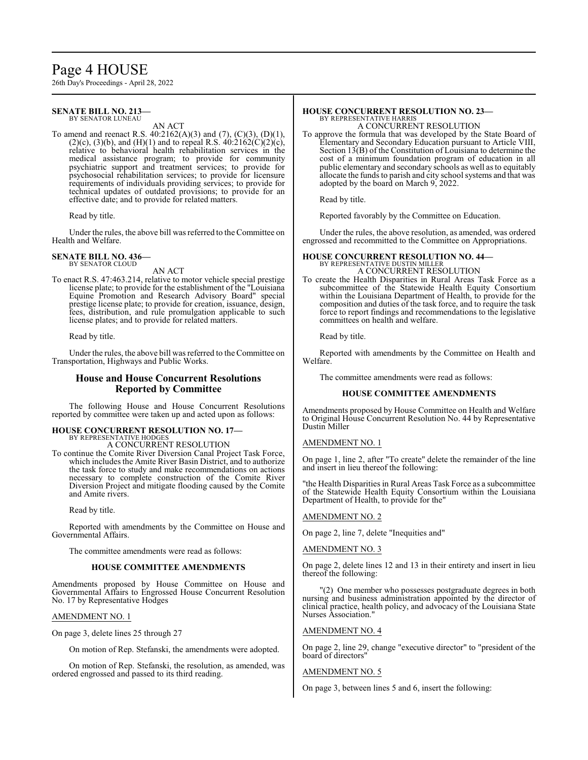# Page 4 HOUSE

26th Day's Proceedings - April 28, 2022

#### **SENATE BILL NO. 213—** BY SENATOR LUNEAU

AN ACT

To amend and reenact R.S. 40:2162(A)(3) and (7), (C)(3), (D)(1), (2)(c), (3)(b), and (H)(1) and to repeal R.S.  $40:2162(C)(2)(c)$ , relative to behavioral health rehabilitation services in the medical assistance program; to provide for community psychiatric support and treatment services; to provide for psychosocial rehabilitation services; to provide for licensure requirements of individuals providing services; to provide for technical updates of outdated provisions; to provide for an effective date; and to provide for related matters.

Read by title.

Under the rules, the above bill was referred to the Committee on Health and Welfare.

#### **SENATE BILL NO. 436—** BY SENATOR CLOUD

AN ACT

To enact R.S. 47:463.214, relative to motor vehicle special prestige license plate; to provide for the establishment of the "Louisiana Equine Promotion and Research Advisory Board" special prestige license plate; to provide for creation, issuance, design, fees, distribution, and rule promulgation applicable to such license plates; and to provide for related matters.

Read by title.

Under the rules, the above bill was referred to the Committee on Transportation, Highways and Public Works.

### **House and House Concurrent Resolutions Reported by Committee**

The following House and House Concurrent Resolutions reported by committee were taken up and acted upon as follows:

#### **HOUSE CONCURRENT RESOLUTION NO. 17—** BY REPRESENTATIVE HODGES

A CONCURRENT RESOLUTION

To continue the Comite River Diversion Canal Project Task Force, which includes the Amite River Basin District, and to authorize the task force to study and make recommendations on actions necessary to complete construction of the Comite River Diversion Project and mitigate flooding caused by the Comite and Amite rivers.

Read by title.

Reported with amendments by the Committee on House and Governmental Affairs.

The committee amendments were read as follows:

#### **HOUSE COMMITTEE AMENDMENTS**

Amendments proposed by House Committee on House and Governmental Affairs to Engrossed House Concurrent Resolution No. 17 by Representative Hodges

#### AMENDMENT NO. 1

On page 3, delete lines 25 through 27

On motion of Rep. Stefanski, the amendments were adopted.

On motion of Rep. Stefanski, the resolution, as amended, was ordered engrossed and passed to its third reading.

#### **HOUSE CONCURRENT RESOLUTION NO. 23—** BY REPRESENTATIVE HARRIS

A CONCURRENT RESOLUTION

To approve the formula that was developed by the State Board of Elementary and Secondary Education pursuant to Article VIII, Section 13(B) of the Constitution of Louisiana to determine the cost of a minimum foundation program of education in all public elementary and secondary schools as well as to equitably allocate the funds to parish and city school systems and that was adopted by the board on March 9, 2022.

Read by title.

Reported favorably by the Committee on Education.

Under the rules, the above resolution, as amended, was ordered engrossed and recommitted to the Committee on Appropriations.

# **HOUSE CONCURRENT RESOLUTION NO. 44—** BY REPRESENTATIVE DUSTIN MILLER

A CONCURRENT RESOLUTION

To create the Health Disparities in Rural Areas Task Force as a subcommittee of the Statewide Health Equity Consortium within the Louisiana Department of Health, to provide for the composition and duties of the task force, and to require the task force to report findings and recommendations to the legislative committees on health and welfare.

Read by title.

Reported with amendments by the Committee on Health and Welfare.

The committee amendments were read as follows:

#### **HOUSE COMMITTEE AMENDMENTS**

Amendments proposed by House Committee on Health and Welfare to Original House Concurrent Resolution No. 44 by Representative Dustin Miller

#### AMENDMENT NO. 1

On page 1, line 2, after "To create" delete the remainder of the line and insert in lieu thereof the following:

"the Health Disparities in Rural Areas Task Force as a subcommittee of the Statewide Health Equity Consortium within the Louisiana Department of Health, to provide for the"

#### AMENDMENT NO. 2

On page 2, line 7, delete "Inequities and"

AMENDMENT NO. 3

On page 2, delete lines 12 and 13 in their entirety and insert in lieu thereof the following:

"(2) One member who possesses postgraduate degrees in both nursing and business administration appointed by the director of clinical practice, health policy, and advocacy of the Louisiana State Nurses Association."

#### AMENDMENT NO. 4

On page 2, line 29, change "executive director" to "president of the board of directors"

#### AMENDMENT NO. 5

On page 3, between lines 5 and 6, insert the following: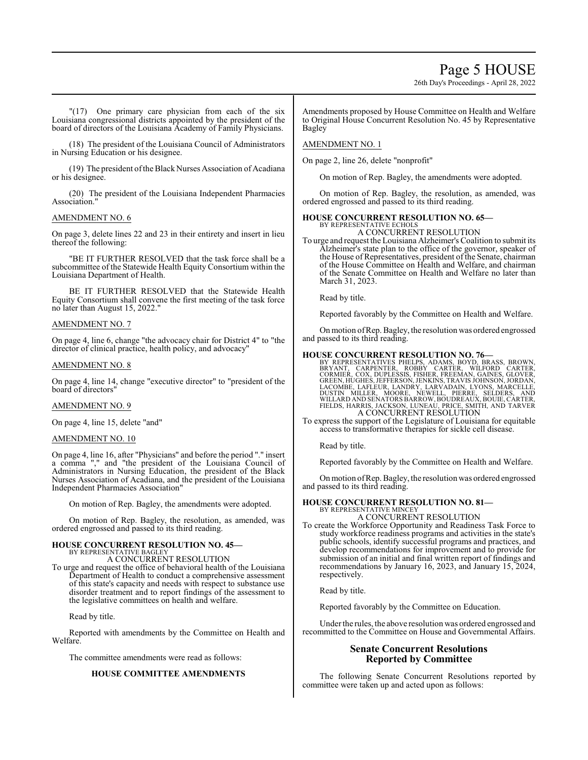# Page 5 HOUSE

26th Day's Proceedings - April 28, 2022

"(17) One primary care physician from each of the six Louisiana congressional districts appointed by the president of the board of directors of the Louisiana Academy of Family Physicians.

(18) The president of the Louisiana Council of Administrators in Nursing Education or his designee.

(19) The president ofthe Black Nurses Association of Acadiana or his designee.

(20) The president of the Louisiana Independent Pharmacies Association."

# AMENDMENT NO. 6

On page 3, delete lines 22 and 23 in their entirety and insert in lieu thereof the following:

"BE IT FURTHER RESOLVED that the task force shall be a subcommittee of the Statewide Health Equity Consortium within the Louisiana Department of Health.

BE IT FURTHER RESOLVED that the Statewide Health Equity Consortium shall convene the first meeting of the task force no later than August 15, 2022."

#### AMENDMENT NO. 7

On page 4, line 6, change "the advocacy chair for District 4" to "the director of clinical practice, health policy, and advocacy"

#### AMENDMENT NO. 8

On page 4, line 14, change "executive director" to "president of the board of directors"

#### AMENDMENT NO. 9

On page 4, line 15, delete "and"

#### AMENDMENT NO. 10

On page 4, line 16, after "Physicians" and before the period "." insert a comma "," and "the president of the Louisiana Council of Administrators in Nursing Education, the president of the Black Nurses Association of Acadiana, and the president of the Louisiana Independent Pharmacies Association"

On motion of Rep. Bagley, the amendments were adopted.

On motion of Rep. Bagley, the resolution, as amended, was ordered engrossed and passed to its third reading.

#### **HOUSE CONCURRENT RESOLUTION NO. 45—** BY REPRESENTATIVE BAGLEY

A CONCURRENT RESOLUTION

To urge and request the office of behavioral health of the Louisiana Department of Health to conduct a comprehensive assessment of this state's capacity and needs with respect to substance use disorder treatment and to report findings of the assessment to the legislative committees on health and welfare.

Read by title.

Reported with amendments by the Committee on Health and Welfare.

The committee amendments were read as follows:

### **HOUSE COMMITTEE AMENDMENTS**

Amendments proposed by House Committee on Health and Welfare to Original House Concurrent Resolution No. 45 by Representative Bagley

#### AMENDMENT NO. 1

On page 2, line 26, delete "nonprofit"

On motion of Rep. Bagley, the amendments were adopted.

On motion of Rep. Bagley, the resolution, as amended, was ordered engrossed and passed to its third reading.

#### **HOUSE CONCURRENT RESOLUTION NO. 65—** BY REPRESENTATIVE ECHOLS

A CONCURRENT RESOLUTION

To urge and request the Louisiana Alzheimer's Coalition to submit its Alzheimer's state plan to the office of the governor, speaker of the House of Representatives, president of the Senate, chairman of the House Committee on Health and Welfare, and chairman of the Senate Committee on Health and Welfare no later than March 31, 2023.

Read by title.

Reported favorably by the Committee on Health and Welfare.

Onmotion ofRep. Bagley, the resolution was ordered engrossed and passed to its third reading.

#### **HOUSE CONCURRENT RESOLUTION NO. 76—**

BY REPRESENTATIVES PHELPS, ADAMS, BOYD, BRASS, BROWN, CARPENER, CORNER, CORNER, CORNER, CORNER, CORNER, CORNER,<br>CORMIER, COX, DUPLESSIS, FISHER, FREEMAN, GAINES, GLOVER,<br>GREEN, HUGHES, JEFFERSON, JENKINS, TRAVIS JOHNSON, J A CONCURRENT RESOLUTION

To express the support of the Legislature of Louisiana for equitable access to transformative therapies for sickle cell disease.

Read by title.

Reported favorably by the Committee on Health and Welfare.

Onmotion ofRep. Bagley, the resolution was ordered engrossed and passed to its third reading.

#### **HOUSE CONCURRENT RESOLUTION NO. 81—** BY REPRESENTATIVE MINCEY

A CONCURRENT RESOLUTION

To create the Workforce Opportunity and Readiness Task Force to study workforce readiness programs and activities in the state's public schools, identify successful programs and practices, and develop recommendations for improvement and to provide for submission of an initial and final written report of findings and recommendations by January 16, 2023, and January 15, 2024, respectively.

Read by title.

Reported favorably by the Committee on Education.

Under the rules, the above resolution was ordered engrossed and recommitted to the Committee on House and Governmental Affairs.

# **Senate Concurrent Resolutions Reported by Committee**

The following Senate Concurrent Resolutions reported by committee were taken up and acted upon as follows: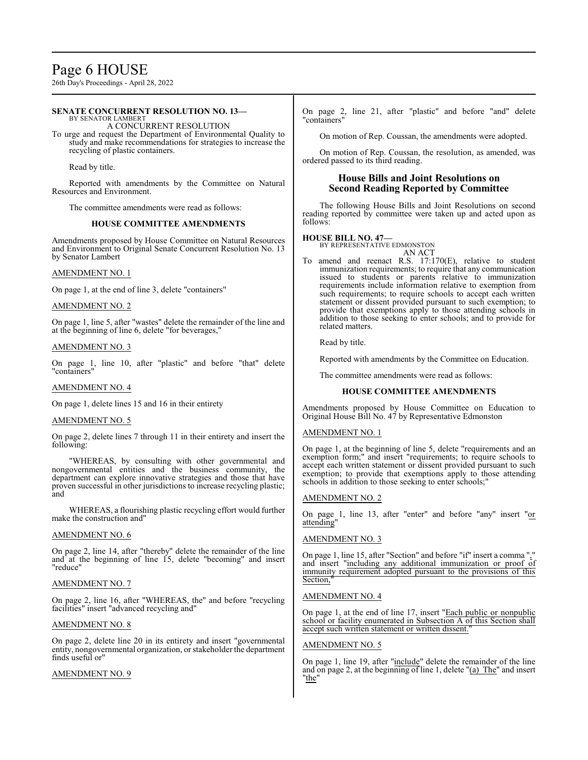# Page 6 HOUSE

26th Day's Proceedings - April 28, 2022

#### **SENATE CONCURRENT RESOLUTION NO. 13—** BY SENATOR LAMBERT

A CONCURRENT RESOLUTION

To urge and request the Department of Environmental Quality to study and make recommendations for strategies to increase the recycling of plastic containers.

Read by title.

Reported with amendments by the Committee on Natural Resources and Environment.

The committee amendments were read as follows:

#### **HOUSE COMMITTEE AMENDMENTS**

Amendments proposed by House Committee on Natural Resources and Environment to Original Senate Concurrent Resolution No. 13 by Senator Lambert

#### AMENDMENT NO. 1

On page 1, at the end of line 3, delete "containers"

#### AMENDMENT NO. 2

On page 1, line 5, after "wastes" delete the remainder of the line and at the beginning of line 6, delete "for beverages,"

### AMENDMENT NO. 3

On page 1, line 10, after "plastic" and before "that" delete "containers"

#### AMENDMENT NO. 4

On page 1, delete lines 15 and 16 in their entirety

#### AMENDMENT NO. 5

On page 2, delete lines 7 through 11 in their entirety and insert the following:

"WHEREAS, by consulting with other governmental and nongovernmental entities and the business community, the department can explore innovative strategies and those that have proven successful in other jurisdictions to increase recycling plastic; and

WHEREAS, a flourishing plastic recycling effort would further make the construction and"

#### AMENDMENT NO. 6

On page 2, line 14, after "thereby" delete the remainder of the line and at the beginning of line 15, delete "becoming" and insert "reduce"

#### AMENDMENT NO. 7

On page 2, line 16, after "WHEREAS, the" and before "recycling facilities" insert "advanced recycling and"

#### AMENDMENT NO. 8

On page 2, delete line 20 in its entirety and insert "governmental entity, nongovernmental organization, or stakeholder the department finds useful or"

### AMENDMENT NO. 9

On page 2, line 21, after "plastic" and before "and" delete "containers"

On motion of Rep. Coussan, the amendments were adopted.

On motion of Rep. Coussan, the resolution, as amended, was ordered passed to its third reading.

### **House Bills and Joint Resolutions on Second Reading Reported by Committee**

The following House Bills and Joint Resolutions on second reading reported by committee were taken up and acted upon as follows:

#### **HOUSE BILL NO. 47—**

BY REPRESENTATIVE EDMONSTON AN ACT

To amend and reenact R.S. 17:170(E), relative to student immunization requirements; to require that any communication issued to students or parents relative to immunization requirements include information relative to exemption from such requirements; to require schools to accept each written statement or dissent provided pursuant to such exemption; to provide that exemptions apply to those attending schools in addition to those seeking to enter schools; and to provide for related matters.

Read by title.

Reported with amendments by the Committee on Education.

The committee amendments were read as follows:

### **HOUSE COMMITTEE AMENDMENTS**

Amendments proposed by House Committee on Education to Original House Bill No. 47 by Representative Edmonston

#### AMENDMENT NO. 1

On page 1, at the beginning of line 5, delete "requirements and an exemption form;" and insert "requirements; to require schools to accept each written statement or dissent provided pursuant to such exemption; to provide that exemptions apply to those attending schools in addition to those seeking to enter schools;"

### AMENDMENT NO. 2

On page 1, line 13, after "enter" and before "any" insert "or attending"

### AMENDMENT NO. 3

On page 1, line 15, after "Section" and before "if" insert a comma "," and insert "including any additional immunization or proof of immunity requirement adopted pursuant to the provisions of this Section,

#### AMENDMENT NO. 4

On page 1, at the end of line 17, insert "Each public or nonpublic school or facility enumerated in Subsection A of this Section shall accept such written statement or written dissent.

#### AMENDMENT NO. 5

On page 1, line 19, after "include" delete the remainder of the line and on page 2, at the beginning of line 1, delete "(a) The" and insert "the"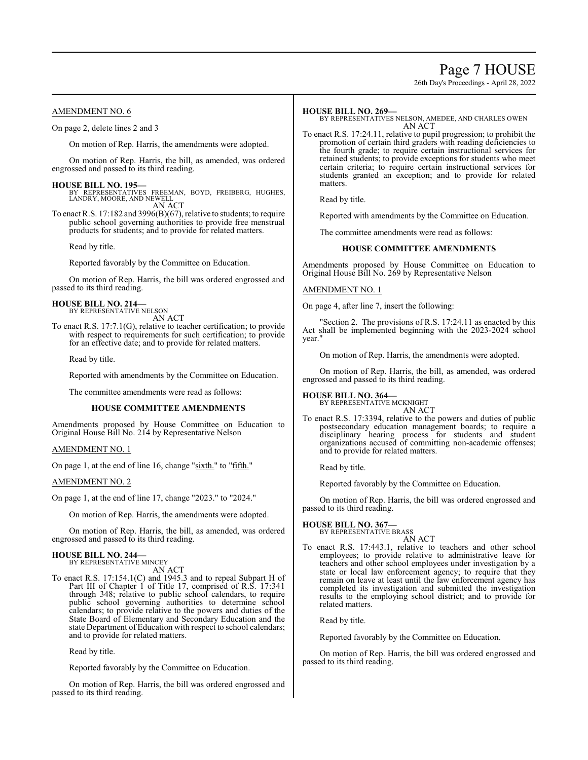# Page 7 HOUSE

26th Day's Proceedings - April 28, 2022

### AMENDMENT NO. 6

On page 2, delete lines 2 and 3

On motion of Rep. Harris, the amendments were adopted.

On motion of Rep. Harris, the bill, as amended, was ordered engrossed and passed to its third reading.

**HOUSE BILL NO. 195—** BY REPRESENTATIVES FREEMAN, BOYD, FREIBERG, HUGHES, LANDRY, MOORE, AND NEWELL AN ACT

To enact R.S. 17:182 and 3996(B)(67), relative to students; to require public school governing authorities to provide free menstrual products for students; and to provide for related matters.

Read by title.

Reported favorably by the Committee on Education.

On motion of Rep. Harris, the bill was ordered engrossed and passed to its third reading.

#### **HOUSE BILL NO. 214—**

BY REPRESENTATIVE NELSON AN ACT

To enact R.S. 17:7.1(G), relative to teacher certification; to provide with respect to requirements for such certification; to provide for an effective date; and to provide for related matters.

Read by title.

Reported with amendments by the Committee on Education.

The committee amendments were read as follows:

#### **HOUSE COMMITTEE AMENDMENTS**

Amendments proposed by House Committee on Education to Original House Bill No. 214 by Representative Nelson

AMENDMENT NO. 1

On page 1, at the end of line 16, change "sixth." to "fifth."

AMENDMENT NO. 2

On page 1, at the end of line 17, change "2023." to "2024."

On motion of Rep. Harris, the amendments were adopted.

On motion of Rep. Harris, the bill, as amended, was ordered engrossed and passed to its third reading.

#### **HOUSE BILL NO. 244—** BY REPRESENTATIVE MINCEY

AN ACT

To enact R.S. 17:154.1(C) and 1945.3 and to repeal Subpart H of Part III of Chapter 1 of Title 17, comprised of R.S. 17:341 through 348; relative to public school calendars, to require public school governing authorities to determine school calendars; to provide relative to the powers and duties of the State Board of Elementary and Secondary Education and the state Department of Education with respect to school calendars; and to provide for related matters.

Read by title.

Reported favorably by the Committee on Education.

On motion of Rep. Harris, the bill was ordered engrossed and passed to its third reading.

#### **HOUSE BILL NO. 269—**

BY REPRESENTATIVES NELSON, AMEDEE, AND CHARLES OWEN AN ACT

To enact R.S. 17:24.11, relative to pupil progression; to prohibit the promotion of certain third graders with reading deficiencies to the fourth grade; to require certain instructional services for retained students; to provide exceptions for students who meet certain criteria; to require certain instructional services for students granted an exception; and to provide for related matters.

Read by title.

Reported with amendments by the Committee on Education.

The committee amendments were read as follows:

#### **HOUSE COMMITTEE AMENDMENTS**

Amendments proposed by House Committee on Education to Original House Bill No. 269 by Representative Nelson

#### AMENDMENT NO. 1

On page 4, after line 7, insert the following:

"Section 2. The provisions of R.S. 17:24.11 as enacted by this Act shall be implemented beginning with the 2023-2024 school year."

On motion of Rep. Harris, the amendments were adopted.

On motion of Rep. Harris, the bill, as amended, was ordered engrossed and passed to its third reading.

**HOUSE BILL NO. 364—** BY REPRESENTATIVE MCKNIGHT AN ACT

To enact R.S. 17:3394, relative to the powers and duties of public postsecondary education management boards; to require a disciplinary hearing process for students and student organizations accused of committing non-academic offenses; and to provide for related matters.

Read by title.

Reported favorably by the Committee on Education.

On motion of Rep. Harris, the bill was ordered engrossed and passed to its third reading.

#### **HOUSE BILL NO. 367—**

BY REPRESENTATIVE BRASS

AN ACT To enact R.S. 17:443.1, relative to teachers and other school employees; to provide relative to administrative leave for teachers and other school employees under investigation by a state or local law enforcement agency; to require that they remain on leave at least until the law enforcement agency has completed its investigation and submitted the investigation results to the employing school district; and to provide for related matters.

Read by title.

Reported favorably by the Committee on Education.

On motion of Rep. Harris, the bill was ordered engrossed and passed to its third reading.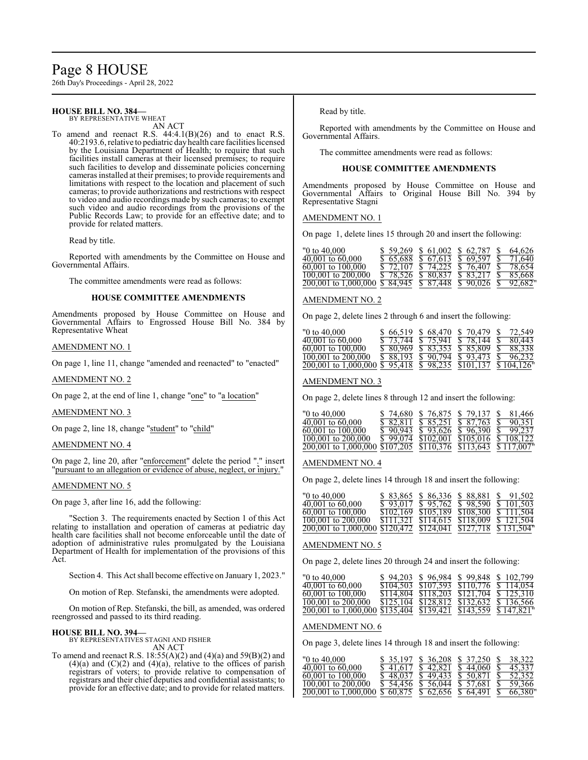# Page 8 HOUSE

26th Day's Proceedings - April 28, 2022

#### **HOUSE BILL NO. 384—** BY REPRESENTATIVE WHEAT

AN ACT

To amend and reenact R.S. 44:4.1(B)(26) and to enact R.S. 40:2193.6, relative to pediatric dayhealth care facilities licensed by the Louisiana Department of Health; to require that such facilities install cameras at their licensed premises; to require such facilities to develop and disseminate policies concerning cameras installed at their premises; to provide requirements and limitations with respect to the location and placement of such cameras; to provide authorizations and restrictions with respect to video and audio recordings made by such cameras; to exempt such video and audio recordings from the provisions of the Public Records Law; to provide for an effective date; and to provide for related matters.

Read by title.

Reported with amendments by the Committee on House and Governmental Affairs.

The committee amendments were read as follows:

#### **HOUSE COMMITTEE AMENDMENTS**

Amendments proposed by House Committee on House and Governmental Affairs to Engrossed House Bill No. 384 by Representative Wheat

#### AMENDMENT NO. 1

On page 1, line 11, change "amended and reenacted" to "enacted"

#### AMENDMENT NO. 2

On page 2, at the end of line 1, change "one" to "a location"

#### AMENDMENT NO. 3

On page 2, line 18, change "student" to "child"

#### AMENDMENT NO. 4

On page 2, line 20, after "enforcement" delete the period "." insert "pursuant to an allegation or evidence of abuse, neglect, or injury."

#### AMENDMENT NO. 5

On page 3, after line 16, add the following:

"Section 3. The requirements enacted by Section 1 of this Act relating to installation and operation of cameras at pediatric day health care facilities shall not become enforceable until the date of adoption of administrative rules promulgated by the Louisiana Department of Health for implementation of the provisions of this Act.

Section 4. This Act shall become effective on January 1, 2023."

On motion of Rep. Stefanski, the amendments were adopted.

On motion of Rep. Stefanski, the bill, as amended, was ordered reengrossed and passed to its third reading.

#### **HOUSE BILL NO. 394—**

BY REPRESENTATIVES STAGNI AND FISHER AN ACT

To amend and reenact R.S.  $18:55(A)(2)$  and  $(4)(a)$  and  $59(B)(2)$  and  $(4)(a)$  and  $(C)(2)$  and  $(4)(a)$ , relative to the offices of parish registrars of voters; to provide relative to compensation of registrars and their chief deputies and confidential assistants; to provide for an effective date; and to provide for related matters.

Read by title.

Reported with amendments by the Committee on House and Governmental Affairs.

The committee amendments were read as follows:

#### **HOUSE COMMITTEE AMENDMENTS**

Amendments proposed by House Committee on House and Governmental Affairs to Original House Bill No. 394 by Representative Stagni

AMENDMENT NO. 1

On page 1, delete lines 15 through 20 and insert the following:

| "0 to 40,000                                                  |  | $$59.269$ \$ 61.002 \$ 62.787 \$                                                            | 64.626 |
|---------------------------------------------------------------|--|---------------------------------------------------------------------------------------------|--------|
| $40.001$ to 60.000                                            |  | $\overline{S}$ 65.688 $\overline{S}$ 67.613 $\overline{S}$ 69.597 $\overline{S}$ 71.640     |        |
| $60.001$ to $100.000$                                         |  | $\overline{\$}$ 72.107 $\overline{\$}$ 74.225 $\overline{\$}$ 76.407 $\overline{\$}$ 78.654 |        |
| 100,001 to 200,000                                            |  | \$ 78,526 \$ 80,837 \$ 83,217 \$ 85,668                                                     |        |
| 200,001 to 1,000,000 \$ 84,945 \$ 87,448 \$ 90,026 \$ 92,682" |  |                                                                                             |        |

#### AMENDMENT NO. 2

On page 2, delete lines 2 through 6 and insert the following:

| $"0$ to $40,000$                                               |  | \$66,519 \$68,470 \$70,479 \$72,549                                                     |  |
|----------------------------------------------------------------|--|-----------------------------------------------------------------------------------------|--|
| $40,001$ to $60,000$                                           |  | $\frac{1}{2}$ 5 73.744 \$ 75.941 \$ 78.144 \$ 80.443                                    |  |
| $60,001$ to $100,000$                                          |  | $\overline{\$80.969}$ $\overline{\$83.353}$ $\overline{\$85.809}$ $\overline{\$88.338}$ |  |
| $\overline{100,001}$ to $200,000$                              |  | $\overline{\$88.193}$ $\overline{\$90.794}$ $\overline{\$93.473}$ $\overline{\$96.232}$ |  |
| 200,001 to 1,000,000 \$ 95,418 \$ 98,235 \$101,137 \$ 104,126" |  |                                                                                         |  |

#### AMENDMENT NO. 3

On page 2, delete lines 8 through 12 and insert the following:

| $"0$ to $40.000"$                                                              |  | \$74,680 \$76,875 \$79,137 \$81,466                                                 |  |
|--------------------------------------------------------------------------------|--|-------------------------------------------------------------------------------------|--|
| $40,001$ to $60,000$                                                           |  | \$ 82.811 \$ 85.251 \$ 87.763 \$ 90.351                                             |  |
| $60,001$ to $100,000$                                                          |  | $\frac{1}{2}$ 90.943 $\frac{1}{3}$ 93.626 $\frac{1}{3}$ 96.390 $\frac{1}{3}$ 99.237 |  |
| $\overline{100.001}$ to 200,000                                                |  | $$99.074$ \$102.001 \$105.016 \$108.122                                             |  |
| $\frac{200,001}{200,001}$ to 1,000,000 \$107,205 \$110,376 \$113,643 \$117,007 |  |                                                                                     |  |

#### AMENDMENT NO. 4

On page 2, delete lines 14 through 18 and insert the following:

| "0 to 40,000                                                  |  | \$ 83.865 \$ 86.336 \$ 88.881 \$ 91.502                                              |
|---------------------------------------------------------------|--|--------------------------------------------------------------------------------------|
| $40.001$ to 60.000                                            |  | $\frac{1}{2}$ 93.017 $\frac{1}{3}$ 95.762 $\frac{1}{3}$ 98.590 $\frac{1}{3}$ 101.503 |
| 60,001 to 100,000                                             |  | $$102,169$ $$105,189$ $$108,300$ $$111,504$                                          |
| $100.001$ to $200.000$                                        |  | $$111.321$ $$114.615$ $$118.009$ $$121.504$                                          |
| 200,001 to 1,000,000 \$120,472 \$124,041 \$127,718 \$131,504" |  |                                                                                      |

#### AMENDMENT NO. 5

On page 2, delete lines 20 through 24 and insert the following:

| "0 to 40,000                                                  | \$94.203 |  | \$96,984 \$99,848 \$102,799                 |
|---------------------------------------------------------------|----------|--|---------------------------------------------|
| $40,001$ to $60,000$                                          |          |  | $$104,503$ $$107,593$ $$110,776$ $$114,054$ |
| $60,001$ to $100,000$                                         |          |  | $$114.804$ $$118.203$ $$121.704$ $$125.310$ |
| 100,001 to 200,000                                            |          |  | \$125,104 \$128,812 \$132,632 \$136,566     |
| 200,001 to 1,000,000 \$135,404 \$139,421 \$143,559 \$147,821" |          |  |                                             |

#### AMENDMENT NO. 6

On page 3, delete lines 14 through 18 and insert the following:

| "0 to 40,000                                                 |          | \$ 35,197 \$ 36,208 | \$ 37.250 \$                            | 38.322 |
|--------------------------------------------------------------|----------|---------------------|-----------------------------------------|--------|
| $40,001$ to $60,000$                                         | \$41.617 | \$42.821            | $$44,060$ \$                            | 45.337 |
| $60,001$ to $100,000$                                        |          | $$48.037$ $$49.433$ | $$50.871$ \$ 52.352                     |        |
| 100,001 to 200,000                                           |          |                     | \$ 54,456 \$ 56,044 \$ 57,681 \$ 59,366 |        |
| 200,001 to 1,000,000 \$ 60,875 \$ 62,656 \$ 64,491 \$ 66,380 |          |                     |                                         |        |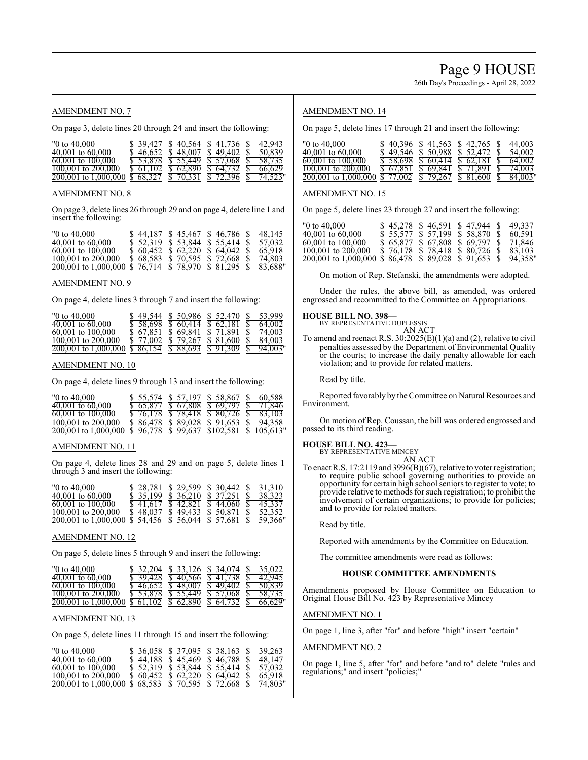# Page 9 HOUSE

26th Day's Proceedings - April 28, 2022

### AMENDMENT NO. 7

On page 3, delete lines 20 through 24 and insert the following:

| "0 to $40,000$ "                                                   |  | \$ 39.427 \$ 40.564 \$ 41.736 \$                            | 42.943  |
|--------------------------------------------------------------------|--|-------------------------------------------------------------|---------|
| $40,001$ to $60,000$                                               |  | $\frac{1}{2}$ 46.652 \, \$ 48.007 \, \$ 49.402 \, \$ 50.839 |         |
| $60,001$ to $100,000$                                              |  | <u>\$53.878 \$55.449 \$57.068 \$58.735</u>                  |         |
| $100,001$ to $200,000$                                             |  | $$61,102$ $$62,890$ $$64,732$ $$$                           | 66.629  |
| $\overline{200,001}$ to 1,000,000 \$ 68,327 \$ 70,331 \$ 72,396 \$ |  |                                                             | 74.523" |

#### AMENDMENT NO. 8

On page 3, delete lines 26 through 29 and on page 4, delete line 1 and insert the following:

| $"0$ to $40,000$                                                           |  | \$44,187 \$45,467 \$46,786 \$48,145                                                         |  |
|----------------------------------------------------------------------------|--|---------------------------------------------------------------------------------------------|--|
| $40,001$ to $60,000$                                                       |  | $\overline{\$}$ 52.319 $\overline{\$}$ 53.844 $\overline{\$}$ 55.414 $\overline{\$}$ 57.032 |  |
| 60,001 to 100,000                                                          |  | $$60.452$ \$62.220 \$64.042 \$65.918                                                        |  |
| $100,001$ to $200,000$                                                     |  | $\frac{1}{2}$ 68.583 \$ 70.595 \$ 72.668 \$ 74.803                                          |  |
| $\overline{200,001}$ to 1,000,000 \$ 76,714 \$ 78,970 \$ 81,295 \$ 83,688" |  |                                                                                             |  |

#### AMENDMENT NO. 9

On page 4, delete lines 3 through 7 and insert the following:

| $"0$ to $40.000"$                                                          |                   | $$49.544 \& 50.986 \& 52.470 \&$              | 53.999 |
|----------------------------------------------------------------------------|-------------------|-----------------------------------------------|--------|
| $40,001$ to $60,000$                                                       |                   | \$58.698 \$60.414 \$62.181 \$                 | 64.002 |
| $60,001$ to 100,000                                                        | \$67.851 \$69.841 | \$ 71.891 \$ 74.003                           |        |
| 100,001 to 200,000                                                         |                   | $\frac{$77.002}{$79.267}$ \$ 81.600 \$ 84.003 |        |
| $\overline{200,001}$ to 1,000,000 \$ 86,154 \$ 88,693 \$ 91,309 \$ 94,003" |                   |                                               |        |

#### AMENDMENT NO. 10

On page 4, delete lines 9 through 13 and insert the following:

| $"0$ to $40.000"$                                                           |                     | \$ 55.574 \$ 57.197 \$ 58.867 \$                                                            | 60.588 |
|-----------------------------------------------------------------------------|---------------------|---------------------------------------------------------------------------------------------|--------|
| $40,001$ to $60,000$                                                        |                     | $\overline{S}$ 65.877 $\overline{S}$ 67.808 $\overline{S}$ 69.797 $\overline{S}$ 71.846     |        |
| $60,001$ to $100,000$                                                       |                     | $\overline{\$}$ 76.178 $\overline{\$}$ 78.418 $\overline{\$}$ 80.726 $\overline{\$}$ 83.103 |        |
| 100,001 to 200,000                                                          | $$86.478$ $$89.028$ | $$91.653$ \$ $94.358$                                                                       |        |
| $\overline{200,001}$ to 1,000,000 \$ 96,778 \$ 99,637 \$102,581 \$ 105,613" |                     |                                                                                             |        |

#### AMENDMENT NO. 11

On page 4, delete lines 28 and 29 and on page 5, delete lines 1 through 3 and insert the following:

| $"0$ to $40.000"$                                                          | \$28,781          | \$29.599            | \$ 30.442 \$        | 31.310 |
|----------------------------------------------------------------------------|-------------------|---------------------|---------------------|--------|
| $40,001$ to $60,000$                                                       |                   | $$35.199$ $$36.210$ | \$ 37.251 \$        | 38.323 |
| $60,001$ to $100,000$                                                      | \$41,617 \$42,821 |                     | \$44,060 \$45,337   |        |
| 100,001 to 200,000                                                         |                   | $$48.037$ \$49.433  | \$ 50.871 \$ 52.352 |        |
| $\overline{200,001}$ to 1,000,000 \$ 54,456 \$ 56,044 \$ 57,681 \$ 59,366" |                   |                     |                     |        |

#### AMENDMENT NO. 12

On page 5, delete lines 5 through 9 and insert the following:

| $"0$ to $40,000$                                               |                     | \$ 32,204 \$ 33,126 \$ 34,074 \$                                                            | 35.022 |
|----------------------------------------------------------------|---------------------|---------------------------------------------------------------------------------------------|--------|
| $40,001$ to $60,000$                                           |                     | $$39.428 \text{ } $40.566 \text{ } $41.738 \text{ } $5$                                     | 42.945 |
| $60,001$ to $100,000$                                          | $$46.652$ $$48.007$ | $$49,402$ \$ 50.839                                                                         |        |
| $100,001$ to $200,000$                                         |                     | $\overline{\$}$ 53.878 $\overline{\$}$ 55.449 $\overline{\$}$ 57.068 $\overline{\$}$ 58.735 |        |
| $200,001$ to 1,000,000 \$ 61,102 \$ 62,890 \$ 64,732 \$ 66,629 |                     |                                                                                             |        |

#### AMENDMENT NO. 13

On page 5, delete lines 11 through 15 and insert the following:

| $"0 \text{ to } 40.000$                                       |  | \$ 36,058 \$ 37,095 \$ 38,163 \$ 39,263                                                     |        |
|---------------------------------------------------------------|--|---------------------------------------------------------------------------------------------|--------|
| $40,001$ to $60,000$                                          |  | \$ 44,188 \$ 45,469 \$ 46,788 \$                                                            | 48.147 |
| $60,001$ to $100,000$                                         |  | $\overline{\$}$ 52.319 $\overline{\$}$ 53.844 $\overline{\$}$ 55.414 $\overline{\$}$ 57.032 |        |
| $100,001$ to $200,000$                                        |  | $$60.452 \text{ } $62.220 \text{ } $64.042 \text{ } $65.918$                                |        |
| 200,001 to 1,000,000 \$ 68,583 \$ 70,595 \$ 72,668 \$ 74,803" |  |                                                                                             |        |

### AMENDMENT NO. 14

On page 5, delete lines 17 through 21 and insert the following:

| "0 to $40,000$ "                                                                                    | $$40.396 \text{ } $41.563$ | \$42.765                                                                         | - 8 | 44,003    |
|-----------------------------------------------------------------------------------------------------|----------------------------|----------------------------------------------------------------------------------|-----|-----------|
| $40.001$ to $60.000$                                                                                | $$49.546$ $$50.988$        | \$ 52.472 \$ 54.002                                                              |     |           |
| 60,001 to 100,000                                                                                   |                            | $\frac{1}{2}$ 58.698 \$ 60.414 \$ 62.181 \$ 64.002                               |     |           |
| $100,001$ to $200,000$                                                                              |                            | $\overline{S}$ 67.851 $\overline{S}$ 69.841 $\overline{S}$ 71.891 $\overline{S}$ |     | 74.003    |
| $\overline{200,001}$ to 1,000,000 $\overline{5}$ 77,002 $\overline{5}$ 79,267 $\overline{5}$ 81,600 |                            |                                                                                  |     | \$84.003" |

#### AMENDMENT NO. 15

On page 5, delete lines 23 through 27 and insert the following:

| $"0$ to $40.000"$                                                          | \$45.278  | \$46.591  | \$47.944                                | 49.337 |
|----------------------------------------------------------------------------|-----------|-----------|-----------------------------------------|--------|
| $40.001$ to $60.000$                                                       | \$ 55,577 | \$ 57.199 | \$58.870                                | 60.591 |
| $60,001$ to $100,000$                                                      |           |           | \$ 65,877 \$ 67,808 \$ 69,797 \$ 71,846 |        |
| 100,001 to 200,000                                                         |           |           | \$ 76,178 \$ 78,418 \$ 80,726 \$ 83,103 |        |
| $\overline{200,001}$ to 1,000,000 \$ 86,478 \$ 89,028 \$ 91,653 \$ 94,358" |           |           |                                         |        |

On motion of Rep. Stefanski, the amendments were adopted.

Under the rules, the above bill, as amended, was ordered engrossed and recommitted to the Committee on Appropriations.

#### **HOUSE BILL NO. 398—**

BY REPRESENTATIVE DUPLESSIS

- AN ACT
- To amend and reenact R.S.  $30:2025(E)(1)(a)$  and (2), relative to civil penalties assessed by the Department of Environmental Quality or the courts; to increase the daily penalty allowable for each violation; and to provide for related matters.

Read by title.

Reported favorably by the Committee on Natural Resources and Environment.

On motion of Rep. Coussan, the bill was ordered engrossed and passed to its third reading.

#### **HOUSE BILL NO. 423—**

BY REPRESENTATIVE MINCEY

- AN ACT
- To enact R.S. 17:2119 and 3996(B)(67), relative to voter registration; to require public school governing authorities to provide an opportunity for certain high school seniors to register to vote; to provide relative to methods for such registration; to prohibit the involvement of certain organizations; to provide for policies; and to provide for related matters.

Read by title.

Reported with amendments by the Committee on Education.

The committee amendments were read as follows:

#### **HOUSE COMMITTEE AMENDMENTS**

Amendments proposed by House Committee on Education to Original House Bill No. 423 by Representative Mincey

#### AMENDMENT NO. 1

On page 1, line 3, after "for" and before "high" insert "certain"

#### AMENDMENT NO. 2

On page 1, line 5, after "for" and before "and to" delete "rules and regulations;" and insert "policies;"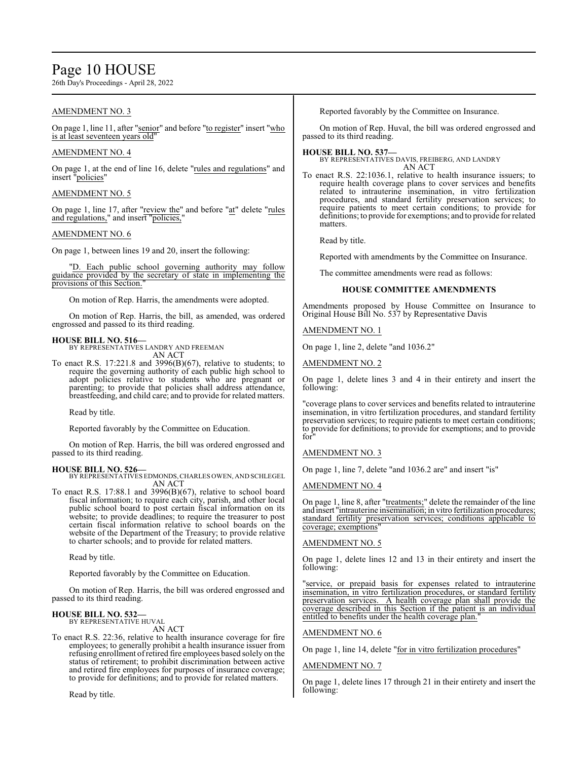# Page 10 HOUSE

26th Day's Proceedings - April 28, 2022

### AMENDMENT NO. 3

On page 1, line 11, after "senior" and before "to register" insert "who is at least seventeen years old"

#### AMENDMENT NO. 4

On page 1, at the end of line 16, delete "rules and regulations" and insert "policies"

### AMENDMENT NO. 5

On page 1, line 17, after "review the" and before "at" delete "rules and regulations," and insert "policies,"

#### AMENDMENT NO. 6

On page 1, between lines 19 and 20, insert the following:

"D. Each public school governing authority may follow guidance provided by the secretary of state in implementing the provisions of this Section."

On motion of Rep. Harris, the amendments were adopted.

On motion of Rep. Harris, the bill, as amended, was ordered engrossed and passed to its third reading.

**HOUSE BILL NO. 516—** BY REPRESENTATIVES LANDRY AND FREEMAN AN ACT

To enact R.S. 17:221.8 and 3996(B)(67), relative to students; to require the governing authority of each public high school to adopt policies relative to students who are pregnant or parenting; to provide that policies shall address attendance, breastfeeding, and child care; and to provide for related matters.

Read by title.

Reported favorably by the Committee on Education.

On motion of Rep. Harris, the bill was ordered engrossed and passed to its third reading.

### **HOUSE BILL NO. 526—**

BY REPRESENTATIVES EDMONDS,CHARLES OWEN, AND SCHLEGEL AN ACT

To enact R.S. 17:88.1 and 3996(B)(67), relative to school board fiscal information; to require each city, parish, and other local public school board to post certain fiscal information on its website; to provide deadlines; to require the treasurer to post certain fiscal information relative to school boards on the website of the Department of the Treasury; to provide relative to charter schools; and to provide for related matters.

Read by title.

Reported favorably by the Committee on Education.

On motion of Rep. Harris, the bill was ordered engrossed and passed to its third reading.

#### **HOUSE BILL NO. 532—** BY REPRESENTATIVE HUVAL

AN ACT

To enact R.S. 22:36, relative to health insurance coverage for fire employees; to generally prohibit a health insurance issuer from refusing enrollment ofretired fire employees based solely on the status of retirement; to prohibit discrimination between active and retired fire employees for purposes of insurance coverage; to provide for definitions; and to provide for related matters.

Read by title.

Reported favorably by the Committee on Insurance.

On motion of Rep. Huval, the bill was ordered engrossed and passed to its third reading.

# **HOUSE BILL NO. 537—**

BY REPRESENTATIVES DAVIS, FREIBERG, AND LANDRY AN ACT

To enact R.S. 22:1036.1, relative to health insurance issuers; to require health coverage plans to cover services and benefits related to intrauterine insemination, in vitro fertilization procedures, and standard fertility preservation services; to require patients to meet certain conditions; to provide for definitions; to provide for exemptions; and to provide for related matters.

Read by title.

Reported with amendments by the Committee on Insurance.

The committee amendments were read as follows:

# **HOUSE COMMITTEE AMENDMENTS**

Amendments proposed by House Committee on Insurance to Original House Bill No. 537 by Representative Davis

AMENDMENT NO. 1

On page 1, line 2, delete "and 1036.2"

AMENDMENT NO. 2

On page 1, delete lines 3 and 4 in their entirety and insert the following:

"coverage plans to cover services and benefits related to intrauterine insemination, in vitro fertilization procedures, and standard fertility preservation services; to require patients to meet certain conditions; to provide for definitions; to provide for exemptions; and to provide for"

### AMENDMENT NO. 3

On page 1, line 7, delete "and 1036.2 are" and insert "is"

### AMENDMENT NO. 4

On page 1, line 8, after "treatments;" delete the remainder of the line and insert "intrauterine insemination; in vitro fertilization procedures; standard fertility preservation services; conditions applicable to coverage; exemptions"

#### AMENDMENT NO. 5

On page 1, delete lines 12 and 13 in their entirety and insert the following:

"service, or prepaid basis for expenses related to intrauterine insemination, in vitro fertilization procedures, or standard fertility preservation services. A health coverage plan shall provide the coverage described in this Section if the patient is an individual entitled to benefits under the health coverage plan.

### AMENDMENT NO. 6

On page 1, line 14, delete "for in vitro fertilization procedures"

#### AMENDMENT NO. 7

On page 1, delete lines 17 through 21 in their entirety and insert the following: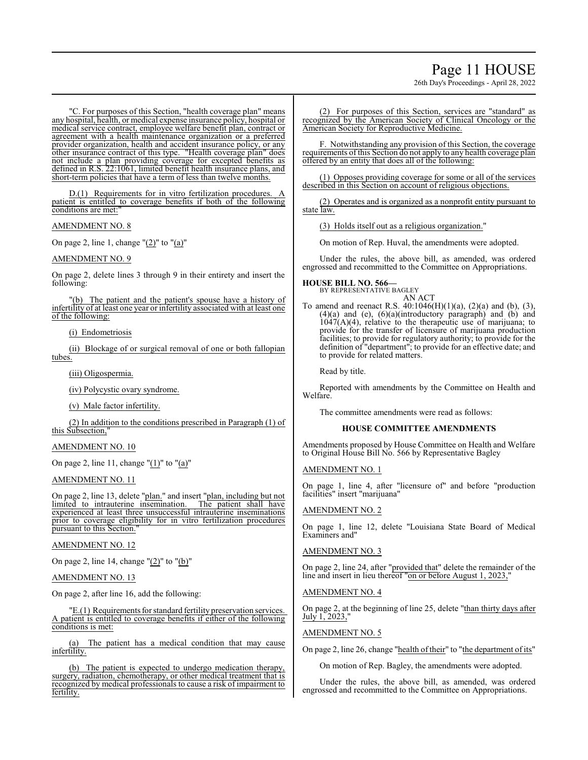# Page 11 HOUSE

26th Day's Proceedings - April 28, 2022

"C. For purposes of this Section, "health coverage plan" means any hospital, health, or medical expense insurance policy, hospital or medical service contract, employee welfare benefit plan, contract or agreement with a health maintenance organization or a preferred provider organization, health and accident insurance policy, or any other insurance contract of this type. "Health coverage plan" does not include a plan providing coverage for excepted benefits as defined in R.S. 22:1061, limited benefit health insurance plans, and short-term policies that have a term of less than twelve months.

 $D(1)$  Requirements for in vitro fertilization procedures. patient is entitled to coverage benefits if both of the following conditions are met:

AMENDMENT NO. 8

On page 2, line 1, change " $(2)$ " to " $(a)$ "

#### AMENDMENT NO. 9

On page 2, delete lines 3 through 9 in their entirety and insert the following:

"(b) The patient and the patient's spouse have a history of infertility of at least one year or infertility associated with at least one of the following:

(i) Endometriosis

(ii) Blockage of or surgical removal of one or both fallopian tubes.

(iii) Oligospermia.

(iv) Polycystic ovary syndrome.

(v) Male factor infertility.

(2) In addition to the conditions prescribed in Paragraph (1) of this Subsection,"

#### AMENDMENT NO. 10

On page 2, line 11, change " $(1)$ " to " $(a)$ "

AMENDMENT NO. 11

On page 2, line 13, delete "plan." and insert "plan, including but not limited to intrauterine insemination. The patient shall have experienced at least three unsuccessful intrauterine inseminations prior to coverage eligibility for in vitro fertilization procedures pursuant to this Section.

#### AMENDMENT NO. 12

On page 2, line 14, change "(2)" to "(b)"

#### AMENDMENT NO. 13

On page 2, after line 16, add the following:

"E.(1) Requirements for standard fertility preservation services. A patient is entitled to coverage benefits if either of the following conditions is met:

(a) The patient has a medical condition that may cause infertility.

(b) The patient is expected to undergo medication therapy, surgery, radiation, chemotherapy, or other medical treatment that is recognized by medical professionals to cause a risk of impairment to fertility.

(2) For purposes of this Section, services are "standard" as recognized by the American Society of Clinical Oncology or the American Society for Reproductive Medicine.

F. Notwithstanding any provision of this Section, the coverage requirements of this Section do not apply to any health coverage plan offered by an entity that does all of the following:

(1) Opposes providing coverage for some or all of the services described in this Section on account of religious objections.

(2) Operates and is organized as a nonprofit entity pursuant to state law.

(3) Holds itself out as a religious organization."

On motion of Rep. Huval, the amendments were adopted.

Under the rules, the above bill, as amended, was ordered engrossed and recommitted to the Committee on Appropriations.

# **HOUSE BILL NO. 566—**

BY REPRESENTATIVE BAGLEY AN ACT

To amend and reenact R.S.  $40:1046(H)(1)(a)$ ,  $(2)(a)$  and  $(b)$ ,  $(3)$ , (4)(a) and (e), (6)(a)(introductory paragraph) and (b) and  $1047(A)(4)$ , relative to the therapeutic use of marijuana; to provide for the transfer of licensure of marijuana production facilities; to provide for regulatory authority; to provide for the definition of "department"; to provide for an effective date; and to provide for related matters.

Read by title.

Reported with amendments by the Committee on Health and Welfare.

The committee amendments were read as follows:

#### **HOUSE COMMITTEE AMENDMENTS**

Amendments proposed by House Committee on Health and Welfare to Original House Bill No. 566 by Representative Bagley

#### AMENDMENT NO. 1

On page 1, line 4, after "licensure of" and before "production facilities" insert "marijuana"

#### AMENDMENT NO. 2

On page 1, line 12, delete "Louisiana State Board of Medical Examiners and"

### AMENDMENT NO. 3

On page 2, line 24, after "provided that" delete the remainder of the line and insert in lieu thereof "on or before August 1, 2023,"

#### AMENDMENT NO. 4

On page 2, at the beginning of line 25, delete "than thirty days after  $July 1, 2023,$ 

#### AMENDMENT NO. 5

On page 2, line 26, change "health of their" to "the department of its"

On motion of Rep. Bagley, the amendments were adopted.

Under the rules, the above bill, as amended, was ordered engrossed and recommitted to the Committee on Appropriations.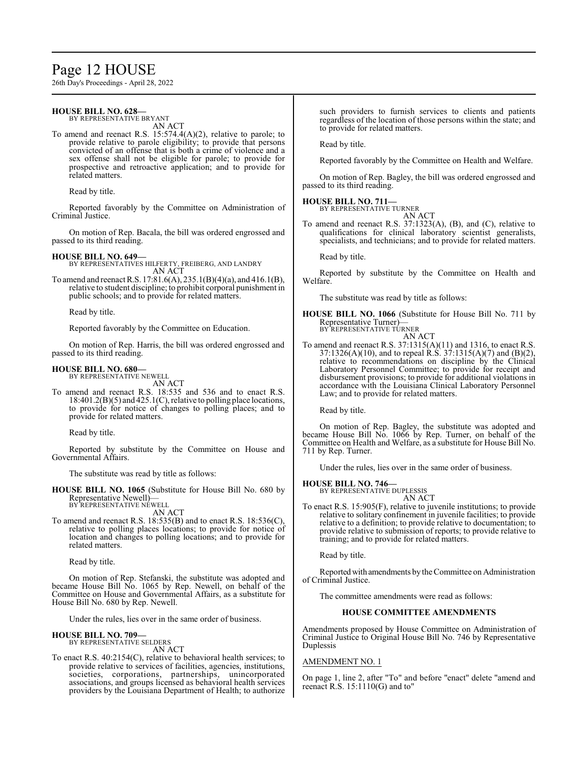# Page 12 HOUSE

26th Day's Proceedings - April 28, 2022

#### **HOUSE BILL NO. 628—** BY REPRESENTATIVE BRYANT

AN ACT

To amend and reenact R.S. 15:574.4(A)(2), relative to parole; to provide relative to parole eligibility; to provide that persons convicted of an offense that is both a crime of violence and a sex offense shall not be eligible for parole; to provide for prospective and retroactive application; and to provide for related matters.

Read by title.

Reported favorably by the Committee on Administration of Criminal Justice.

On motion of Rep. Bacala, the bill was ordered engrossed and passed to its third reading.

**HOUSE BILL NO. 649—** BY REPRESENTATIVES HILFERTY, FREIBERG, AND LANDRY AN ACT

To amend and reenact R.S. 17:81.6(A), 235.1(B)(4)(a), and 416.1(B), relative to student discipline; to prohibit corporal punishment in public schools; and to provide for related matters.

Read by title.

Reported favorably by the Committee on Education.

On motion of Rep. Harris, the bill was ordered engrossed and passed to its third reading.

# **HOUSE BILL NO. 680—** BY REPRESENTATIVE NEWELL

AN ACT

To amend and reenact R.S. 18:535 and 536 and to enact R.S. 18:401.2(B)(5) and 425.1(C), relative to polling place locations, to provide for notice of changes to polling places; and to provide for related matters.

Read by title.

Reported by substitute by the Committee on House and Governmental Affairs.

The substitute was read by title as follows:

**HOUSE BILL NO. 1065** (Substitute for House Bill No. 680 by Representative Newell)— BY REPRESENTATIVE NEWELL

AN ACT

To amend and reenact R.S. 18:535(B) and to enact R.S. 18:536(C), relative to polling places locations; to provide for notice of location and changes to polling locations; and to provide for related matters.

Read by title.

On motion of Rep. Stefanski, the substitute was adopted and became House Bill No. 1065 by Rep. Newell, on behalf of the Committee on House and Governmental Affairs, as a substitute for House Bill No. 680 by Rep. Newell.

Under the rules, lies over in the same order of business.

#### **HOUSE BILL NO. 709—**

BY REPRESENTATIVE SELDERS AN ACT

To enact R.S. 40:2154(C), relative to behavioral health services; to provide relative to services of facilities, agencies, institutions, societies, corporations, partnerships, unincorporated associations, and groups licensed as behavioral health services providers by the Louisiana Department of Health; to authorize such providers to furnish services to clients and patients regardless of the location of those persons within the state; and to provide for related matters.

Read by title.

Reported favorably by the Committee on Health and Welfare.

On motion of Rep. Bagley, the bill was ordered engrossed and passed to its third reading.

#### **HOUSE BILL NO. 711—** BY REPRESENTATIVE TURNER

AN ACT

To amend and reenact R.S. 37:1323(A), (B), and (C), relative to qualifications for clinical laboratory scientist generalists, specialists, and technicians; and to provide for related matters.

Read by title.

Reported by substitute by the Committee on Health and Welfare.

The substitute was read by title as follows:

**HOUSE BILL NO. 1066** (Substitute for House Bill No. 711 by Representative Turner)— BY REPRESENTATIVE TURNER

AN ACT

To amend and reenact R.S. 37:1315(A)(11) and 1316, to enact R.S. 37:1326(A)(10), and to repeal R.S. 37:1315(A)(7) and (B)(2), relative to recommendations on discipline by the Clinical Laboratory Personnel Committee; to provide for receipt and disbursement provisions; to provide for additional violations in accordance with the Louisiana Clinical Laboratory Personnel Law; and to provide for related matters.

Read by title.

On motion of Rep. Bagley, the substitute was adopted and became House Bill No. 1066 by Rep. Turner, on behalf of the Committee on Health and Welfare, as a substitute for House Bill No. 711 by Rep. Turner.

Under the rules, lies over in the same order of business.

#### **HOUSE BILL NO. 746—**

BY REPRESENTATIVE DUPLESSIS AN ACT

To enact R.S. 15:905(F), relative to juvenile institutions; to provide relative to solitary confinement in juvenile facilities; to provide relative to a definition; to provide relative to documentation; to provide relative to submission of reports; to provide relative to training; and to provide for related matters.

Read by title.

Reportedwith amendments bythe Committee on Administration of Criminal Justice.

The committee amendments were read as follows:

#### **HOUSE COMMITTEE AMENDMENTS**

Amendments proposed by House Committee on Administration of Criminal Justice to Original House Bill No. 746 by Representative Duplessis

#### AMENDMENT NO. 1

On page 1, line 2, after "To" and before "enact" delete "amend and reenact R.S. 15:1110(G) and to"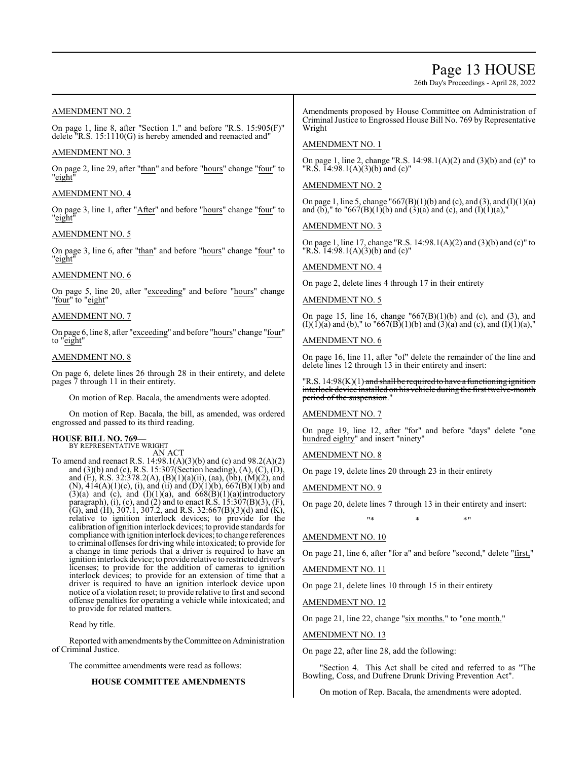# Page 13 HOUSE

26th Day's Proceedings - April 28, 2022

# AMENDMENT NO. 2

On page 1, line 8, after "Section 1." and before "R.S. 15:905(F)" delete "R.S. 15:1110(G) is hereby amended and reenacted and"

#### AMENDMENT NO. 3

On page 2, line 29, after "than" and before "hours" change "four" to "eight"

#### AMENDMENT NO. 4

On page 3, line 1, after "After" and before "hours" change "four" to "eight"

#### AMENDMENT NO. 5

On page 3, line 6, after "than" and before "hours" change "four" to "eight"

#### AMENDMENT NO. 6

On page 5, line 20, after "exceeding" and before "hours" change "four" to "eight"

### AMENDMENT NO. 7

On page 6, line 8, after "exceeding" and before "hours" change "four" to "eight"

#### AMENDMENT NO. 8

On page 6, delete lines 26 through 28 in their entirety, and delete pages 7 through 11 in their entirety.

On motion of Rep. Bacala, the amendments were adopted.

On motion of Rep. Bacala, the bill, as amended, was ordered engrossed and passed to its third reading.

### **HOUSE BILL NO. 769—**

BY REPRESENTATIVE WRIGHT AN ACT

To amend and reenact R.S. 14:98.1(A)(3)(b) and (c) and 98.2(A)(2) and (3)(b) and (c), R.S. 15:307(Section heading), (A), (C), (D), and (E), R.S. 32:378.2(A), (B)(1)(a)(ii), (aa), (bb), (M)(2), and (N),  $414(A)(1)(c)$ , (i), and (ii) and (D)(1)(b),  $667(B)(1)(b)$  and  $(3)(a)$  and  $(c)$ , and  $(I)(1)(a)$ , and  $668(B)(1)(a)$ (introductory paragraph), (i), (c), and (2) and to enact R.S.  $15:307(B)(3)$ , (F), (G), and (H), 307.1, 307.2, and R.S. 32:667(B)(3)(d) and (K), relative to ignition interlock devices; to provide for the calibration ofignition interlock devices;to provide standards for compliance with ignition interlock devices; to change references to criminal offenses for driving while intoxicated; to provide for a change in time periods that a driver is required to have an ignition interlock device; to provide relative to restricted driver's licenses; to provide for the addition of cameras to ignition interlock devices; to provide for an extension of time that a driver is required to have an ignition interlock device upon notice of a violation reset; to provide relative to first and second offense penalties for operating a vehicle while intoxicated; and to provide for related matters.

Read by title.

Reported with amendments bytheCommittee on Administration of Criminal Justice.

The committee amendments were read as follows:

# **HOUSE COMMITTEE AMENDMENTS**

Amendments proposed by House Committee on Administration of Criminal Justice to Engrossed House Bill No. 769 by Representative Wright

#### AMENDMENT NO. 1

On page 1, line 2, change "R.S. 14:98.1(A)(2) and (3)(b) and (c)" to "R.S.  $\overline{1}$ 4:98.1(A)(3)(b) and (c)"

### AMENDMENT NO. 2

On page 1, line 5, change "667(B)(1)(b) and (c), and (3), and (I)(1)(a) and (b)," to "667(B)(1)(b) and (3)(a) and (c), and (I)(1)(a),"

### AMENDMENT NO. 3

On page 1, line 17, change "R.S. 14:98.1(A)(2) and (3)(b) and (c)" to "R.S.  $\overline{1}4:98.1(A)(3)(b)$  and (c)"

# AMENDMENT NO. 4

On page 2, delete lines 4 through 17 in their entirety

### AMENDMENT NO. 5

On page 15, line 16, change  $(667(B)(1)(b)$  and (c), and (3), and  $(I)(I)(a)$  and (b)," to "667(B)(1)(b) and (3)(a) and (c), and (I)(1)(a),"

#### AMENDMENT NO. 6

On page 16, line 11, after "of" delete the remainder of the line and delete lines 12 through 13 in their entirety and insert:

"R.S. 14:98(K)(1) and shall be required to have a functioning ignition interlock device installed on his vehicle during the first twelve-month period of the suspension."

#### AMENDMENT NO. 7

On page 19, line 12, after "for" and before "days" delete "one hundred eighty" and insert "ninety"

AMENDMENT NO. 8

On page 19, delete lines 20 through 23 in their entirety

#### AMENDMENT NO. 9

On page 20, delete lines 7 through 13 in their entirety and insert: \* \* \* \* <mark>\*</mark>

# AMENDMENT NO. 10

On page 21, line 6, after "for a" and before "second," delete "first,"

AMENDMENT NO. 11

On page 21, delete lines 10 through 15 in their entirety

AMENDMENT NO. 12

On page 21, line 22, change "six months." to "one month."

#### AMENDMENT NO. 13

On page 22, after line 28, add the following:

'Section 4. This Act shall be cited and referred to as "The Bowling, Coss, and Dufrene Drunk Driving Prevention Act".

On motion of Rep. Bacala, the amendments were adopted.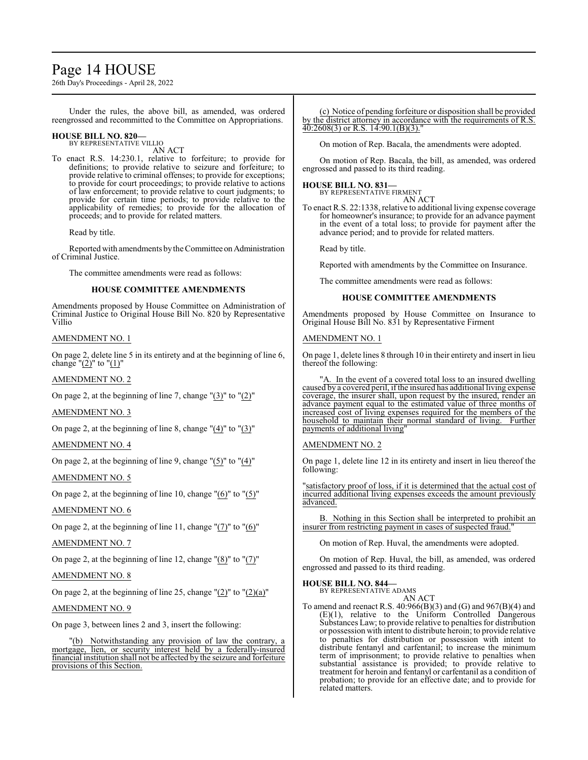# Page 14 HOUSE

26th Day's Proceedings - April 28, 2022

Under the rules, the above bill, as amended, was ordered reengrossed and recommitted to the Committee on Appropriations.

#### **HOUSE BILL NO. 820—** BY REPRESENTATIVE VILLIO

AN ACT

To enact R.S. 14:230.1, relative to forfeiture; to provide for definitions; to provide relative to seizure and forfeiture; to provide relative to criminal offenses; to provide for exceptions; to provide for court proceedings; to provide relative to actions of law enforcement; to provide relative to court judgments; to provide for certain time periods; to provide relative to the applicability of remedies; to provide for the allocation of proceeds; and to provide for related matters.

Read by title.

Reported with amendments by the Committee on Administration of Criminal Justice.

The committee amendments were read as follows:

### **HOUSE COMMITTEE AMENDMENTS**

Amendments proposed by House Committee on Administration of Criminal Justice to Original House Bill No. 820 by Representative Villio

#### AMENDMENT NO. 1

On page 2, delete line 5 in its entirety and at the beginning of line 6, change " $(2)$ " to " $(1)$ "

AMENDMENT NO. 2

On page 2, at the beginning of line 7, change " $(3)$ " to " $(2)$ "

AMENDMENT NO. 3

On page 2, at the beginning of line 8, change "(4)" to "(3)"

AMENDMENT NO. 4

On page 2, at the beginning of line 9, change "(5)" to "(4)"

AMENDMENT NO. 5

On page 2, at the beginning of line 10, change  $"(6)"$  to  $"(5)"$ 

### AMENDMENT NO. 6

On page 2, at the beginning of line 11, change " $(7)$ " to " $(6)$ "

AMENDMENT NO. 7

On page 2, at the beginning of line 12, change "(8)" to "(7)"

### AMENDMENT NO. 8

On page 2, at the beginning of line 25, change  $"(2)"$  to  $"(2)(a)"$ 

AMENDMENT NO. 9

On page 3, between lines 2 and 3, insert the following:

"(b) Notwithstanding any provision of law the contrary, a mortgage, lien, or security interest held by a federally-insured financial institution shall not be affected by the seizure and forfeiture provisions of this Section.

(c) Notice of pending forfeiture or disposition shall be provided by the district attorney in accordance with the requirements of R.S.  $40:2608(3)$  or R.S.  $14:90.1(B)(3)$ .

On motion of Rep. Bacala, the amendments were adopted.

On motion of Rep. Bacala, the bill, as amended, was ordered engrossed and passed to its third reading.

### **HOUSE BILL NO. 831—**

BY REPRESENTATIVE FIRMENT AN ACT

To enact R.S. 22:1338, relative to additional living expense coverage for homeowner's insurance; to provide for an advance payment in the event of a total loss; to provide for payment after the advance period; and to provide for related matters.

Read by title.

Reported with amendments by the Committee on Insurance.

The committee amendments were read as follows:

#### **HOUSE COMMITTEE AMENDMENTS**

Amendments proposed by House Committee on Insurance to Original House Bill No. 831 by Representative Firment

### AMENDMENT NO. 1

On page 1, delete lines 8 through 10 in their entirety and insert in lieu thereof the following:

"A. In the event of a covered total loss to an insured dwelling caused by a covered peril, ifthe insured has additional living expense coverage, the insurer shall, upon request by the insured, render an advance payment equal to the estimated value of three months of increased cost of living expenses required for the members of the household to maintain their normal standard of living. payments of additional living"

#### AMENDMENT NO. 2

On page 1, delete line 12 in its entirety and insert in lieu thereof the following:

'satisfactory proof of loss, if it is determined that the actual cost of incurred additional living expenses exceeds the amount previously advanced.

B. Nothing in this Section shall be interpreted to prohibit an insurer from restricting payment in cases of suspected fraud."

On motion of Rep. Huval, the amendments were adopted.

On motion of Rep. Huval, the bill, as amended, was ordered engrossed and passed to its third reading.

# **HOUSE BILL NO. 844—** BY REPRESENTATIVE ADAMS

AN ACT

To amend and reenact R.S. 40:966(B)(3) and (G) and 967(B)(4) and (E)(1), relative to the Uniform Controlled Dangerous Substances Law; to provide relative to penalties for distribution or possession with intent to distribute heroin; to provide relative to penalties for distribution or possession with intent to distribute fentanyl and carfentanil; to increase the minimum term of imprisonment; to provide relative to penalties when substantial assistance is provided; to provide relative to treatment for heroin and fentanyl or carfentanil as a condition of probation; to provide for an effective date; and to provide for related matters.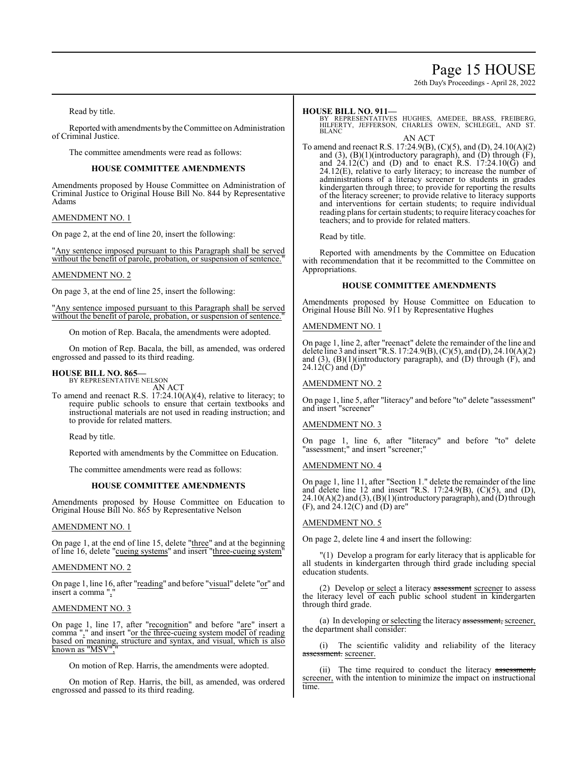# Page 15 HOUSE

26th Day's Proceedings - April 28, 2022

Read by title.

Reported with amendments by the Committee on Administration of Criminal Justice.

The committee amendments were read as follows:

#### **HOUSE COMMITTEE AMENDMENTS**

Amendments proposed by House Committee on Administration of Criminal Justice to Original House Bill No. 844 by Representative Adams

### AMENDMENT NO. 1

On page 2, at the end of line 20, insert the following:

"Any sentence imposed pursuant to this Paragraph shall be served without the benefit of parole, probation, or suspension of sentence.

#### AMENDMENT NO. 2

On page 3, at the end of line 25, insert the following:

"Any sentence imposed pursuant to this Paragraph shall be served without the benefit of parole, probation, or suspension of sentence."

On motion of Rep. Bacala, the amendments were adopted.

On motion of Rep. Bacala, the bill, as amended, was ordered engrossed and passed to its third reading.

# **HOUSE BILL NO. 865—** BY REPRESENTATIVE NELSON

AN ACT

To amend and reenact R.S. 17:24.10(A)(4), relative to literacy; to require public schools to ensure that certain textbooks and instructional materials are not used in reading instruction; and to provide for related matters.

Read by title.

Reported with amendments by the Committee on Education.

The committee amendments were read as follows:

### **HOUSE COMMITTEE AMENDMENTS**

Amendments proposed by House Committee on Education to Original House Bill No. 865 by Representative Nelson

#### AMENDMENT NO. 1

On page 1, at the end of line 15, delete "three" and at the beginning of line 16, delete "cueing systems" and insert "three-cueing system"

### AMENDMENT NO. 2

On page 1, line 16, after "reading" and before "visual" delete "or" and insert a comma ",

#### AMENDMENT NO. 3

On page 1, line 17, after "recognition" and before "are" insert a comma "," and insert "or the three-cueing system model of reading based on meaning, structure and syntax, and visual, which is also known as "MSV",

On motion of Rep. Harris, the amendments were adopted.

On motion of Rep. Harris, the bill, as amended, was ordered engrossed and passed to its third reading.

#### **HOUSE BILL NO. 911—**

BY REPRESENTATIVES HUGHES, AMEDEE, BRASS, FREIBERG, HILFERTY, JEFFERSON, CHARLES OWEN, SCHLEGEL, AND ST. **BLANC** 

AN ACT

To amend and reenact R.S. 17:24.9(B), (C)(5), and (D), 24.10(A)(2) and  $(3)$ ,  $(B)(1)$ (introductory paragraph), and  $(D)$  through  $(F)$ , and  $24.12(\text{C})$  and (D) and to enact R.S.  $17:24.10(\text{G})$  and  $24.12(E)$ , relative to early literacy; to increase the number of administrations of a literacy screener to students in grades kindergarten through three; to provide for reporting the results of the literacy screener; to provide relative to literacy supports and interventions for certain students; to require individual reading plans for certain students; to require literacy coaches for teachers; and to provide for related matters.

Read by title.

Reported with amendments by the Committee on Education with recommendation that it be recommitted to the Committee on Appropriations.

#### **HOUSE COMMITTEE AMENDMENTS**

Amendments proposed by House Committee on Education to Original House Bill No. 911 by Representative Hughes

#### AMENDMENT NO. 1

On page 1, line 2, after "reenact" delete the remainder of the line and delete line 3 and insert "R.S. 17:24.9(B), (C)(5), and (D), 24.10(A)(2) and  $(3)$ ,  $(B)(1)$ (introductory paragraph), and  $(D)$  through  $(F)$ , and  $24.12(\hat{C})$  and  $(\hat{D})$ "

### AMENDMENT NO. 2

On page 1, line 5, after "literacy" and before "to" delete "assessment" and insert "screener"

#### AMENDMENT NO. 3

On page 1, line 6, after "literacy" and before "to" delete "assessment;" and insert "screener;"

#### AMENDMENT NO. 4

On page 1, line 11, after "Section 1." delete the remainder of the line and delete line 12 and insert "R.S. 17:24.9(B), (C)(5), and (D),  $24.10(A)(2)$  and  $(3)$ ,  $(B)(1)$ (introductory paragraph), and  $(D)$  through  $(F)$ , and  $24.12(C)$  and  $(D)$  are"

### AMENDMENT NO. 5

On page 2, delete line 4 and insert the following:

"(1) Develop a program for early literacy that is applicable for all students in kindergarten through third grade including special education students.

(2) Develop or select a literacy assessment screener to assess the literacy level of each public school student in kindergarten through third grade.

(a) In developing or selecting the literacy assessment, screener, the department shall consider:

(i) The scientific validity and reliability of the literacy assessment. screener.

(ii) The time required to conduct the literacy assessment, screener, with the intention to minimize the impact on instructional time.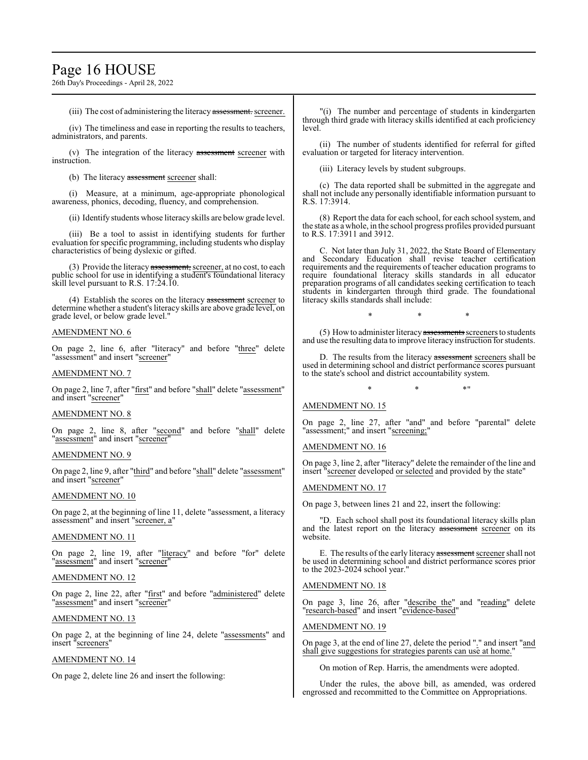# Page 16 HOUSE

26th Day's Proceedings - April 28, 2022

(iii) The cost of administering the literacy assessment. screener.

(iv) The timeliness and ease in reporting the results to teachers, administrators, and parents.

(v) The integration of the literacy assessment screener with instruction.

(b) The literacy assessment screener shall:

(i) Measure, at a minimum, age-appropriate phonological awareness, phonics, decoding, fluency, and comprehension.

(ii) Identify students whose literacy skills are below grade level.

(iii) Be a tool to assist in identifying students for further evaluation for specific programming, including students who display characteristics of being dyslexic or gifted.

(3) Provide the literacy assessment, screener, at no cost, to each public school for use in identifying a student's foundational literacy skill level pursuant to R.S. 17:24.10.

(4) Establish the scores on the literacy assessment screener to determine whether a student's literacy skills are above grade level, on grade level, or below grade level."

#### AMENDMENT NO. 6

On page 2, line 6, after "literacy" and before "three" delete "assessment" and insert "screener"

#### AMENDMENT NO. 7

On page 2, line 7, after "first" and before "shall" delete "assessment" and insert "screener"

#### AMENDMENT NO. 8

On page 2, line 8, after "second" and before "shall" delete "assessment" and insert "screener"

#### AMENDMENT NO. 9

On page 2, line 9, after "third" and before "shall" delete "assessment" and insert "screener"

#### AMENDMENT NO. 10

On page 2, at the beginning of line 11, delete "assessment, a literacy assessment" and insert "screener, a"

# AMENDMENT NO. 11

On page 2, line 19, after "literacy" and before "for" delete "assessment" and insert "screener"

#### AMENDMENT NO. 12

On page 2, line 22, after "first" and before "administered" delete "assessment" and insert "screener"

#### AMENDMENT NO. 13

On page 2, at the beginning of line 24, delete "assessments" and insert "screeners"

#### AMENDMENT NO. 14

On page 2, delete line 26 and insert the following:

"(i) The number and percentage of students in kindergarten through third grade with literacy skills identified at each proficiency level.

(ii) The number of students identified for referral for gifted evaluation or targeted for literacy intervention.

(iii) Literacy levels by student subgroups.

(c) The data reported shall be submitted in the aggregate and shall not include any personally identifiable information pursuant to R.S. 17:3914.

(8) Report the data for each school, for each school system, and the state as a whole, in the school progress profiles provided pursuant to R.S. 17:3911 and 3912.

C. Not later than July 31, 2022, the State Board of Elementary and Secondary Education shall revise teacher certification requirements and the requirements of teacher education programs to require foundational literacy skills standards in all educator preparation programs of all candidates seeking certification to teach students in kindergarten through third grade. The foundational literacy skills standards shall include:

(5) How to administer literacy assessments screeners to students and use the resulting data to improve literacy instruction for students.

\* \* \*

D. The results from the literacy assessment screeners shall be used in determining school and district performance scores pursuant to the state's school and district accountability system.

 $*$  \*  $*$  \*

AMENDMENT NO. 15

On page 2, line 27, after "and" and before "parental" delete "assessment;" and insert "screening;"

### AMENDMENT NO. 16

On page 3, line 2, after "literacy" delete the remainder of the line and insert "screener developed or selected and provided by the state"

#### AMENDMENT NO. 17

On page 3, between lines 21 and 22, insert the following:

"D. Each school shall post its foundational literacy skills plan and the latest report on the literacy assessment screener on its website.

E. The results of the early literacy assessment screener shall not be used in determining school and district performance scores prior to the 2023-2024 school year."

#### AMENDMENT NO. 18

On page 3, line 26, after "describe the" and "reading" delete "research-based" and insert "evidence-based"

#### AMENDMENT NO. 19

On page 3, at the end of line 27, delete the period "." and insert "and shall give suggestions for strategies parents can use at home."

On motion of Rep. Harris, the amendments were adopted.

Under the rules, the above bill, as amended, was ordered engrossed and recommitted to the Committee on Appropriations.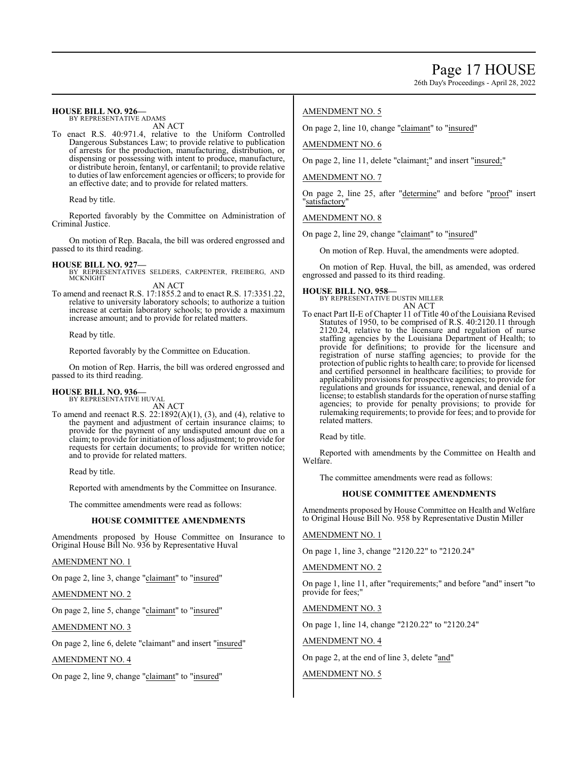26th Day's Proceedings - April 28, 2022

#### **HOUSE BILL NO. 926—** BY REPRESENTATIVE ADAMS

AN ACT

To enact R.S. 40:971.4, relative to the Uniform Controlled Dangerous Substances Law; to provide relative to publication of arrests for the production, manufacturing, distribution, or dispensing or possessing with intent to produce, manufacture, or distribute heroin, fentanyl, or carfentanil; to provide relative to duties of law enforcement agencies or officers; to provide for an effective date; and to provide for related matters.

Read by title.

Reported favorably by the Committee on Administration of Criminal Justice.

On motion of Rep. Bacala, the bill was ordered engrossed and passed to its third reading.

**HOUSE BILL NO. 927—** BY REPRESENTATIVES SELDERS, CARPENTER, FREIBERG, AND **MCKNIGHT** AN ACT

To amend and reenact R.S. 17:1855.2 and to enact R.S. 17:3351.22, relative to university laboratory schools; to authorize a tuition increase at certain laboratory schools; to provide a maximum increase amount; and to provide for related matters.

Read by title.

Reported favorably by the Committee on Education.

On motion of Rep. Harris, the bill was ordered engrossed and passed to its third reading.

# **HOUSE BILL NO. 936—**

BY REPRESENTATIVE HUVAL AN ACT

To amend and reenact R.S.  $22:1892(A)(1)$ ,  $(3)$ , and  $(4)$ , relative to the payment and adjustment of certain insurance claims; to provide for the payment of any undisputed amount due on a claim; to provide for initiation of loss adjustment; to provide for requests for certain documents; to provide for written notice; and to provide for related matters.

Read by title.

Reported with amendments by the Committee on Insurance.

The committee amendments were read as follows:

### **HOUSE COMMITTEE AMENDMENTS**

Amendments proposed by House Committee on Insurance to Original House Bill No. 936 by Representative Huval

AMENDMENT NO. 1

On page 2, line 3, change "claimant" to "insured"

### AMENDMENT NO. 2

On page 2, line 5, change "claimant" to "insured"

#### AMENDMENT NO. 3

On page 2, line 6, delete "claimant" and insert "insured"

### AMENDMENT NO. 4

On page 2, line 9, change "claimant" to "insured"

### AMENDMENT NO. 5

On page 2, line 10, change "claimant" to "insured"

#### AMENDMENT NO. 6

On page 2, line 11, delete "claimant;" and insert "insured;"

#### AMENDMENT NO. 7

On page 2, line 25, after "determine" and before "proof" insert "satisfactory"

AMENDMENT NO. 8

On page 2, line 29, change "claimant" to "insured"

On motion of Rep. Huval, the amendments were adopted.

On motion of Rep. Huval, the bill, as amended, was ordered engrossed and passed to its third reading.

### **HOUSE BILL NO. 958—**

BY REPRESENTATIVE DUSTIN MILLER AN ACT

To enact Part II-E of Chapter 11 of Title 40 of the Louisiana Revised Statutes of 1950, to be comprised of R.S. 40:2120.11 through 2120.24, relative to the licensure and regulation of nurse staffing agencies by the Louisiana Department of Health; to provide for definitions; to provide for the licensure and registration of nurse staffing agencies; to provide for the protection of public rights to health care; to provide for licensed and certified personnel in healthcare facilities; to provide for applicability provisions for prospective agencies; to provide for regulations and grounds for issuance, renewal, and denial of a license; to establish standards for the operation of nurse staffing agencies; to provide for penalty provisions; to provide for rulemaking requirements; to provide for fees; and to provide for related matters.

Read by title.

Reported with amendments by the Committee on Health and Welfare.

The committee amendments were read as follows:

#### **HOUSE COMMITTEE AMENDMENTS**

Amendments proposed by House Committee on Health and Welfare to Original House Bill No. 958 by Representative Dustin Miller

#### AMENDMENT NO. 1

On page 1, line 3, change "2120.22" to "2120.24"

### AMENDMENT NO. 2

On page 1, line 11, after "requirements;" and before "and" insert "to provide for fees;"

AMENDMENT NO. 3

On page 1, line 14, change "2120.22" to "2120.24"

AMENDMENT NO. 4

On page 2, at the end of line 3, delete "and"

AMENDMENT NO. 5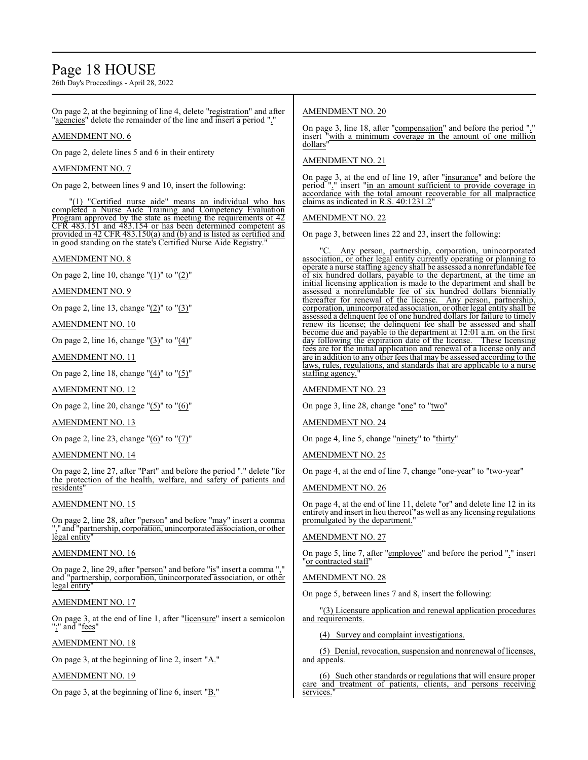# Page 18 HOUSE

26th Day's Proceedings - April 28, 2022

On page 2, at the beginning of line 4, delete "registration" and after "agencies" delete the remainder of the line and insert a period "."

### AMENDMENT NO. 6

On page 2, delete lines 5 and 6 in their entirety

#### AMENDMENT NO. 7

On page 2, between lines 9 and 10, insert the following:

"(1) "Certified nurse aide" means an individual who has completed a Nurse Aide Training and Competency Evaluation Program approved by the state as meeting the requirements of 42 CFR 483.151 and 483.154 or has been determined competent as provided in 42 CFR 483.150(a) and (b) and is listed as certified and in good standing on the state's Certified Nurse Aide Registry.

#### AMENDMENT NO. 8

On page 2, line 10, change "(1)" to "(2)"

AMENDMENT NO. 9

On page 2, line 13, change " $(2)$ " to " $(3)$ "

#### AMENDMENT NO. 10

On page 2, line 16, change "(3)" to "(4)"

#### AMENDMENT NO. 11

On page 2, line 18, change " $(4)$ " to " $(5)$ "

AMENDMENT NO. 12

On page 2, line 20, change " $(5)$ " to " $(6)$ "

AMENDMENT NO. 13

On page 2, line 23, change "(6)" to "(7)"

#### AMENDMENT NO. 14

On page 2, line 27, after "Part" and before the period "." delete "for the protection of the health, welfare, and safety of patients and residents"

### AMENDMENT NO. 15

On page 2, line 28, after "person" and before "may" insert a comma "," and "partnership, corporation, unincorporated association, or other legal entity"

# AMENDMENT NO. 16

On page 2, line 29, after "person" and before "is" insert a comma "," and "partnership, corporation, unincorporated association, or other legal entity

#### AMENDMENT NO. 17

On page 3, at the end of line 1, after "licensure" insert a semicolon ";" and "fees"

### AMENDMENT NO. 18

On page 3, at the beginning of line 2, insert "A."

### AMENDMENT NO. 19

On page 3, at the beginning of line 6, insert  $"B."$ 

# AMENDMENT NO. 20

On page 3, line 18, after "compensation" and before the period "." insert "with a minimum coverage in the amount of one million dollars"

### AMENDMENT NO. 21

On page 3, at the end of line 19, after "insurance" and before the period "." insert "in an amount sufficient to provide coverage in accordance with the total amount recoverable for all malpractice claims as indicated in R.S. 40:1231.2

#### AMENDMENT NO. 22

On page 3, between lines 22 and 23, insert the following:

Any person, partnership, corporation, unincorporated association, or other legal entity currently operating or planning to operate a nurse staffing agency shall be assessed a nonrefundable fee of six hundred dollars, payable to the department, at the time an initial licensing application is made to the department and shall be assessed a nonrefundable fee of six hundred dollars biennially thereafter for renewal of the license. Any person, partnership, corporation, unincorporated association, or other legal entity shall be assessed a delinquent fee of one hundred dollars for failure to timely renew its license; the delinquent fee shall be assessed and shall become due and payable to the department at 12:01 a.m. on the first day following the expiration date of the license. These licensing fees are for the initial application and renewal of a license only and are in addition to any other fees that may be assessed according to the laws, rules, regulations, and standards that are applicable to a nurse staffing agency.

AMENDMENT NO. 23

On page 3, line 28, change "one" to "two"

AMENDMENT NO. 24

On page 4, line 5, change "ninety" to "thirty"

AMENDMENT NO. 25

On page 4, at the end of line 7, change "one-year" to "two-year"

### AMENDMENT NO. 26

On page 4, at the end of line 11, delete "or" and delete line 12 in its entirety and insert in lieu thereof "as well as any licensing regulations promulgated by the department."

#### AMENDMENT NO. 27

On page 5, line 7, after "employee" and before the period "." insert "or contracted staff"

#### AMENDMENT NO. 28

On page 5, between lines 7 and 8, insert the following:

"(3) Licensure application and renewal application procedures and requirements.

(4) Survey and complaint investigations.

(5) Denial, revocation, suspension and nonrenewal oflicenses, and appeals.

(6) Such other standards or regulations that will ensure proper care and treatment of patients, clients, and persons receiving services.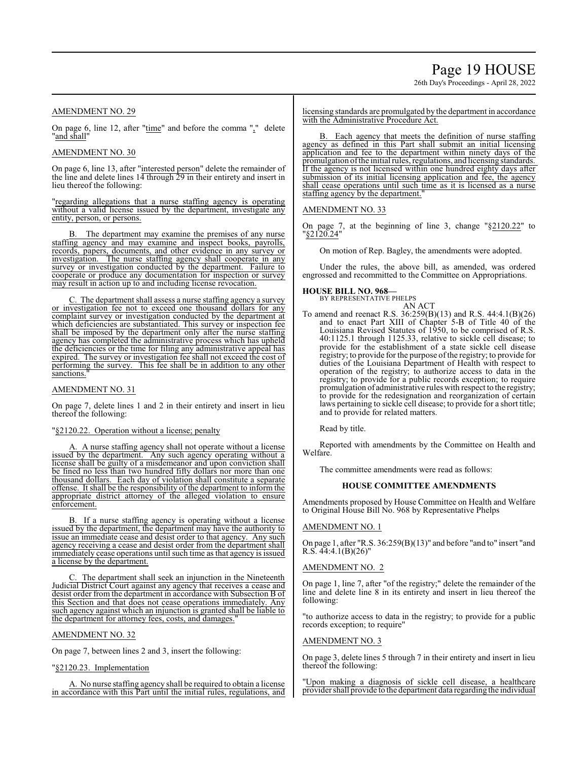# Page 19 HOUSE

26th Day's Proceedings - April 28, 2022

#### AMENDMENT NO. 29

On page 6, line 12, after "time" and before the comma "," delete "and shall"

# AMENDMENT NO. 30

On page 6, line 13, after "interested person" delete the remainder of the line and delete lines 14 through 29 in their entirety and insert in lieu thereof the following:

"regarding allegations that a nurse staffing agency is operating without a valid license issued by the department, investigate any entity, person, or persons.

B. The department may examine the premises of any nurse staffing agency and may examine and inspect books, payrolls, records, papers, documents, and other evidence in any survey or investigation. The nurse staffing agency shall cooperate in any survey or investigation conducted by the department. Failure to cooperate or produce any documentation for inspection or survey may result in action up to and including license revocation.

C. The department shall assess a nurse staffing agency a survey or investigation fee not to exceed one thousand dollars for any complaint survey or investigation conducted by the department at which deficiencies are substantiated. This survey or inspection fee shall be imposed by the department only after the nurse staffing agency has completed the administrative process which has upheld the deficiencies or the time for filing any administrative appeal has expired. The survey or investigation fee shall not exceed the cost of performing the survey. This fee shall be in addition to any other sanctions.

#### AMENDMENT NO. 31

On page 7, delete lines 1 and 2 in their entirety and insert in lieu thereof the following:

#### "§2120.22. Operation without a license; penalty

A. A nurse staffing agency shall not operate without a license issued by the department. Any such agency operating without a license shall be guilty of a misdemeanor and upon conviction shall be fined no less than two hundred fifty dollars nor more than one thousand dollars. Each day of violation shall constitute a separate offense. It shall be the responsibility of the department to inform the appropriate district attorney of the alleged violation to ensure enforcement.

B. If a nurse staffing agency is operating without a license issued by the department, the department may have the authority to issue an immediate cease and desist order to that agency. Any such agency receiving a cease and desist order from the department shall immediately cease operations until such time as that agency is issued a license by the department.

The department shall seek an injunction in the Nineteenth Judicial District Court against any agency that receives a cease and desist order from the department in accordance with Subsection B of this Section and that does not cease operations immediately. Any such agency against which an injunction is granted shall be liable to the department for attorney fees, costs, and damages."

#### AMENDMENT NO. 32

On page 7, between lines 2 and 3, insert the following:

#### "§2120.23. Implementation

A. No nurse staffing agency shall be required to obtain a license in accordance with this Part until the initial rules, regulations, and licensing standards are promulgated by the department in accordance with the Administrative Procedure Act.

B. Each agency that meets the definition of nurse staffing agency as defined in this Part shall submit an initial licensing application and fee to the department within ninety days of the promulgation ofthe initial rules, regulations, and licensing standards. If the agency is not licensed within one hundred eighty days after submission of its initial licensing application and fee, the agency shall cease operations until such time as it is licensed as a nurse staffing agency by the department.

#### AMENDMENT NO. 33

On page 7, at the beginning of line 3, change "§2120.22" to "§2120.24"

On motion of Rep. Bagley, the amendments were adopted.

Under the rules, the above bill, as amended, was ordered engrossed and recommitted to the Committee on Appropriations.

#### **HOUSE BILL NO. 968—**

BY REPRESENTATIVE PHELPS

AN ACT To amend and reenact R.S. 36:259(B)(13) and R.S. 44:4.1(B)(26) and to enact Part XIII of Chapter 5-B of Title 40 of the Louisiana Revised Statutes of 1950, to be comprised of R.S. 40:1125.1 through 1125.33, relative to sickle cell disease; to provide for the establishment of a state sickle cell disease registry; to provide for the purpose ofthe registry; to provide for duties of the Louisiana Department of Health with respect to operation of the registry; to authorize access to data in the registry; to provide for a public records exception; to require promulgation of administrative rules with respect to the registry; to provide for the redesignation and reorganization of certain laws pertaining to sickle cell disease; to provide for a short title; and to provide for related matters.

Read by title.

Reported with amendments by the Committee on Health and Welfare.

The committee amendments were read as follows:

#### **HOUSE COMMITTEE AMENDMENTS**

Amendments proposed by House Committee on Health and Welfare to Original House Bill No. 968 by Representative Phelps

#### AMENDMENT NO. 1

On page 1, after "R.S. 36:259(B)(13)" and before "and to" insert "and R.S.  $44:4.1(B)(26)$ "

#### AMENDMENT NO. 2

On page 1, line 7, after "of the registry;" delete the remainder of the line and delete line 8 in its entirety and insert in lieu thereof the following:

"to authorize access to data in the registry; to provide for a public records exception; to require"

#### AMENDMENT NO. 3

On page 3, delete lines 5 through 7 in their entirety and insert in lieu thereof the following:

"Upon making a diagnosis of sickle cell disease, a healthcare provider shall provide to the department data regarding the individual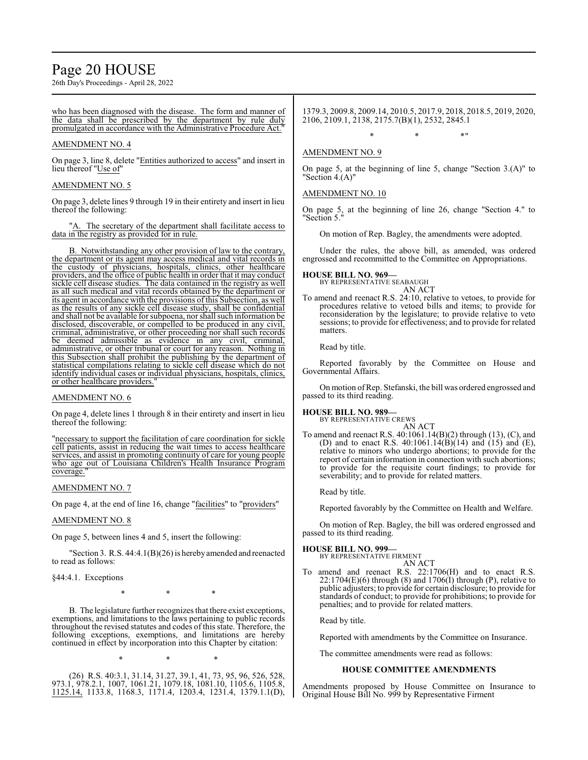# Page 20 HOUSE

26th Day's Proceedings - April 28, 2022

who has been diagnosed with the disease. The form and manner of the data shall be prescribed by the department by rule duly promulgated in accordance with the Administrative Procedure Act."

#### AMENDMENT NO. 4

On page 3, line 8, delete "Entities authorized to access" and insert in lieu thereof "Use of"

#### AMENDMENT NO. 5

On page 3, delete lines 9 through 19 in their entirety and insert in lieu thereof the following:

'A. The secretary of the department shall facilitate access to data in the registry as provided for in rule.

B. Notwithstanding any other provision of law to the contrary, the department or its agent may access medical and vital records in the custody of physicians, hospitals, clinics, other healthcare providers, and the office of public health in order that it may conduct sickle cell disease studies. The data contained in the registry as well as all such medical and vital records obtained by the department or its agent in accordance with the provisions of this Subsection, as well as the results of any sickle cell disease study, shall be confidential and shall not be available for subpoena, nor shall such information be disclosed, discoverable, or compelled to be produced in any civil, criminal, administrative, or other proceeding nor shall such records be deemed admissible as evidence in any civil, criminal, administrative, or other tribunal or court for any reason. Nothing in this Subsection shall prohibit the publishing by the department of statistical compilations relating to sickle cell disease which do not identify individual cases or individual physicians, hospitals, clinics, or other healthcare providers."

#### AMENDMENT NO. 6

On page 4, delete lines 1 through 8 in their entirety and insert in lieu thereof the following:

"necessary to support the facilitation of care coordination for sickle cell patients, assist in reducing the wait times to access healthcare services, and assist in promoting continuity of care for young people who age out of Louisiana Children's Health Insurance Program coverage.

#### AMENDMENT NO. 7

On page 4, at the end of line 16, change "facilities" to "providers"

#### AMENDMENT NO. 8

On page 5, between lines 4 and 5, insert the following:

"Section 3. R.S. 44:4.1(B)(26) is hereby amended and reenacted to read as follows:

§44:4.1. Exceptions

\* \* \*

B. The legislature further recognizes that there exist exceptions, exemptions, and limitations to the laws pertaining to public records throughout the revised statutes and codes of this state. Therefore, the following exceptions, exemptions, and limitations are hereby continued in effect by incorporation into this Chapter by citation:

\* \* \*

(26) R.S. 40:3.1, 31.14, 31.27, 39.1, 41, 73, 95, 96, 526, 528, 973.1, 978.2.1, 1007, 1061.21, 1079.18, 1081.10, 1105.6, 1105.8, 1125.14, 1133.8, 1168.3, 1171.4, 1203.4, 1231.4, 1379.1.1(D),

1379.3, 2009.8, 2009.14, 2010.5, 2017.9, 2018, 2018.5, 2019, 2020, 2106, 2109.1, 2138, 2175.7(B)(1), 2532, 2845.1

 $*$  \*  $*$  \*

### AMENDMENT NO. 9

On page 5, at the beginning of line 5, change "Section 3.(A)" to "Section 4.(A)"

#### AMENDMENT NO. 10

On page 5, at the beginning of line 26, change "Section 4." to "Section 5."

On motion of Rep. Bagley, the amendments were adopted.

Under the rules, the above bill, as amended, was ordered engrossed and recommitted to the Committee on Appropriations.

# **HOUSE BILL NO. 969—** BY REPRESENTATIVE SEABAUGH

AN ACT

To amend and reenact R.S. 24:10, relative to vetoes, to provide for procedures relative to vetoed bills and items; to provide for reconsideration by the legislature; to provide relative to veto sessions; to provide for effectiveness; and to provide for related matters.

Read by title.

Reported favorably by the Committee on House and Governmental Affairs.

On motion ofRep. Stefanski, the bill was ordered engrossed and passed to its third reading.

#### **HOUSE BILL NO. 989—**

BY REPRESENTATIVE CREWS AN ACT

To amend and reenact R.S. 40:1061.14(B)(2) through (13), (C), and (D) and to enact R.S.  $40:1061.14(B)(14)$  and  $(15)$  and  $(E)$ , relative to minors who undergo abortions; to provide for the report of certain information in connection with such abortions; to provide for the requisite court findings; to provide for severability; and to provide for related matters.

Read by title.

Reported favorably by the Committee on Health and Welfare.

On motion of Rep. Bagley, the bill was ordered engrossed and passed to its third reading.

#### **HOUSE BILL NO. 999—**

BY REPRESENTATIVE FIRMENT AN ACT

To amend and reenact R.S. 22:1706(H) and to enact R.S.  $22:1704(E)(6)$  through (8) and  $1706(I)$  through (P), relative to public adjusters; to provide for certain disclosure; to provide for standards of conduct; to provide for prohibitions; to provide for penalties; and to provide for related matters.

Read by title.

Reported with amendments by the Committee on Insurance.

The committee amendments were read as follows:

#### **HOUSE COMMITTEE AMENDMENTS**

Amendments proposed by House Committee on Insurance to Original House Bill No. 999 by Representative Firment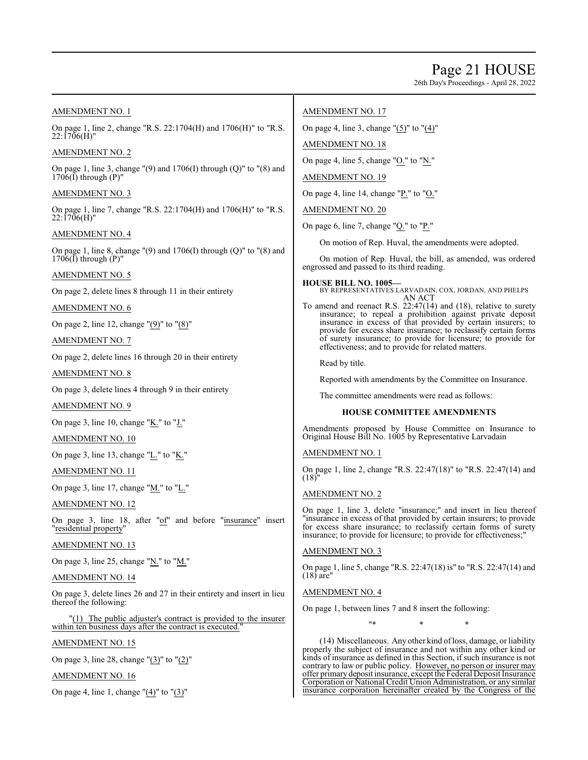# Page 21 HOUSE

26th Day's Proceedings - April 28, 2022

## AMENDMENT NO. 1

On page 1, line 2, change "R.S. 22:1704(H) and 1706(H)" to "R.S. 22:1706(H)"

### AMENDMENT NO. 2

On page 1, line 3, change  $'(9)$  and  $1706(I)$  through  $(Q)''$  to  $''(8)$  and  $1706(\overline{I})$  through  $(P)$ "

# AMENDMENT NO. 3

On page 1, line 7, change "R.S. 22:1704(H) and 1706(H)" to "R.S.  $22:1706(H)$ "

# AMENDMENT NO. 4

On page 1, line 8, change  $(9)$  and  $1706(I)$  through  $(Q)$ " to  $(8)$  and  $1706(\overline{I})$  through  $(P)$ "

# AMENDMENT NO. 5

On page 2, delete lines 8 through 11 in their entirety

AMENDMENT NO. 6

On page 2, line 12, change "(9)" to "(8)"

AMENDMENT NO. 7

On page 2, delete lines 16 through 20 in their entirety

AMENDMENT NO. 8

On page 3, delete lines 4 through 9 in their entirety

AMENDMENT NO. 9

On page 3, line 10, change " $K$ ." to "J."

AMENDMENT NO. 10

On page 3, line 13, change "L." to "K."

# AMENDMENT NO. 11

On page 3, line 17, change " $M$ ." to " $L$ ."

### AMENDMENT NO. 12

On page 3, line 18, after "of" and before "insurance" insert "residential property"

AMENDMENT NO. 13

On page 3, line 25, change " $N$ ." to " $M$ ."

### AMENDMENT NO. 14

On page 3, delete lines 26 and 27 in their entirety and insert in lieu thereof the following:

"(1) The public adjuster's contract is provided to the insurer within ten business days after the contract is executed.

### AMENDMENT NO. 15

On page 3, line 28, change "(3)" to "(2)"

AMENDMENT NO. 16

On page 4, line 1, change " $(4)$ " to " $(3)$ "

### AMENDMENT NO. 17

On page 4, line 3, change "(5)" to "(4)"

### AMENDMENT NO. 18

On page 4, line 5, change "O." to "N."

### AMENDMENT NO. 19

On page 4, line 14, change " $P''$  to "O."

AMENDMENT NO. 20

On page 6, line 7, change "Q." to "P."

On motion of Rep. Huval, the amendments were adopted.

On motion of Rep. Huval, the bill, as amended, was ordered engrossed and passed to its third reading.

**HOUSE BILL NO. 1005—** BY REPRESENTATIVES LARVADAIN, COX, JORDAN, AND PHELPS AN ACT

To amend and reenact R.S. 22:47(14) and (18), relative to surety insurance; to repeal a prohibition against private deposit insurance in excess of that provided by certain insurers; to provide for excess share insurance; to reclassify certain forms of surety insurance; to provide for licensure; to provide for effectiveness; and to provide for related matters.

Read by title.

Reported with amendments by the Committee on Insurance.

The committee amendments were read as follows:

### **HOUSE COMMITTEE AMENDMENTS**

Amendments proposed by House Committee on Insurance to Original House Bill No. 1005 by Representative Larvadain

### AMENDMENT NO. 1

On page 1, line 2, change "R.S. 22:47(18)" to "R.S. 22:47(14) and (18)"

### AMENDMENT NO. 2

On page 1, line 3, delete "insurance;" and insert in lieu thereof "insurance in excess of that provided by certain insurers; to provide for excess share insurance; to reclassify certain forms of surety insurance; to provide for licensure; to provide for effectiveness;

### AMENDMENT NO. 3

On page 1, line 5, change "R.S. 22:47(18) is" to "R.S. 22:47(14) and  $(18)$  are"

### AMENDMENT NO. 4

On page 1, between lines 7 and 8 insert the following:

\* \* \* \* \*

(14) Miscellaneous. Any other kind ofloss, damage, or liability properly the subject of insurance and not within any other kind or kinds of insurance as defined in this Section, if such insurance is not contrary to law or public policy. However, no person or insurer may offer primarydeposit insurance, except the Federal Deposit Insurance Corporation or National Credit Union Administration, or any similar insurance corporation hereinafter created by the Congress of the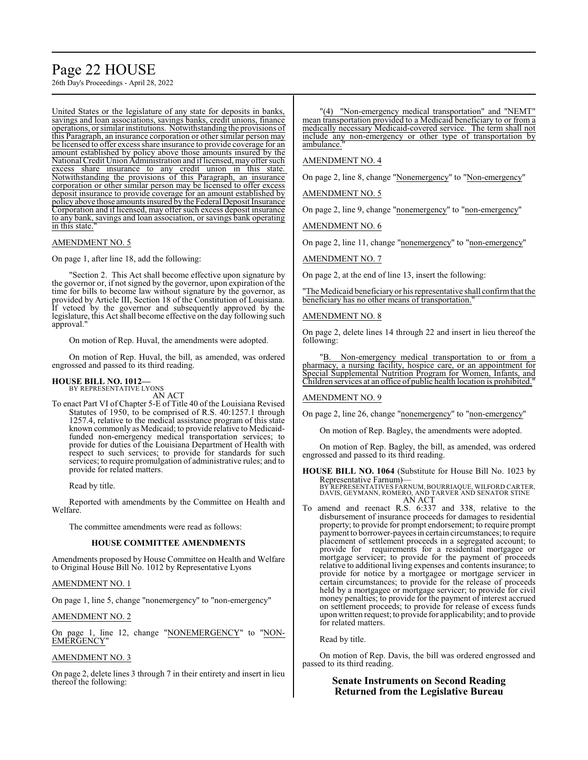# Page 22 HOUSE

26th Day's Proceedings - April 28, 2022

United States or the legislature of any state for deposits in banks, savings and loan associations, savings banks, credit unions, finance operations, or similar institutions. Notwithstanding the provisions of this Paragraph, an insurance corporation or other similar person may be licensed to offer excess share insurance to provide coverage for an amount established by policy above those amounts insured by the National Credit Union Administration and iflicensed, may offer such excess share insurance to any credit union in this state. Notwithstanding the provisions of this Paragraph, an insurance corporation or other similar person may be licensed to offer excess deposit insurance to provide coverage for an amount established by policy above those amounts insured by the Federal Deposit Insurance Corporation and if licensed, may offer such excess deposit insurance to any bank, savings and loan association, or savings bank operating in this state.

#### AMENDMENT NO. 5

On page 1, after line 18, add the following:

"Section 2. This Act shall become effective upon signature by the governor or, if not signed by the governor, upon expiration of the time for bills to become law without signature by the governor, as provided by Article III, Section 18 of the Constitution of Louisiana. If vetoed by the governor and subsequently approved by the legislature, this Act shall become effective on the day following such approval.

On motion of Rep. Huval, the amendments were adopted.

On motion of Rep. Huval, the bill, as amended, was ordered engrossed and passed to its third reading.

#### **HOUSE BILL NO. 1012—** BY REPRESENTATIVE LYONS

AN ACT

To enact Part VI of Chapter 5-E of Title 40 of the Louisiana Revised Statutes of 1950, to be comprised of R.S. 40:1257.1 through 1257.4, relative to the medical assistance program of this state known commonly as Medicaid; to provide relative to Medicaidfunded non-emergency medical transportation services; to provide for duties of the Louisiana Department of Health with respect to such services; to provide for standards for such services; to require promulgation of administrative rules; and to provide for related matters.

Read by title.

Reported with amendments by the Committee on Health and Welfare.

The committee amendments were read as follows:

#### **HOUSE COMMITTEE AMENDMENTS**

Amendments proposed by House Committee on Health and Welfare to Original House Bill No. 1012 by Representative Lyons

#### AMENDMENT NO. 1

On page 1, line 5, change "nonemergency" to "non-emergency"

AMENDMENT NO. 2

On page 1, line 12, change "NONEMERGENCY" to "NON-EMERGENCY"

#### AMENDMENT NO. 3

On page 2, delete lines 3 through 7 in their entirety and insert in lieu thereof the following:

"(4) "Non-emergency medical transportation" and "NEMT" mean transportation provided to a Medicaid beneficiary to or from a medically necessary Medicaid-covered service. The term shall not include any non-emergency or other type of transportation by ambulance.

#### AMENDMENT NO. 4

On page 2, line 8, change "Nonemergency" to "Non-emergency"

AMENDMENT NO. 5

On page 2, line 9, change "nonemergency" to "non-emergency"

AMENDMENT NO. 6

On page 2, line 11, change "nonemergency" to "non-emergency"

AMENDMENT NO. 7

On page 2, at the end of line 13, insert the following:

"The Medicaid beneficiary or his representative shall confirmthat the beneficiary has no other means of transportation.'

#### AMENDMENT NO. 8

On page 2, delete lines 14 through 22 and insert in lieu thereof the following:

Non-emergency medical transportation to or from a pharmacy, a nursing facility, hospice care, or an appointment for Special Supplemental Nutrition Program for Women, Infants, and Children services at an office of public health location is prohibited."

#### AMENDMENT NO. 9

On page 2, line 26, change "nonemergency" to "non-emergency"

On motion of Rep. Bagley, the amendments were adopted.

On motion of Rep. Bagley, the bill, as amended, was ordered engrossed and passed to its third reading.

**HOUSE BILL NO. 1064** (Substitute for House Bill No. 1023 by Representative Farnum)—

BY REPRESENTATIVES FARNUM, BOURRIAQUE, WILFORD CARTER, DAVIS, GEYMANN, ROMERO, AND TARVER AND SENATOR STINE AN ACT

To amend and reenact R.S. 6:337 and 338, relative to the disbursement of insurance proceeds for damages to residential property; to provide for prompt endorsement; to require prompt payment to borrower-payees in certain circumstances; to require placement of settlement proceeds in a segregated account; to provide for requirements for a residential mortgagee or mortgage servicer; to provide for the payment of proceeds relative to additional living expenses and contents insurance; to provide for notice by a mortgagee or mortgage servicer in certain circumstances; to provide for the release of proceeds held by a mortgagee or mortgage servicer; to provide for civil money penalties; to provide for the payment of interest accrued on settlement proceeds; to provide for release of excess funds upon written request; to provide for applicability; and to provide for related matters.

#### Read by title.

On motion of Rep. Davis, the bill was ordered engrossed and passed to its third reading.

### **Senate Instruments on Second Reading Returned from the Legislative Bureau**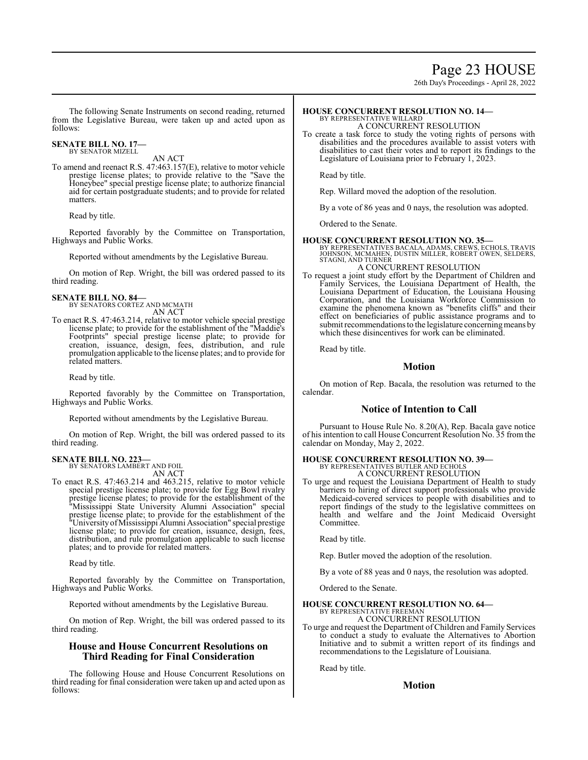# Page 23 HOUSE

26th Day's Proceedings - April 28, 2022

The following Senate Instruments on second reading, returned from the Legislative Bureau, were taken up and acted upon as follows:

#### **SENATE BILL NO. 17—** BY SENATOR MIZELL

AN ACT

To amend and reenact R.S. 47:463.157(E), relative to motor vehicle prestige license plates; to provide relative to the "Save the Honeybee" special prestige license plate; to authorize financial aid for certain postgraduate students; and to provide for related matters.

Read by title.

Reported favorably by the Committee on Transportation, Highways and Public Works.

Reported without amendments by the Legislative Bureau.

On motion of Rep. Wright, the bill was ordered passed to its third reading.

# **SENATE BILL NO. 84—** BY SENATORS CORTEZ AND MCMATH

AN ACT

To enact R.S. 47:463.214, relative to motor vehicle special prestige license plate; to provide for the establishment of the "Maddie's Footprints" special prestige license plate; to provide for creation, issuance, design, fees, distribution, and rule promulgation applicable to the license plates; and to provide for related matters.

Read by title.

Reported favorably by the Committee on Transportation, Highways and Public Works.

Reported without amendments by the Legislative Bureau.

On motion of Rep. Wright, the bill was ordered passed to its third reading.

# **SENATE BILL NO. 223—** BY SENATORS LAMBERT AND FOIL

AN ACT

To enact R.S. 47:463.214 and 463.215, relative to motor vehicle special prestige license plate; to provide for Egg Bowl rivalry prestige license plates; to provide for the establishment of the "Mississippi State University Alumni Association" special prestige license plate; to provide for the establishment of the "UniversityofMississippi Alumni Association" special prestige license plate; to provide for creation, issuance, design, fees, distribution, and rule promulgation applicable to such license plates; and to provide for related matters.

Read by title.

Reported favorably by the Committee on Transportation, Highways and Public Works.

Reported without amendments by the Legislative Bureau.

On motion of Rep. Wright, the bill was ordered passed to its third reading.

# **House and House Concurrent Resolutions on Third Reading for Final Consideration**

The following House and House Concurrent Resolutions on third reading for final consideration were taken up and acted upon as follows:

#### **HOUSE CONCURRENT RESOLUTION NO. 14—** BY REPRESENTATIVE WILLARD

A CONCURRENT RESOLUTION

To create a task force to study the voting rights of persons with disabilities and the procedures available to assist voters with disabilities to cast their votes and to report its findings to the Legislature of Louisiana prior to February 1, 2023.

Read by title.

Rep. Willard moved the adoption of the resolution.

By a vote of 86 yeas and 0 nays, the resolution was adopted.

Ordered to the Senate.

#### **HOUSE CONCURRENT RESOLUTION NO. 35—**

BY REPRESENTATIVES BACALA, ADAMS, CREWS, ECHOLS, TRAVIS<br>JOHNSON, MCMAHEN, DUSTIN MILLER, ROBERT OWEN, SELDERS,<br>STAGNI, AND TURNER

#### A CONCURRENT RESOLUTION

To request a joint study effort by the Department of Children and Family Services, the Louisiana Department of Health, the Louisiana Department of Education, the Louisiana Housing Corporation, and the Louisiana Workforce Commission to examine the phenomena known as "benefits cliffs" and their effect on beneficiaries of public assistance programs and to submit recommendations to the legislature concerning means by which these disincentives for work can be eliminated.

Read by title.

#### **Motion**

On motion of Rep. Bacala, the resolution was returned to the calendar.

### **Notice of Intention to Call**

Pursuant to House Rule No. 8.20(A), Rep. Bacala gave notice of his intention to call House Concurrent Resolution No. 35 from the calendar on Monday, May 2, 2022.

# **HOUSE CONCURRENT RESOLUTION NO. 39—** BY REPRESENTATIVES BUTLER AND ECHOLS

A CONCURRENT RESOLUTION

To urge and request the Louisiana Department of Health to study barriers to hiring of direct support professionals who provide Medicaid-covered services to people with disabilities and to report findings of the study to the legislative committees on health and welfare and the Joint Medicaid Oversight Committee.

Read by title.

Rep. Butler moved the adoption of the resolution.

By a vote of 88 yeas and 0 nays, the resolution was adopted.

Ordered to the Senate.

#### **HOUSE CONCURRENT RESOLUTION NO. 64—** BY REPRESENTATIVE FREEMAN

A CONCURRENT RESOLUTION

To urge and request the Department of Children and Family Services to conduct a study to evaluate the Alternatives to Abortion Initiative and to submit a written report of its findings and recommendations to the Legislature of Louisiana.

Read by title.

### **Motion**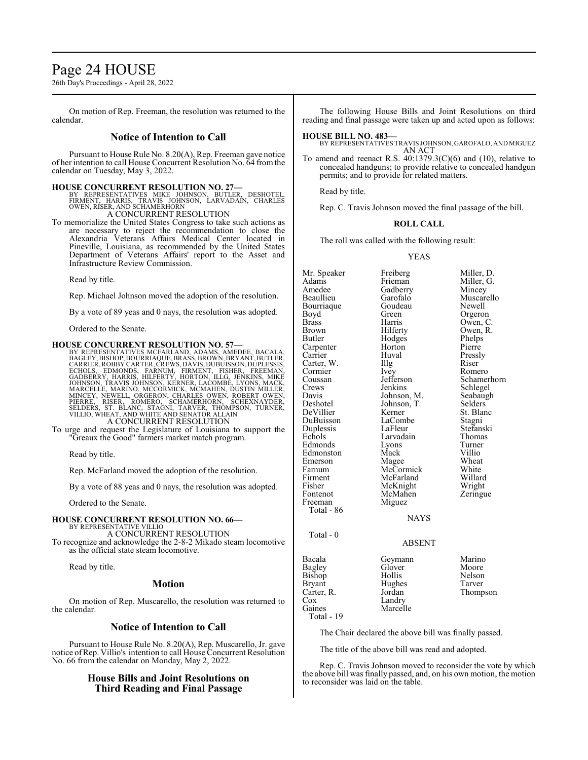# Page 24 HOUSE

26th Day's Proceedings - April 28, 2022

On motion of Rep. Freeman, the resolution was returned to the calendar.

# **Notice of Intention to Call**

Pursuant to House Rule No. 8.20(A), Rep. Freeman gave notice of her intention to call House Concurrent Resolution No. 64 fromthe calendar on Tuesday, May 3, 2022.

#### **HOUSE CONCURRENT RESOLUTION NO. 27—**

- BY REPRESENTATIVES MIKE JOHNSON, BUTLER, DESHOTEL,<br>FIRMENT, HARRIS, TRAVIS JOHNSON, LARVADAIN, CHARLES<br>OWEN,RISER,AND SCHAMERHORN<br>A CONCURRENT RESOLUTION
- To memorialize the United States Congress to take such actions as are necessary to reject the recommendation to close the Alexandria Veterans Affairs Medical Center located in Pineville, Louisiana, as recommended by the United States Department of Veterans Affairs' report to the Asset and Infrastructure Review Commission.

Read by title.

Rep. Michael Johnson moved the adoption of the resolution.

By a vote of 89 yeas and 0 nays, the resolution was adopted.

Ordered to the Senate.

#### **HOUSE CONCURRENT RESOLUTION NO. 57—**

BY REPRESENTATIVES MCFARLAND, ADAMS, AMEDEE, BACALA, BAGLEY, BISHOP, BOURRIAQUE, BRASS, BROWN, BRYANT, BUTLER, BAGLEY, BISHOP, BOURRIAQUE, BRASS, BROWN, BRYANT, BUTLER, CARRIER, ROBBY CARTER, CREWS, DAVIS, DUBUISSON, DUPLESSIS, ECHOLS, ECHOLS, ECHOLS, ECHOLS, GADBERRY, HARRIS, HILFERTY, HORTON, ILLG, JENKINS, MIKE JOHNSON, TRAVIS J A CONCURRENT RESOLUTION

To urge and request the Legislature of Louisiana to support the "Greaux the Good" farmers market match program.

Read by title.

Rep. McFarland moved the adoption of the resolution.

By a vote of 88 yeas and 0 nays, the resolution was adopted.

Ordered to the Senate.

#### **HOUSE CONCURRENT RESOLUTION NO. 66—** BY REPRESENTATIVE VILLIO

A CONCURRENT RESOLUTION To recognize and acknowledge the 2-8-2 Mikado steam locomotive as the official state steam locomotive.

Read by title.

#### **Motion**

On motion of Rep. Muscarello, the resolution was returned to the calendar.

### **Notice of Intention to Call**

Pursuant to House Rule No. 8.20(A), Rep. Muscarello, Jr. gave notice ofRep. Villio's intention to call House Concurrent Resolution No. 66 from the calendar on Monday, May 2, 2022.

# **House Bills and Joint Resolutions on Third Reading and Final Passage**

The following House Bills and Joint Resolutions on third reading and final passage were taken up and acted upon as follows:

#### **HOUSE BILL NO. 483—**

BY REPRESENTATIVES TRAVIS JOHNSON, GAROFALO, AND MIGUEZ AN ACT

To amend and reenact R.S.  $40:1379.3(C)(6)$  and  $(10)$ , relative to concealed handguns; to provide relative to concealed handgun permits; and to provide for related matters.

Read by title.

Rep. C. Travis Johnson moved the final passage of the bill.

#### **ROLL CALL**

The roll was called with the following result:

#### YEAS

Mr. Speaker Freiberg Miller, D.<br>Adams Frieman Miller, G. Adams Frieman Miller, G.<br>Amedee Gadberry Mincey Amedee Gadberry<br>Beaullieu Garofalo Garofalo Muscarello<br>Goudeau Newell Bourriaque Goude<br>Boyd Green Boyd Green Orgeron<br>Brass Harris Owen C Brass Harris Owen, C. Brown Hilferty Owen, R.<br>Butler Hodges Phelps Hodges Phelps<br>
Horton Pierre Carpenter Horton<br>Carrier Huval Huval Pressly<br>Illg Riser Carter, W. Illg Riser<br>
Cormier Ivey Romero Cormier Ivey<br>Coussan Jefferson Coussan Jefferson Schamerhorn<br>Crews Jenkins Schlegel Crews Jenkins Schlegel<br>Davis Johnson, M. Seabaugh Davis Johnson, M. Seabaughter Seabaughter Selders Johnson, T. Selders<br>Kerner St. Blanc DeVillier Kerner St. Bla<br>DuBuisson LaCombe Stagni DuBuisson LaCombe Stagni Duplessis LaFleur Stefansk<br>Echols Larvadain Thomas Larvadain Thoma<br>Lyons Turner Edmonds Lyons Turner<br>Edmonston Mack Villio Edmonston Mack Villio<br>Emerson Magee Wheat Emerson Magee Wheat<br>
Farnum McCormick White Farnum McCormick White<br>Firment McFarland Willard Firment McFarland Willard<br>Fisher McKnight Wright Fisher McKnight Wright<br>Fontenot McMahen Zeringue Fontenot McMahen<br>Freeman Miguez Miguez Total - 86 Total - 0 Bacala Geymann Marino Bagley Glover<br>Bishon Hollis Bishop Hollis Nelson<br>Bryant Hughes Tarver Carter, R.<br>Cox Cox Landry<br>
Gaines Marcel Marcelle

Hughes Tarver<br>Jordan Thompson

Total - 19

The Chair declared the above bill was finally passed.

NAYS

ABSENT

The title of the above bill was read and adopted.

Rep. C. Travis Johnson moved to reconsider the vote by which the above bill was finally passed, and, on his own motion, the motion to reconsider was laid on the table.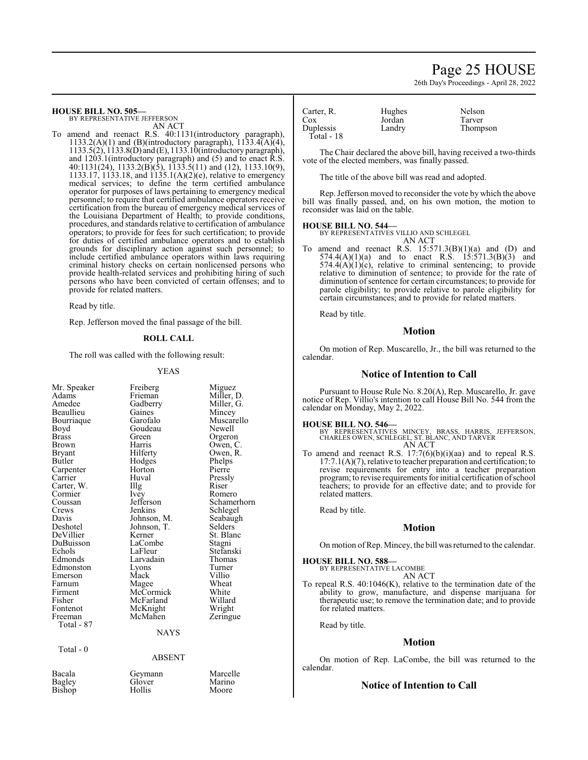# Page 25 HOUSE

26th Day's Proceedings - April 28, 2022

**HOUSE BILL NO. 505—** BY REPRESENTATIVE JEFFERSON

AN ACT

To amend and reenact R.S. 40:1131(introductory paragraph), 1133.2(A)(1) and (B)(introductory paragraph),  $1133.4(A)(4)$ , 1133.5(2), 1133.8(D) and (E), 1133.10(introductory paragraph), and 1203.1(introductory paragraph) and (5) and to enact R.S. 40:1131(24), 1133.2(B)(5), 1133.5(11) and (12), 1133.10(9), 1133.17, 1133.18, and 1135.1(A)(2)(e), relative to emergency medical services; to define the term certified ambulance operator for purposes of laws pertaining to emergency medical personnel; to require that certified ambulance operators receive certification from the bureau of emergency medical services of the Louisiana Department of Health; to provide conditions, procedures, and standards relative to certification of ambulance operators; to provide for fees for such certification; to provide for duties of certified ambulance operators and to establish grounds for disciplinary action against such personnel; to include certified ambulance operators within laws requiring criminal history checks on certain nonlicensed persons who provide health-related services and prohibiting hiring of such persons who have been convicted of certain offenses; and to provide for related matters.

Read by title.

Rep. Jefferson moved the final passage of the bill.

#### **ROLL CALL**

The roll was called with the following result:

#### YEAS

| Mr. Speaker<br>Adams<br>Amedee<br>Beaullieu<br>Bourriaque<br>Boyd<br>Brass<br>Brown<br>Bryant<br>Butler<br>Carpenter<br>Carrier<br>Carter, W.<br>Cormier<br>Coussan<br>Crews<br>Davis<br>Deshotel<br>DeVillier<br>DuBuisson<br>Echols<br>Edmonds<br>Edmonston<br>Emerson<br>Farnum<br>Firment<br>Fisher<br>Fontenot | Freiberg<br>Frieman<br>Gadberry<br>Gaines<br>Garofalo<br>Goudeau<br>Green<br>Harris<br>Hilferty<br>Hodges<br>Horton<br>Huval<br>Illg<br>Ivey<br>Jefferson<br>Jenkins<br>Johnson, M.<br>Johnson, T.<br>Kerner<br>LaCombe<br>LaFleur<br>Larvadain<br>Lyons<br>Mack<br>Magee<br>McCormick<br>McFarland<br>McKnight<br>McMahen | Miguez<br>Miller, D.<br>Miller, G.<br>Mincey<br>Muscarello<br>Newell<br>Orgeron<br>Owen, C.<br>Owen, R.<br>Phelps<br>Pierre<br>Pressly<br>Riser<br>Romero<br>Schamerhorn<br>Schlegel<br>Seabaugh<br>Selders<br>St. Blanc<br>Stagni<br>Stefanski<br>Thomas<br>Turner<br>Villio<br>Wheat<br>White<br>Willard<br>Wright |
|---------------------------------------------------------------------------------------------------------------------------------------------------------------------------------------------------------------------------------------------------------------------------------------------------------------------|----------------------------------------------------------------------------------------------------------------------------------------------------------------------------------------------------------------------------------------------------------------------------------------------------------------------------|----------------------------------------------------------------------------------------------------------------------------------------------------------------------------------------------------------------------------------------------------------------------------------------------------------------------|
| Freeman<br>Total - 87                                                                                                                                                                                                                                                                                               |                                                                                                                                                                                                                                                                                                                            | Zeringue                                                                                                                                                                                                                                                                                                             |
|                                                                                                                                                                                                                                                                                                                     | NAYS                                                                                                                                                                                                                                                                                                                       |                                                                                                                                                                                                                                                                                                                      |
| Total - 0                                                                                                                                                                                                                                                                                                           | ABSENT                                                                                                                                                                                                                                                                                                                     |                                                                                                                                                                                                                                                                                                                      |
|                                                                                                                                                                                                                                                                                                                     |                                                                                                                                                                                                                                                                                                                            |                                                                                                                                                                                                                                                                                                                      |
| Bacala<br>Bagley<br>Bishop                                                                                                                                                                                                                                                                                          | Geymann<br>Glover<br>Hollis                                                                                                                                                                                                                                                                                                | Marcelle<br>Marino<br>Moore                                                                                                                                                                                                                                                                                          |

| Carter, R.              | Hughes | Nelson   |
|-------------------------|--------|----------|
| Cox                     | Jordan | Tarver   |
| Duplessis<br>Total - 18 | Landry | Thompson |
|                         |        |          |

The Chair declared the above bill, having received a two-thirds vote of the elected members, was finally passed.

The title of the above bill was read and adopted.

Rep. Jefferson moved to reconsider the vote by which the above bill was finally passed, and, on his own motion, the motion to reconsider was laid on the table.

#### **HOUSE BILL NO. 544—**

BY REPRESENTATIVES VILLIO AND SCHLEGEL AN ACT

To amend and reenact R.S.  $15:571.3(B)(1)(a)$  and  $(D)$  and 574.4(A)(1)(a) and to enact R.S. 15:571.3(B)(3) and  $574.4(A)(1)(c)$ , relative to criminal sentencing; to provide relative to diminution of sentence; to provide for the rate of diminution of sentence for certain circumstances; to provide for parole eligibility; to provide relative to parole eligibility for certain circumstances; and to provide for related matters.

Read by title.

#### **Motion**

On motion of Rep. Muscarello, Jr., the bill was returned to the calendar.

#### **Notice of Intention to Call**

Pursuant to House Rule No. 8.20(A), Rep. Muscarello, Jr. gave notice of Rep. Villio's intention to call House Bill No. 544 from the calendar on Monday, May 2, 2022.

#### **HOUSE BILL NO. 546—**

BY REPRESENTATIVES MINCEY, BRASS, HARRIS, JEFFERSON, CHARLES OWEN, SCHLEGEL, ST. BLANC, AND TARVER AN ACT

To amend and reenact R.S. 17:7(6)(b)(i)(aa) and to repeal R.S. 17:7.1(A)(7), relative to teacher preparation and certification; to revise requirements for entry into a teacher preparation program; to revise requirements for initial certification ofschool teachers; to provide for an effective date; and to provide for related matters.

Read by title.

# **Motion**

On motion of Rep. Mincey, the bill was returned to the calendar.

**HOUSE BILL NO. 588—** BY REP

| PRESENTATIVE LACOMBE |        |
|----------------------|--------|
|                      | AN ACT |

To repeal R.S. 40:1046(K), relative to the termination date of the ability to grow, manufacture, and dispense marijuana for therapeutic use; to remove the termination date; and to provide for related matters.

Read by title.

#### **Motion**

On motion of Rep. LaCombe, the bill was returned to the calendar.

#### **Notice of Intention to Call**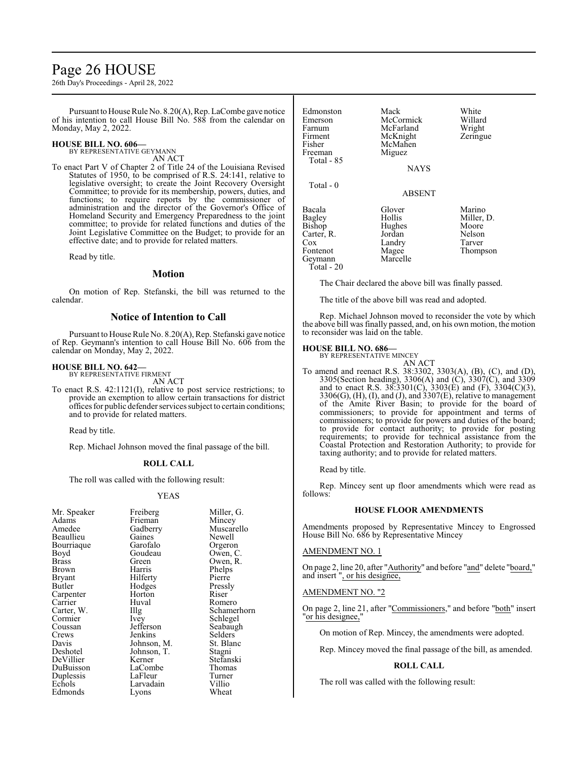# Page 26 HOUSE

26th Day's Proceedings - April 28, 2022

Pursuant to House Rule No. 8.20(A), Rep. LaCombe gave notice of his intention to call House Bill No. 588 from the calendar on Monday, May 2, 2022.

#### **HOUSE BILL NO. 606—**

BY REPRESENTATIVE GEYMANN

AN ACT To enact Part V of Chapter 2 of Title 24 of the Louisiana Revised Statutes of 1950, to be comprised of R.S. 24:141, relative to legislative oversight; to create the Joint Recovery Oversight Committee; to provide for its membership, powers, duties, and functions; to require reports by the commissioner of administration and the director of the Governor's Office of Homeland Security and Emergency Preparedness to the joint committee; to provide for related functions and duties of the Joint Legislative Committee on the Budget; to provide for an effective date; and to provide for related matters.

Read by title.

### **Motion**

On motion of Rep. Stefanski, the bill was returned to the calendar.

## **Notice of Intention to Call**

Pursuant to House Rule No. 8.20(A), Rep. Stefanski gave notice of Rep. Geymann's intention to call House Bill No. 606 from the calendar on Monday, May 2, 2022.

#### **HOUSE BILL NO. 642—**

BY REPRESENTATIVE FIRMENT

AN ACT To enact R.S. 42:1121(I), relative to post service restrictions; to provide an exemption to allow certain transactions for district offices for public defender services subject to certain conditions; and to provide for related matters.

Read by title.

Rep. Michael Johnson moved the final passage of the bill.

#### **ROLL CALL**

The roll was called with the following result:

#### YEAS

| Mr. Speaker | Freiberg    | Miller, G.  |
|-------------|-------------|-------------|
| Adams       | Frieman     | Mincey      |
| Amedee      | Gadberry    | Muscarello  |
| Beaullieu   | Gaines      | Newell      |
| Bourriaque  | Garofalo    | Orgeron     |
| Boyd        | Goudeau     | Owen, C.    |
| Brass       | Green       | Owen, R.    |
| Brown       | Harris      | Phelps      |
| Bryant      | Hilferty    | Pierre      |
| Butler      | Hodges      | Pressly     |
|             | Horton      | Riser       |
| Carpenter   |             |             |
| Carrier     | Huval       | Romero      |
| Carter, W.  | $\prod$ llg | Schamerhorn |
| Cormier     | Ivey        | Schlegel    |
| Coussan     | Jefferson   | Seabaugh    |
| Crews       | Jenkins     | Selders     |
| Davis       | Johnson, M. | St. Blanc   |
| Deshotel    | Johnson, T. | Stagni      |
| DeVillier   | Kerner      | Stefanski   |
| DuBuisson   | LaCombe     | Thomas      |
| Duplessis   | LaFleur     | Turner      |
| Echols      | Larvadain   | Villio      |
| Edmonds     | Lyons       | Wheat       |
|             |             |             |

| Edmonston<br>Emerson<br>Farnum<br>Firment<br>Fisher<br>Freeman<br>Total - 85         | Mack<br>McCormick<br>McFarland<br>McKnight<br>McMahen<br>Miguez<br><b>NAYS</b> | White<br>Willard<br>Wright<br>Zeringue                        |
|--------------------------------------------------------------------------------------|--------------------------------------------------------------------------------|---------------------------------------------------------------|
| Total - 0                                                                            | <b>ABSENT</b>                                                                  |                                                               |
| Bacala<br>Bagley<br>Bishop<br>Carter, R.<br>Cox<br>Fontenot<br>Geymann<br>Total - 20 | Glover<br>Hollis<br>Hughes<br>Jordan<br>Landry<br>Magee<br>Marcelle            | Marino<br>Miller, D.<br>Moore<br>Nelson<br>Tarver<br>Thompson |

The Chair declared the above bill was finally passed.

The title of the above bill was read and adopted.

Rep. Michael Johnson moved to reconsider the vote by which the above bill was finally passed, and, on his own motion, the motion to reconsider was laid on the table.

#### **HOUSE BILL NO. 686—**

BY REPRESENTATIVE MINCEY AN ACT

- To amend and reenact R.S. 38:3302, 3303(A), (B), (C), and (D), 3305(Section heading), 3306(A) and (C), 3307(C), and 3309 and to enact R.S. 38:3301(C), 3303(E) and (F), 3304(C)(3), 3306(G), (H), (I), and (J), and 3307(E), relative to management of the Amite River Basin; to provide for the board of commissioners; to provide for appointment and terms of commissioners; to provide for powers and duties of the board; to provide for contact authority; to provide for posting requirements; to provide for technical assistance from the Coastal Protection and Restoration Authority; to provide for taxing authority; and to provide for related matters.
	- Read by title.

Rep. Mincey sent up floor amendments which were read as follows:

#### **HOUSE FLOOR AMENDMENTS**

Amendments proposed by Representative Mincey to Engrossed House Bill No. 686 by Representative Mincey

#### AMENDMENT NO. 1

On page 2, line 20, after "Authority" and before "and" delete "board," and insert ", or his designee,

#### AMENDMENT NO. "2

On page 2, line 21, after "Commissioners," and before "both" insert "<u>or his designee,</u>"

On motion of Rep. Mincey, the amendments were adopted.

Rep. Mincey moved the final passage of the bill, as amended.

#### **ROLL CALL**

The roll was called with the following result: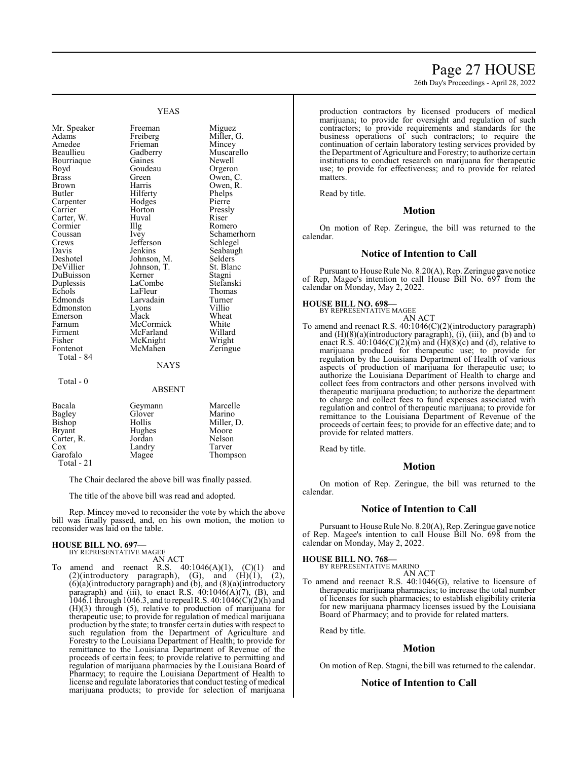# Page 27 HOUSE

26th Day's Proceedings - April 28, 2022

YEAS

Boyd Goudeau<br>Brass Green Cormier Crews Jefferson<br>Davis Jenkins Fisher McKnight<br>Fontenot McMahen Total - 84 Total - 0

Mr. Speaker Freeman Miguez<br>Adams Freiberg Miller, Freiberg Miller, G.<br>Frieman Mincey Amedee Frieman Mincey<br>
Beaullieu Gadberry Muscarello Gadberry Bourriaque Gaines Newell<br>Boyd Goudeau Orgeron Brass Green Owen, C.<br>Brown Harris Owen, R Brown Harris Owen, R.<br>Butler Hilferty Phelps Hilferty<br>
Hodges<br>
Pierre Carpenter Hodges Pierre<br>Carrier Horton Pressly Horton Pressl<br>Huval Riser Carter, W. Huval Riser Cormier Hulg Romero Coussan Ivey Schamerhorn<br>Crews Jefferson Schlegel Davis Jenkins Seabaugh<br>Deshotel Johnson, M. Selders Deshotel Johnson, M. Selders<br>DeVillier Johnson, T. St. Blanc Johnson, T. St. Bla<br>Kerner Stagni DuBuisson Kerner Stagni<br>
Duplessis LaCombe Stefanski Duplessis LaCombe Stefansk<br>Echols LaFleur Thomas Echols LaFleur Thoma<br>Edmonds Larvadain Turner Larvadain Turner<br>Lyons Villio Edmonston Lyons Villio<br>Emerson Mack Wheat Emerson Mack Wheat<br>
Farnum McCormick White Farnum McCormick White<br>Firment McFarland Willard Firment McFarland Willard<br>Fisher McKnight Wright **NAYS** 

### ABSENT

Zeringue

| Bacala        | Geymann | Marcelle   |
|---------------|---------|------------|
| <b>Bagley</b> | Glover  | Marino     |
| Bishop        | Hollis  | Miller, D. |
| <b>Bryant</b> | Hughes  | Moore      |
| Carter, R.    | Jordan  | Nelson     |
| Cox           | Landry  | Tarver     |
| Garofalo      | Magee   | Thompson   |
| Total - 21    |         |            |

The Chair declared the above bill was finally passed.

The title of the above bill was read and adopted.

Rep. Mincey moved to reconsider the vote by which the above bill was finally passed, and, on his own motion, the motion to reconsider was laid on the table.

#### **HOUSE BILL NO. 697—**

BY REPRESENTATIVE MAGEE AN ACT

To amend and reenact R.S.  $40:1046(A)(1)$ ,  $(C)(1)$  and  $(2)$ (introductory paragraph),  $(G)$ , and  $(H)(1)$ ,  $(2)$ , (6)(a)(introductory paragraph) and (b), and (8)(a)(introductory paragraph) and (iii), to enact R.S.  $40:1046(A)(7)$ , (B), and 1046.1 through 1046.3, and to repeal R.S. 40:1046(C)(2)(h) and (H)(3) through (5), relative to production of marijuana for therapeutic use; to provide for regulation of medical marijuana production by the state; to transfer certain duties with respect to such regulation from the Department of Agriculture and Forestry to the Louisiana Department of Health; to provide for remittance to the Louisiana Department of Revenue of the proceeds of certain fees; to provide relative to permitting and regulation of marijuana pharmacies by the Louisiana Board of Pharmacy; to require the Louisiana Department of Health to license and regulate laboratories that conduct testing of medical marijuana products; to provide for selection of marijuana

production contractors by licensed producers of medical marijuana; to provide for oversight and regulation of such contractors; to provide requirements and standards for the business operations of such contractors; to require the continuation of certain laboratory testing services provided by the Department of Agriculture and Forestry; to authorize certain institutions to conduct research on marijuana for therapeutic use; to provide for effectiveness; and to provide for related matters.

Read by title.

# **Motion**

On motion of Rep. Zeringue, the bill was returned to the calendar.

#### **Notice of Intention to Call**

Pursuant to House Rule No. 8.20(A), Rep. Zeringue gave notice of Rep, Magee's intention to call House Bill No. 697 from the calendar on Monday, May 2, 2022.

#### **HOUSE BILL NO. 698—**

BY REPRESENTATIVE MAGEE

AN ACT To amend and reenact R.S. 40:1046(C)(2)(introductory paragraph) and (H)(8)(a)(introductory paragraph), (i), (iii), and (b) and to enact R.S.  $40:1046(C)(2)(m)$  and  $(H)(8)(c)$  and  $(d)$ , relative to marijuana produced for therapeutic use; to provide for regulation by the Louisiana Department of Health of various aspects of production of marijuana for therapeutic use; to authorize the Louisiana Department of Health to charge and collect fees from contractors and other persons involved with therapeutic marijuana production; to authorize the department to charge and collect fees to fund expenses associated with regulation and control of therapeutic marijuana; to provide for remittance to the Louisiana Department of Revenue of the proceeds of certain fees; to provide for an effective date; and to provide for related matters.

Read by title.

# **Motion**

On motion of Rep. Zeringue, the bill was returned to the calendar.

#### **Notice of Intention to Call**

Pursuant to House Rule No. 8.20(A), Rep. Zeringue gave notice of Rep. Magee's intention to call House Bill No. 698 from the calendar on Monday, May 2, 2022.

**HOUSE BILL NO. 768—**

BY REPRESENTATIVE MARINO AN ACT

To amend and reenact R.S. 40:1046(G), relative to licensure of therapeutic marijuana pharmacies; to increase the total number of licenses for such pharmacies; to establish eligibility criteria for new marijuana pharmacy licenses issued by the Louisiana Board of Pharmacy; and to provide for related matters.

Read by title.

#### **Motion**

On motion of Rep. Stagni, the bill was returned to the calendar.

#### **Notice of Intention to Call**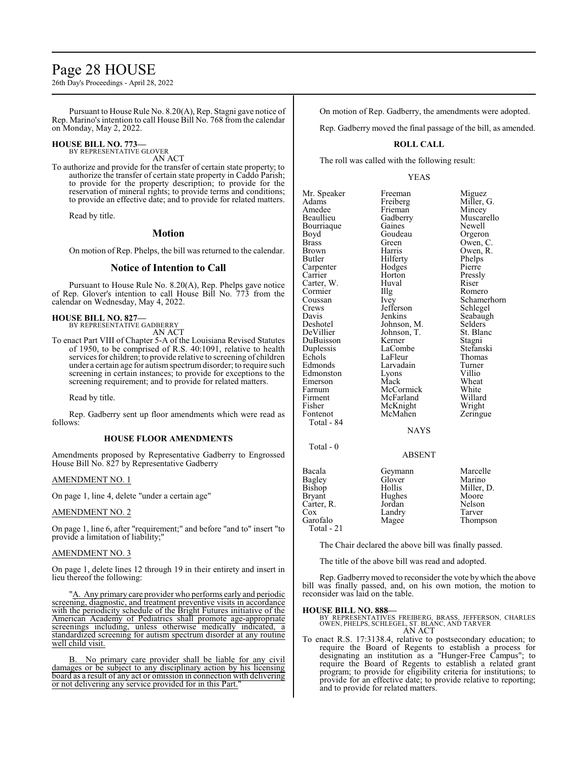# Page 28 HOUSE

26th Day's Proceedings - April 28, 2022

Pursuant to House Rule No. 8.20(A), Rep. Stagni gave notice of Rep. Marino's intention to call House Bill No. 768 from the calendar on Monday, May 2, 2022.

### **HOUSE BILL NO. 773—**

BY REPRESENTATIVE GLOVER

AN ACT

To authorize and provide for the transfer of certain state property; to authorize the transfer of certain state property in Caddo Parish; to provide for the property description; to provide for the reservation of mineral rights; to provide terms and conditions; to provide an effective date; and to provide for related matters.

Read by title.

### **Motion**

On motion of Rep. Phelps, the bill was returned to the calendar.

### **Notice of Intention to Call**

Pursuant to House Rule No. 8.20(A), Rep. Phelps gave notice of Rep. Glover's intention to call House Bill No. 773 from the calendar on Wednesday, May 4, 2022.

# **HOUSE BILL NO. 827—** BY REPRESENTATIVE GADBERRY

AN ACT

To enact Part VIII of Chapter 5-A of the Louisiana Revised Statutes of 1950, to be comprised of R.S. 40:1091, relative to health services for children; to provide relative to screening of children under a certain age for autismspectrumdisorder; to require such screening in certain instances; to provide for exceptions to the screening requirement; and to provide for related matters.

Read by title.

Rep. Gadberry sent up floor amendments which were read as follows:

#### **HOUSE FLOOR AMENDMENTS**

Amendments proposed by Representative Gadberry to Engrossed House Bill No. 827 by Representative Gadberry

#### AMENDMENT NO. 1

On page 1, line 4, delete "under a certain age"

#### AMENDMENT NO. 2

On page 1, line 6, after "requirement;" and before "and to" insert "to provide a limitation of liability;"

#### AMENDMENT NO. 3

On page 1, delete lines 12 through 19 in their entirety and insert in lieu thereof the following:

"A. Any primary care provider who performs early and periodic screening, diagnostic, and treatment preventive visits in accordance with the periodicity schedule of the Bright Futures initiative of the American Academy of Pediatrics shall promote age-appropriate screenings including, unless otherwise medically indicated, a standardized screening for autism spectrum disorder at any routine well child visit.

B. No primary care provider shall be liable for any civil damages or be subject to any disciplinary action by his licensing board as a result of any act or omission in connection with delivering or not delivering any service provided for in this Part."

On motion of Rep. Gadberry, the amendments were adopted.

Rep. Gadberry moved the final passage of the bill, as amended.

## **ROLL CALL**

The roll was called with the following result:

#### YEAS

Mr. Speaker Freeman Miguez<br>Adams Freiberg Miller, Adams Freiberg Miller, G. Amedee Frieman<br>Beaullieu Gadberry Bourriaque Gaines<br>Boyd Goudeau Boyd Goudeau Orgeron Brass Green Owen, C. Brown Harris Owen, R.<br>Butler Hilferty Phelps Hilferty<br>
Hodges<br>
Pierre Carpenter Hodges Pierre<br>Carrier Horton Pressly Horton Pressl<br>Huval Riser Carter, W. Huv<br>Cormier IIIg Cormier Illg Romero<br>Coussan Ivev Schamer Coussan Ivey Schamerhorn<br>Crews Jefferson Schlegel Crews Jefferson<br>Davis Jenkins Davis Jenkins Seabaugh<br>Deshotel Johnson, M. Selders Deshotel Johnson, M. Selders<br>DeVillier Johnson, T. St. Blanc Johnson, T. St. Bla<br>Kerner Stagni DuBuisson Kerner Stagni<br>
Duplessis LaCombe Stefanski Duplessis LaComb<br>Echols LaFleur Echols LaFleur Thomas<br>Edmonds Larvadain Turner Larvadain Turner<br>
Lyons Villio Edmonston Lyons Villio<br>Emerson Mack Wheat Emerson Mack Wheat<br>
Farnum McCormick White Farnum McCormick White<br>Firment McFarland Willard Firment McFarland Willard<br>Fisher McKnight Wright Fisher McKnight<br>Fontenot McMahen McMahen Zeringue Total - 84  $Total - 0$ 

Gadberry Muscarello<br>Gaines Newell

**NAYS** 

#### ABSENT

| Bacala     | Geymann | Marcelle   |
|------------|---------|------------|
| Bagley     | Glover  | Marino     |
| Bishop     | Hollis  | Miller, D. |
| Bryant     | Hughes  | Moore      |
| Carter, R. | Jordan  | Nelson     |
| Cox        | Landry  | Tarver     |
| Garofalo   | Magee   | Thompson   |
| Total - 21 |         |            |

The Chair declared the above bill was finally passed.

The title of the above bill was read and adopted.

Rep. Gadberrymoved to reconsider the vote by which the above bill was finally passed, and, on his own motion, the motion to reconsider was laid on the table.

#### **HOUSE BILL NO. 888—**

BY REPRESENTATIVES FREIBERG, BRASS, JEFFERSON, CHARLES OWEN, PHELPS, SCHLEGEL, ST. BLANC, AND TARVER AN ACT

To enact R.S. 17:3138.4, relative to postsecondary education; to require the Board of Regents to establish a process for designating an institution as a "Hunger-Free Campus"; to require the Board of Regents to establish a related grant program; to provide for eligibility criteria for institutions; to provide for an effective date; to provide relative to reporting; and to provide for related matters.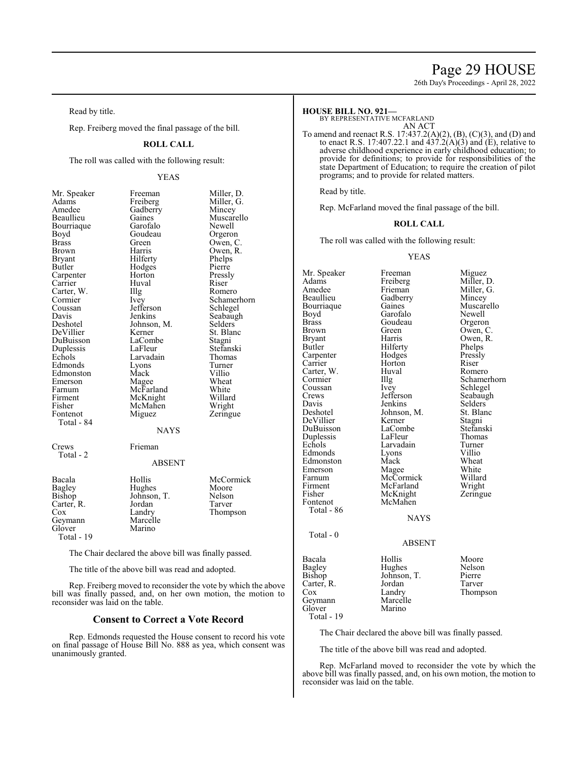# Page 29 HOUSE

26th Day's Proceedings - April 28, 2022

Read by title.

Rep. Freiberg moved the final passage of the bill.

### **ROLL CALL**

The roll was called with the following result:

### YEAS

| Mr. Speaker   | Freeman       | Miller, D.  |
|---------------|---------------|-------------|
| Adams         | Freiberg      | Miller, G.  |
| Amedee        | Gadberry      | Mincey      |
| Beaullieu     | Gaines        | Muscarello  |
| Bourriaque    | Garofalo      | Newell      |
| Boyd          | Goudeau       | Orgeron     |
| <b>Brass</b>  | Green         | Owen, C.    |
| Brown         | Harris        | Owen, R.    |
| <b>Bryant</b> | Hilferty      | Phelps      |
| Butler        | Hodges        | Pierre      |
| Carpenter     | Horton        | Pressly     |
| Carrier       | Huval         | Riser       |
| Carter, W.    | Illg          | Romero      |
| Cormier       | Ivey          | Schamerhorn |
| Coussan       | Jefferson     | Schlegel    |
| Davis         | Jenkins       | Seabaugh    |
| Deshotel      | Johnson, M.   | Selders     |
| DeVillier     | Kerner        | St. Blanc   |
| DuBuisson     | LaCombe       | Stagni      |
| Duplessis     | LaFleur       | Stefanski   |
| Echols        | Larvadain     | Thomas      |
| Edmonds       | Lyons         | Turner      |
| Edmonston     | Mack          | Villio      |
| Emerson       | Magee         | Wheat       |
| Farnum        | McFarland     | White       |
| Firment       | McKnight      | Willard     |
| Fisher        | McMahen       | Wright      |
| Fontenot      | Miguez        | Zeringue    |
| Total - 84    |               |             |
|               | <b>NAYS</b>   |             |
| Crews         | Frieman       |             |
| Total - 2     |               |             |
|               | <b>ABSENT</b> |             |
| Bacala        | Hollis        | McCormick   |
| Bagley        | Hughes        | Moore       |
| Bishop        | Johnson, T.   | Nelson      |
| Carter, R.    | Jordan        | Tarver      |
| $\cos$        | Landry        | Thompson    |
| Geymann       | Marcelle      |             |
| Glover        | Marino        |             |
| Total - 19    |               |             |

The Chair declared the above bill was finally passed.

The title of the above bill was read and adopted.

Rep. Freiberg moved to reconsider the vote by which the above bill was finally passed, and, on her own motion, the motion to reconsider was laid on the table.

#### **Consent to Correct a Vote Record**

Rep. Edmonds requested the House consent to record his vote on final passage of House Bill No. 888 as yea, which consent was unanimously granted.

#### **HOUSE BILL NO. 921—**

BY REPRESENTATIVE MCFARLAND

AN ACT

To amend and reenact R.S. 17:437.2(A)(2), (B), (C)(3), and (D) and to enact R.S. 17:407.22.1 and  $437.2(A)(3)$  and (E), relative to adverse childhood experience in early childhood education; to provide for definitions; to provide for responsibilities of the state Department of Education; to require the creation of pilot programs; and to provide for related matters.

Read by title.

Rep. McFarland moved the final passage of the bill.

#### **ROLL CALL**

The roll was called with the following result:

#### YEAS

Mr. Speaker Freeman Miguez<br>Adams Freiberg Miller, D. Adams Freiberg<br>
Amedee Frieman Amedee Frieman Miller, G.<br>Beaullieu Gadberry Mincey Beaullieu Gadberry<br>Bourriaque Gaines Bourriaque Gaines Muscarello<br>
Boyd Garofalo Newell Boyd Garofalo<br>Brass Goudeau Brass Goudeau Orgeron<br>Brown Green Owen Brown Green Owen, C.<br>Bryant Harris Owen, R. Bryant Harris Owen, R.<br>Butler Hilferty Phelps Hilferty<br>
Hodges<br>
Pressly Carpenter Hodges Pressly<br>Carrier Horton Riser Carrier Horton Riser Carter, W. Huval Romero<br>Cormier Illg Schame Coussan Ivey<br>Crews Jefferson Crews Jefferson Seabaugh<br>
Davis Ienkins Selders Davis Jenkins Selders<br>Deshotel Johnson, M. St. Blanc Johnson, M. St. Blanck Stagni<br>
Kerner Stagni DeVillier Kerner Stagni<br>
DuBuisson LaCombe Stefanski DuBuisson LaCombe Stefansk<br>Duplessis LaFleur Thomas Duplessis LaFleur Thoma<br>
Echols Larvadain Turner Larvadain Turner<br>
Lyons Villio Edmonds Lyons Villio<br>Edmonston Mack Wheat Edmonston Mack Wheat<br>Emerson Magee White Emerson Magee White<br>
Farnum McCormick Willard Farnum McCormick Willard<br>Firment McFarland Wright Firment McFarland Wright<br>
Fisher McKnight Zeringue Fisher McKnight<br>Fontenot McMahen McMahen Total - 86 Total - 0 Bacala Hollis Moore Bagley Hughes Nelson<br>Bishop Johnson, T. Pierre Johnson, T. Pierre<br>Jordan Tarver Carter, R. Jordan Cox Landry Thompson<br>Marcelle Geymann<br>Glover Marino

Total - 19

Illg Schamerhorn<br>Ivev Schlegel

NAYS

#### ABSENT

The Chair declared the above bill was finally passed.

The title of the above bill was read and adopted.

Rep. McFarland moved to reconsider the vote by which the above bill was finally passed, and, on his own motion, the motion to reconsider was laid on the table.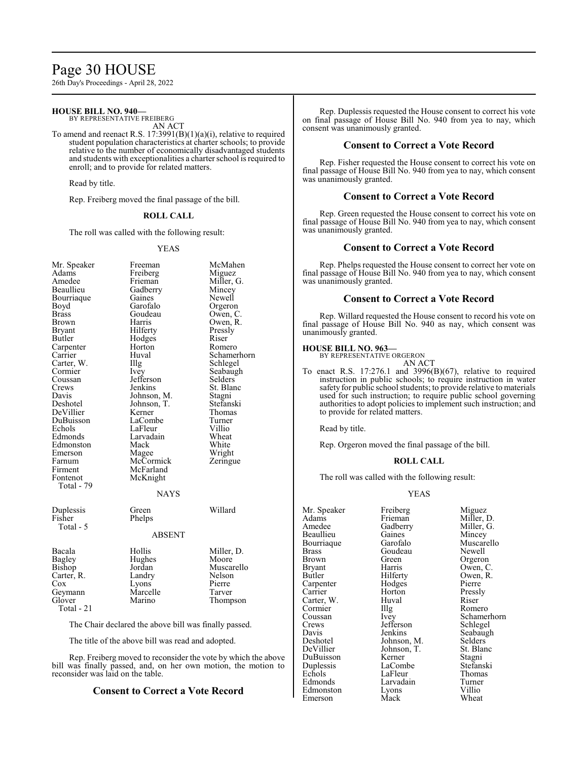# Page 30 HOUSE

26th Day's Proceedings - April 28, 2022

### **HOUSE BILL NO. 940—**

BY REPRESENTATIVE FREIBERG AN ACT

To amend and reenact R.S. 17:3991(B)(1)(a)(i), relative to required student population characteristics at charter schools; to provide relative to the number of economically disadvantaged students and students with exceptionalities a charter school is required to enroll; and to provide for related matters.

Read by title.

Rep. Freiberg moved the final passage of the bill.

#### **ROLL CALL**

The roll was called with the following result:

#### YEAS

| Mr. Speaker   | Freeman       | McMahen     |
|---------------|---------------|-------------|
| Adams         | Freiberg      | Miguez      |
| Amedee        | Frieman       | Miller, G.  |
| Beaullieu     | Gadberry      | Mincey      |
| Bourriaque    | Gaines        | Newell      |
| Boyd          | Garofalo      | Orgeron     |
| Brass         | Goudeau       | Owen, C.    |
| Brown         | Harris        | Owen, R.    |
| <b>Bryant</b> | Hilferty      | Pressly     |
| Butler        | Hodges        | Riser       |
| Carpenter     | Horton        | Romero      |
| Carrier       | Huval         | Schamerhorn |
| Carter, W.    | Illg          | Schlegel    |
| Cormier       | Ivey          | Seabaugh    |
| Coussan       | Jefferson     | Selders     |
| Crews         | Jenkins       | St. Blanc   |
| Davis         | Johnson, M.   | Stagni      |
| Deshotel      | Johnson, T.   | Stefanski   |
| DeVillier     | Kerner        | Thomas      |
| DuBuisson     | LaCombe       | Turner      |
| Echols        | LaFleur       | Villio      |
| Edmonds       | Larvadain     | Wheat       |
|               | Mack          | White       |
| Edmonston     |               |             |
| Emerson       | Magee         | Wright      |
| Farnum        | McCormick     | Zeringue    |
| Firment       | McFarland     |             |
| Fontenot      | McKnight      |             |
| Total - 79    |               |             |
|               | <b>NAYS</b>   |             |
| Duplessis     | Green         | Willard     |
| Fisher        | Phelps        |             |
| Total - 5     |               |             |
|               | <b>ABSENT</b> |             |
| Bacala        | Hollis        | Miller, D.  |
| Bagley        | Hughes        | Moore       |
| Bishop        | Jordan        | Muscarello  |
| Carter, R.    | Landry        | Nelson      |
| Cox           | Lyons         | Pierre      |
| Geymann       | Marcelle      | Tarver      |
| Glover        | Marino        | Thompson    |
| Total - 21    |               |             |
|               |               |             |
| $-1$ $-1$     | $\sim$        |             |

The Chair declared the above bill was finally passed.

The title of the above bill was read and adopted.

Rep. Freiberg moved to reconsider the vote by which the above bill was finally passed, and, on her own motion, the motion to reconsider was laid on the table.

### **Consent to Correct a Vote Record**

Rep. Duplessis requested the House consent to correct his vote on final passage of House Bill No. 940 from yea to nay, which consent was unanimously granted.

### **Consent to Correct a Vote Record**

Rep. Fisher requested the House consent to correct his vote on final passage of House Bill No. 940 from yea to nay, which consent was unanimously granted.

### **Consent to Correct a Vote Record**

Rep. Green requested the House consent to correct his vote on final passage of House Bill No. 940 from yea to nay, which consent was unanimously granted.

### **Consent to Correct a Vote Record**

Rep. Phelps requested the House consent to correct her vote on final passage of House Bill No. 940 from yea to nay, which consent was unanimously granted.

### **Consent to Correct a Vote Record**

Rep. Willard requested the House consent to record his vote on final passage of House Bill No. 940 as nay, which consent was unanimously granted.

# **HOUSE BILL NO. 963—** BY REPRESENTATIVE ORGERON

AN ACT

To enact R.S. 17:276.1 and 3996(B)(67), relative to required instruction in public schools; to require instruction in water safety for public school students; to provide relative to materials used for such instruction; to require public school governing authorities to adopt policies to implement such instruction; and to provide for related matters.

Read by title.

Rep. Orgeron moved the final passage of the bill.

#### **ROLL CALL**

The roll was called with the following result:

#### YEAS

Mr. Speaker Freiberg Miguez<br>Adams Frieman Miller, 1 Adams Frieman Miller, D.<br>Amedee Gadberry Miller, G. Beaullieu Gaines Mincey<br>Bourriaque Garofalo Muscarello Bourriaque Garofalo Muscar<br>Brass Goudeau Newell Brass Goudeau<br>Brown Green Brown Green Orgeron<br>Bryant Harris Owen, C Bryant Harris Owen, C.<br>
Butler Hilferty Owen, R. Carpenter Hodges Pierre<br>
Carrier Horton Pressly Carter, W. Huval Riser Cormier Hlug Romero Cormier Illg<br>Coussan Ivev Crews Jefferson<br>Davis Jenkins Davis Jenkins Seabaugh<br>Deshotel Johnson, M. Selders Deshotel Johnson, M. Selders DuBuisson Kerner Stagni<br>
Duplessis LaCombe Stefanski Duplessis LaCombe Stefansk<br>Echols LaFleur Thomas Echols LaFleur Thoma<br>Edmonds Larvadain Turner

Emerson

Horton Pressl<br>Huval Riser Johnson, T. St. Blanck<br>Kerner Stagni Larvadain Turne<br>
Lyons Villio Edmonston Lyons Villio<br>Emerson Mack Wheat

Gadberry Miller, G.<br>Gaines Mincey Hilferty Owen, R.<br>Hodges Pierre Coussan Ivey Schamerhorn<br>Crews Jefferson Schlegel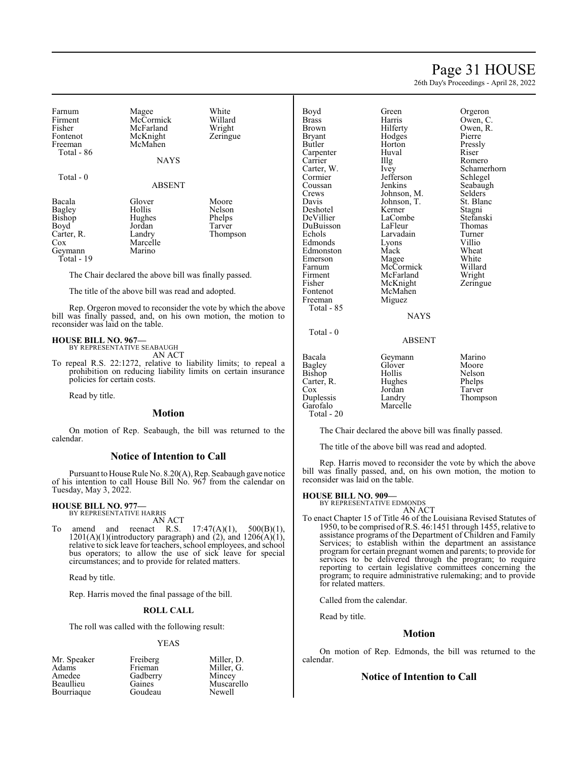# Page 31 HOUSE

26th Day's Proceedings - April 28, 2022

| Farnum<br>Firment<br>Fisher<br>Fontenot<br>Freeman<br>Total - 86                        | Magee<br>McCormick<br>McFarland<br>McKnight<br>McMahen<br><b>NAYS</b> | White<br>Willard<br>Wright<br>Zeringue          |
|-----------------------------------------------------------------------------------------|-----------------------------------------------------------------------|-------------------------------------------------|
| Total - 0                                                                               | <b>ABSENT</b>                                                         |                                                 |
| Bacala<br>Bagley<br><b>Bishop</b><br>Boyd<br>Carter, R.<br>Cox<br>Geymann<br>Total - 19 | Glover<br>Hollis<br>Hughes<br>Jordan<br>Landry<br>Marcelle<br>Marino  | Moore<br>Nelson<br>Phelps<br>Tarver<br>Thompson |

The Chair declared the above bill was finally passed.

The title of the above bill was read and adopted.

Rep. Orgeron moved to reconsider the vote by which the above bill was finally passed, and, on his own motion, the motion to reconsider was laid on the table.

# **HOUSE BILL NO. 967—** BY REPRESENTATIVE SEABAUGH

AN ACT

To repeal R.S. 22:1272, relative to liability limits; to repeal a prohibition on reducing liability limits on certain insurance policies for certain costs.

Read by title.

#### **Motion**

On motion of Rep. Seabaugh, the bill was returned to the calendar.

#### **Notice of Intention to Call**

Pursuant to House Rule No. 8.20(A), Rep. Seabaugh gave notice of his intention to call House Bill No. 967 from the calendar on Tuesday, May 3, 2022.

#### **HOUSE BILL NO. 977—** BY REPRESENTATIVE HARRIS

AN ACT

To amend and reenact R.S.  $17:47(A)(1)$ ,  $500(B)(1)$ ,  $1201(A)(1)$ (introductory paragraph) and  $(2)$ , and  $1206(A)(1)$ , relative to sick leave for teachers, school employees, and school bus operators; to allow the use of sick leave for special circumstances; and to provide for related matters.

Read by title.

Rep. Harris moved the final passage of the bill.

#### **ROLL CALL**

The roll was called with the following result:

#### YEAS

Mr. Speaker Freiberg Miller, D. Adams Frieman Miller, G. Amedee Gadberry<br>Beaullieu Gaines Bourriaque

Gaines Muscarello<br>Goudeau Newell

| Boyd          | Green         | Orgeron     |
|---------------|---------------|-------------|
| <b>Brass</b>  | Harris        | Owen, C.    |
| Brown         | Hilferty      | Owen, R.    |
| Bryant        | Hodges        | Pierre      |
| Butler        | Horton        | Pressly     |
| Carpenter     | Huval         | Riser       |
| Carrier       | Illg          | Romero      |
| Carter, W.    | Ivey          | Schamerhorn |
| Cormier       | Jefferson     | Schlegel    |
| Coussan       | Jenkins       | Seabaugh    |
| Crews         | Johnson, M.   | Selders     |
| Davis         | Johnson, T.   | St. Blanc   |
| Deshotel      | Kerner        | Stagni      |
| DeVillier     | LaCombe       | Stefanski   |
| DuBuisson     | LaFleur       | Thomas      |
| Echols        | Larvadain     | Turner      |
| Edmonds       | Lyons         | Villio      |
| Edmonston     | Mack          | Wheat       |
| Emerson       | Magee         | White       |
| Farnum        | McCormick     | Willard     |
| Firment       | McFarland     | Wright      |
| Fisher        | McKnight      | Zeringue    |
| Fontenot      | McMahen       |             |
| Freeman       | Miguez        |             |
| Total - 85    |               |             |
|               | <b>NAYS</b>   |             |
| $Total - 0$   |               |             |
|               | <b>ABSENT</b> |             |
| Bacala        | Geymann       | Marino      |
| <b>Bagley</b> | Glover        | Moore       |
| Bishop        | Hollis        | Nelson      |
| Carter, R.    | Hughes        | Phelps      |
| Cox           | Jordan        | Tarver      |
| Duplessis     | Landry        | Thompson    |
| Garofalo      | Marcelle      |             |
| Total - 20    |               |             |

The Chair declared the above bill was finally passed.

The title of the above bill was read and adopted.

Rep. Harris moved to reconsider the vote by which the above bill was finally passed, and, on his own motion, the motion to reconsider was laid on the table.

#### **HOUSE BILL NO. 909—**

BY REPRESENTATIVE EDMONDS

- AN ACT
- To enact Chapter 15 of Title 46 of the Louisiana Revised Statutes of 1950, to be comprised ofR.S. 46:1451 through 1455, relative to assistance programs of the Department of Children and Family Services; to establish within the department an assistance program for certain pregnant women and parents; to provide for services to be delivered through the program; to require reporting to certain legislative committees concerning the program; to require administrative rulemaking; and to provide for related matters.

Called from the calendar.

Read by title.

### **Motion**

On motion of Rep. Edmonds, the bill was returned to the calendar.

### **Notice of Intention to Call**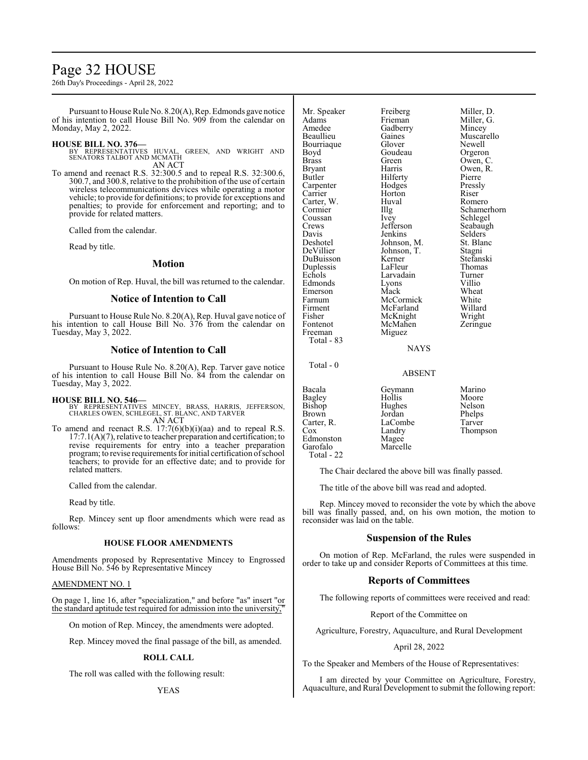# Page 32 HOUSE

26th Day's Proceedings - April 28, 2022

Pursuant to House Rule No. 8.20(A), Rep. Edmonds gave notice of his intention to call House Bill No. 909 from the calendar on Monday, May 2, 2022.

#### **HOUSE BILL NO. 376—**

BY REPRESENTATIVES HUVAL, GREEN, AND WRIGHT AND SENATORS TALBOT AND MCMATH AN ACT

To amend and reenact R.S. 32:300.5 and to repeal R.S. 32:300.6, 300.7, and 300.8, relative to the prohibition of the use of certain wireless telecommunications devices while operating a motor vehicle; to provide for definitions; to provide for exceptions and penalties; to provide for enforcement and reporting; and to provide for related matters.

Called from the calendar.

Read by title.

#### **Motion**

On motion of Rep. Huval, the bill was returned to the calendar.

### **Notice of Intention to Call**

Pursuant to House Rule No. 8.20(A), Rep. Huval gave notice of his intention to call House Bill No. 376 from the calendar on Tuesday, May 3, 2022.

#### **Notice of Intention to Call**

Pursuant to House Rule No. 8.20(A), Rep. Tarver gave notice of his intention to call House Bill No. 84 from the calendar on Tuesday, May 3, 2022.

#### **HOUSE BILL NO. 546—**

- BY REPRESENTATIVES MINCEY, BRASS, HARRIS, JEFFERSON, CHARLES OWEN, SCHLEGEL, ST. BLANC, AND TARVER AN ACT
- To amend and reenact R.S. 17:7(6)(b)(i)(aa) and to repeal R.S. 17:7.1(A)(7), relative to teacher preparation and certification; to revise requirements for entry into a teacher preparation program; to revise requirements for initial certification ofschool teachers; to provide for an effective date; and to provide for related matters.

Called from the calendar.

Read by title.

Rep. Mincey sent up floor amendments which were read as follows:

#### **HOUSE FLOOR AMENDMENTS**

Amendments proposed by Representative Mincey to Engrossed House Bill No. 546 by Representative Mincey

#### AMENDMENT NO. 1

On page 1, line 16, after "specialization," and before "as" insert "or the standard aptitude test required for admission into the university,

On motion of Rep. Mincey, the amendments were adopted.

Rep. Mincey moved the final passage of the bill, as amended.

#### **ROLL CALL**

The roll was called with the following result:

YEAS

| Mr. Speaker | Freiberg       | Miller, D.  |
|-------------|----------------|-------------|
| Adams       | Frieman        | Miller, G.  |
| Amedee      | Gadberry       | Mincey      |
| Beaullieu   | Gaines         | Muscarello  |
| Bourriaque  | Glover         | Newell      |
| Boyd        | Goudeau        | Orgeron     |
| Brass       | Green          | Owen, C.    |
| Bryant      | Harris         | Owen, R.    |
| Butler      | Hilferty       | Pierre      |
| Carpenter   | Hodges         | Pressly     |
| Carrier     | Horton         | Riser       |
| Carter, W.  | Huval          | Romero      |
| Cormier     | Illg           | Schamerhorn |
| Coussan     | Ivey           | Schlegel    |
| Crews       | Jefferson      | Seabaugh    |
| Davis       | Jenkins        | Selders     |
| Deshotel    | Johnson, M.    | St. Blanc   |
| DeVillier   | Johnson, T.    | Stagni      |
| DuBuisson   | Kerner         | Stefanski   |
| Duplessis   | LaFleur        | Thomas      |
| Echols      | Larvadain      | Turner      |
| Edmonds     | Lyons          | Villio      |
| Emerson     | Mack           | Wheat       |
| Farnum      | McCormick      | White       |
| Firment     | McFarland      | Willard     |
| Fisher      | McKnight       | Wright      |
| Fontenot    | McMahen        | Zeringue    |
| Freeman     | Miguez         |             |
| Total - 83  |                |             |
|             | <b>ATA STO</b> |             |

Total - 0

#### ABSENT

**NAYS** 

| Bacala     | Geymann  | Marino   |
|------------|----------|----------|
| Bagley     | Hollis   | Moore    |
| Bishop     | Hughes   | Nelson   |
| Brown      | Jordan   | Phelps   |
| Carter, R. | LaCombe  | Tarver   |
| Cox        | Landry   | Thompson |
| Edmonston  | Magee    |          |
| Garofalo   | Marcelle |          |
| Total - 22 |          |          |
|            |          |          |

The Chair declared the above bill was finally passed.

The title of the above bill was read and adopted.

Rep. Mincey moved to reconsider the vote by which the above bill was finally passed, and, on his own motion, the motion to reconsider was laid on the table.

### **Suspension of the Rules**

On motion of Rep. McFarland, the rules were suspended in order to take up and consider Reports of Committees at this time.

# **Reports of Committees**

The following reports of committees were received and read:

Report of the Committee on

Agriculture, Forestry, Aquaculture, and Rural Development

#### April 28, 2022

To the Speaker and Members of the House of Representatives:

I am directed by your Committee on Agriculture, Forestry, Aquaculture, and Rural Development to submit the following report: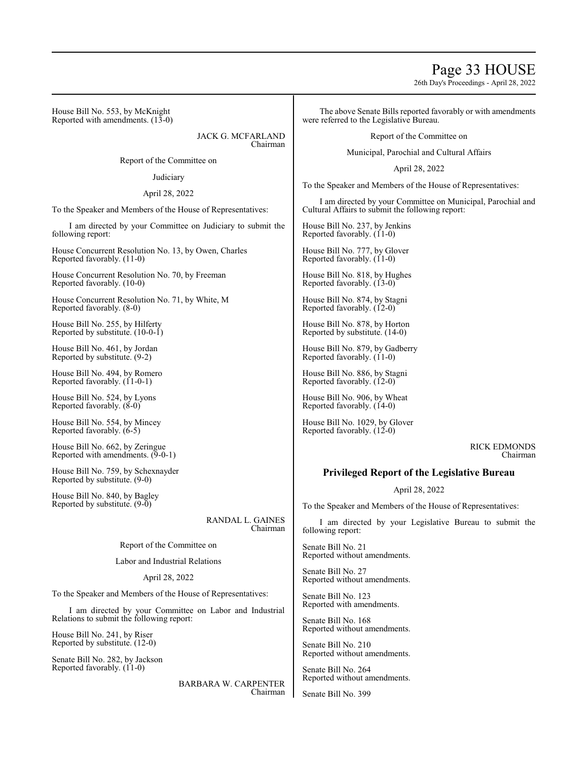# Page 33 HOUSE

26th Day's Proceedings - April 28, 2022

House Bill No. 553, by McKnight Reported with amendments.  $(13-0)$ 

> JACK G. MCFARLAND Chairman

Report of the Committee on

**Judiciary** 

April 28, 2022

To the Speaker and Members of the House of Representatives:

I am directed by your Committee on Judiciary to submit the following report:

House Concurrent Resolution No. 13, by Owen, Charles Reported favorably. (11-0)

House Concurrent Resolution No. 70, by Freeman Reported favorably. (10-0)

House Concurrent Resolution No. 71, by White, M Reported favorably. (8-0)

House Bill No. 255, by Hilferty Reported by substitute. (10-0-1)

House Bill No. 461, by Jordan Reported by substitute. (9-2)

House Bill No. 494, by Romero Reported favorably. (11-0-1)

House Bill No. 524, by Lyons Reported favorably. (8-0)

House Bill No. 554, by Mincey Reported favorably. (6-5)

House Bill No. 662, by Zeringue Reported with amendments. (9-0-1)

House Bill No. 759, by Schexnayder Reported by substitute. (9-0)

House Bill No. 840, by Bagley Reported by substitute. (9-0)

> RANDAL L. GAINES Chairman

Report of the Committee on

Labor and Industrial Relations

April 28, 2022

To the Speaker and Members of the House of Representatives:

I am directed by your Committee on Labor and Industrial Relations to submit the following report:

House Bill No. 241, by Riser Reported by substitute. (12-0)

Senate Bill No. 282, by Jackson Reported favorably. (11-0)

> BARBARA W. CARPENTER Chairman

The above Senate Bills reported favorably or with amendments were referred to the Legislative Bureau.

Report of the Committee on

Municipal, Parochial and Cultural Affairs

April 28, 2022

To the Speaker and Members of the House of Representatives:

I am directed by your Committee on Municipal, Parochial and Cultural Affairs to submit the following report:

House Bill No. 237, by Jenkins Reported favorably. (11-0)

House Bill No. 777, by Glover Reported favorably.  $(11-0)$ 

House Bill No. 818, by Hughes Reported favorably. (13-0)

House Bill No. 874, by Stagni Reported favorably. (12-0)

House Bill No. 878, by Horton Reported by substitute. (14-0)

House Bill No. 879, by Gadberry Reported favorably.  $(11-0)$ 

House Bill No. 886, by Stagni Reported favorably. (12-0)

House Bill No. 906, by Wheat Reported favorably. (14-0)

House Bill No. 1029, by Glover Reported favorably. (12-0)

> RICK EDMONDS Chairman

# **Privileged Report of the Legislative Bureau**

### April 28, 2022

To the Speaker and Members of the House of Representatives:

I am directed by your Legislative Bureau to submit the following report:

Senate Bill No. 21 Reported without amendments.

Senate Bill No. 27 Reported without amendments.

Senate Bill No. 123 Reported with amendments.

Senate Bill No. 168 Reported without amendments.

Senate Bill No. 210 Reported without amendments.

Senate Bill No. 264 Reported without amendments.

Senate Bill No. 399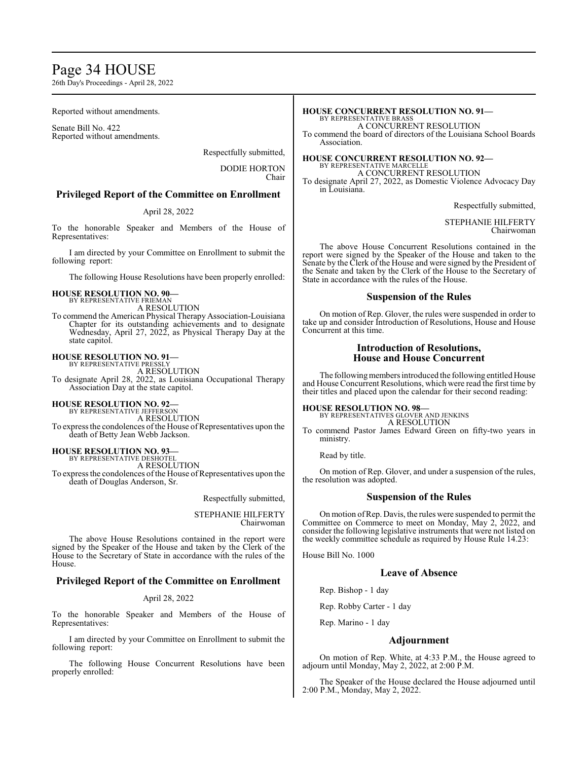# Page 34 HOUSE

26th Day's Proceedings - April 28, 2022

Reported without amendments.

Senate Bill No. 422 Reported without amendments.

Respectfully submitted,

DODIE HORTON Chair

### **Privileged Report of the Committee on Enrollment**

#### April 28, 2022

To the honorable Speaker and Members of the House of Representatives:

I am directed by your Committee on Enrollment to submit the following report:

The following House Resolutions have been properly enrolled:

#### **HOUSE RESOLUTION NO. 90—** BY REPRESENTATIVE FRIEMAN

A RESOLUTION

To commend the American Physical Therapy Association-Louisiana Chapter for its outstanding achievements and to designate Wednesday, April 27, 2022, as Physical Therapy Day at the state capitol.

# **HOUSE RESOLUTION NO. 91—**

BY REPRESENTATIVE PRESSLY A RESOLUTION To designate April 28, 2022, as Louisiana Occupational Therapy Association Day at the state capitol.

#### **HOUSE RESOLUTION NO. 92—**

BY REPRESENTATIVE JEFFERSON A RESOLUTION

To express the condolences of the House of Representatives upon the death of Betty Jean Webb Jackson.

**HOUSE RESOLUTION NO. 93—**

BY REPRESENTATIVE DESHOTEL A RESOLUTION To express the condolences of the House of Representatives upon the

death of Douglas Anderson, Sr.

Respectfully submitted,

STEPHANIE HILFERTY Chairwoman

The above House Resolutions contained in the report were signed by the Speaker of the House and taken by the Clerk of the House to the Secretary of State in accordance with the rules of the House.

### **Privileged Report of the Committee on Enrollment**

#### April 28, 2022

To the honorable Speaker and Members of the House of Representatives:

I am directed by your Committee on Enrollment to submit the following report:

The following House Concurrent Resolutions have been properly enrolled:

#### **HOUSE CONCURRENT RESOLUTION NO. 91—** BY REPRESENTATIVE BRASS

A CONCURRENT RESOLUTION

To commend the board of directors of the Louisiana School Boards Association.

**HOUSE CONCURRENT RESOLUTION NO. 92—** BY REPRESENTATIVE MARCELLE

A CONCURRENT RESOLUTION

To designate April 27, 2022, as Domestic Violence Advocacy Day in Louisiana.

Respectfully submitted,

STEPHANIE HILFERTY Chairwoman

The above House Concurrent Resolutions contained in the report were signed by the Speaker of the House and taken to the Senate by the Clerk of the House and were signed by the President of the Senate and taken by the Clerk of the House to the Secretary of State in accordance with the rules of the House.

#### **Suspension of the Rules**

On motion of Rep. Glover, the rules were suspended in order to take up and consider Introduction of Resolutions, House and House Concurrent at this time.

### **Introduction of Resolutions, House and House Concurrent**

The following members introduced the following entitled House and House Concurrent Resolutions, which were read the first time by their titles and placed upon the calendar for their second reading:

**HOUSE RESOLUTION NO. 98—**

BY REPRESENTATIVES GLOVER AND JENKINS A RESOLUTION

To commend Pastor James Edward Green on fifty-two years in ministry.

Read by title.

On motion of Rep. Glover, and under a suspension of the rules, the resolution was adopted.

#### **Suspension of the Rules**

On motion ofRep. Davis, the rules were suspended to permit the Committee on Commerce to meet on Monday, May 2, 2022, and consider the following legislative instruments that were not listed on the weekly committee schedule as required by House Rule 14.23:

House Bill No. 1000

# **Leave of Absence**

Rep. Bishop - 1 day

Rep. Robby Carter - 1 day

Rep. Marino - 1 day

#### **Adjournment**

On motion of Rep. White, at 4:33 P.M., the House agreed to adjourn until Monday, May 2, 2022, at 2:00 P.M.

The Speaker of the House declared the House adjourned until 2:00 P.M., Monday, May 2, 2022.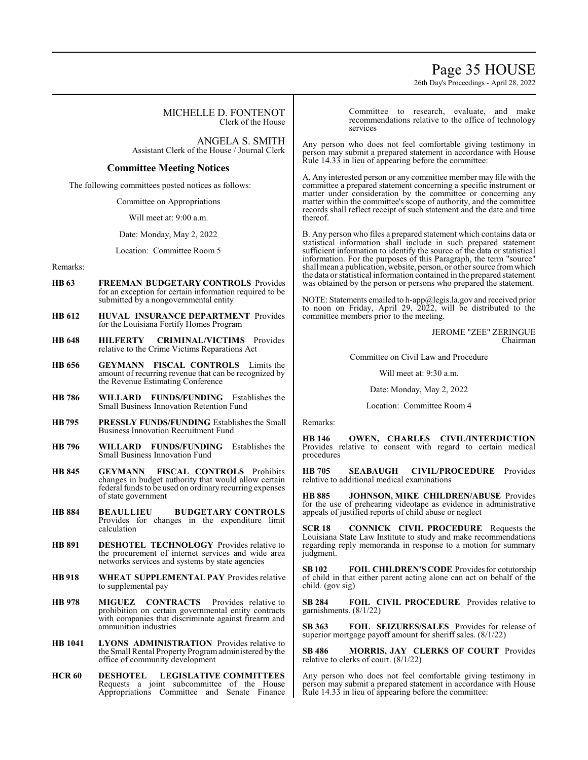# Page 35 HOUSE

26th Day's Proceedings - April 28, 2022

|                  | MICHELLE D. FONTENOT<br>Clerk of the House                                                                                                                                                                                          | Committee to research, evaluate, and make<br>recommendations relative to the office of technology<br>services                                                                                                                                                                                                                                                         |
|------------------|-------------------------------------------------------------------------------------------------------------------------------------------------------------------------------------------------------------------------------------|-----------------------------------------------------------------------------------------------------------------------------------------------------------------------------------------------------------------------------------------------------------------------------------------------------------------------------------------------------------------------|
|                  | ANGELA S. SMITH<br>Assistant Clerk of the House / Journal Clerk<br><b>Committee Meeting Notices</b>                                                                                                                                 | Any person who does not feel comfortable giving testimony in<br>person may submit a prepared statement in accordance with House<br>Rule 14.33 in lieu of appearing before the committee:                                                                                                                                                                              |
|                  | The following committees posted notices as follows:<br>Committee on Appropriations<br>Will meet at: 9:00 a.m.                                                                                                                       | A. Any interested person or any committee member may file with the<br>committee a prepared statement concerning a specific instrument or<br>matter under consideration by the committee or concerning any<br>matter within the committee's scope of authority, and the committee<br>records shall reflect receipt of such statement and the date and time<br>thereof. |
| Remarks:         | Date: Monday, May 2, 2022<br>Location: Committee Room 5                                                                                                                                                                             | B. Any person who files a prepared statement which contains data or<br>statistical information shall include in such prepared statement<br>sufficient information to identify the source of the data or statistical<br>information. For the purposes of this Paragraph, the term "source"<br>shall mean a publication, website, person, or other source from which    |
| HB 63<br>HB 612  | FREEMAN BUDGETARY CONTROLS Provides<br>for an exception for certain information required to be<br>submitted by a nongovernmental entity<br>HUVAL INSURANCE DEPARTMENT Provides                                                      | the data or statistical information contained in the prepared statement<br>was obtained by the person or persons who prepared the statement.<br>NOTE: Statements emailed to h-app@legis.la.gov and received prior<br>to noon on Friday, April 29, 2022, will be distributed to the<br>committee members prior to the meeting.                                         |
| HB 648           | for the Louisiana Fortify Homes Program<br>HILFERTY CRIMINAL/VICTIMS Provides<br>relative to the Crime Victims Reparations Act                                                                                                      | <b>JEROME "ZEE" ZERINGUE</b><br>Chairman<br>Committee on Civil Law and Procedure                                                                                                                                                                                                                                                                                      |
| HB 656<br>HB 786 | <b>GEYMANN FISCAL CONTROLS</b> Limits the<br>amount of recurring revenue that can be recognized by<br>the Revenue Estimating Conference<br><b>WILLARD FUNDS/FUNDING</b> Establishes the<br>Small Business Innovation Retention Fund | Will meet at: 9:30 a.m.<br>Date: Monday, May 2, 2022<br>Location: Committee Room 4                                                                                                                                                                                                                                                                                    |
| HB 795           | <b>PRESSLY FUNDS/FUNDING Establishes the Small</b><br><b>Business Innovation Recruitment Fund</b>                                                                                                                                   | Remarks:<br>OWEN, CHARLES CIVIL/INTERDICTION<br><b>HB</b> 146                                                                                                                                                                                                                                                                                                         |
| HB 796           | WILLARD FUNDS/FUNDING Establishes the<br><b>Small Business Innovation Fund</b>                                                                                                                                                      | Provides relative to consent with regard to certain medical<br>procedures                                                                                                                                                                                                                                                                                             |
| HB 845           | GEYMANN<br>FISCAL CONTROLS Prohibits<br>changes in budget authority that would allow certain<br>federal funds to be used on ordinary recurring expenses<br>of state government                                                      | <b>HB</b> 705<br><b>SEABAUGH</b><br><b>CIVIL/PROCEDURE</b> Provides<br>relative to additional medical examinations<br><b>HB 885</b><br><b>JOHNSON, MIKE CHILDREN/ABUSE Provides</b><br>for the use of prehearing videotape as evidence in administrative                                                                                                              |
|                  |                                                                                                                                                                                                                                     |                                                                                                                                                                                                                                                                                                                                                                       |

**HB 884 BEAULLIEU BUDGETARY CONTROLS**  Provides for changes in the expenditure limit calculation

- **HB 891 DESHOTEL TECHNOLOGY** Provides relative to the procurement of internet services and wide area networks services and systems by state agencies
- **HB 918 WHEAT SUPPLEMENTAL PAY** Provides relative to supplemental pay
- **HB 978 MIGUEZ CONTRACTS** Provides relative to prohibition on certain governmental entity contracts with companies that discriminate against firearm and ammunition industries
- **HB 1041 LYONS ADMINISTRATION** Provides relative to the Small Rental Property Programadministered by the office of community development
- **HCR 60 DESHOTEL LEGISLATIVE COMMITTEES**  Requests a joint subcommittee of the House Appropriations Committee and Senate Finance

appeals of justified reports of child abuse or neglect

**SCR 18 CONNICK CIVIL PROCEDURE** Requests the Louisiana State Law Institute to study and make recommendations regarding reply memoranda in response to a motion for summary judgment.

SB102 **FOIL CHILDREN'S CODE** Provides for cotutorship of child in that either parent acting alone can act on behalf of the child. (gov sig)

**SB 284 FOIL CIVIL PROCEDURE** Provides relative to garnishments. (8/1/22)

**SB 363 FOIL SEIZURES/SALES** Provides for release of superior mortgage payoff amount for sheriff sales. (8/1/22)

**SB 486 MORRIS, JAY CLERKS OF COURT** Provides relative to clerks of court. (8/1/22)

Any person who does not feel comfortable giving testimony in person may submit a prepared statement in accordance with House Rule 14.33 in lieu of appearing before the committee: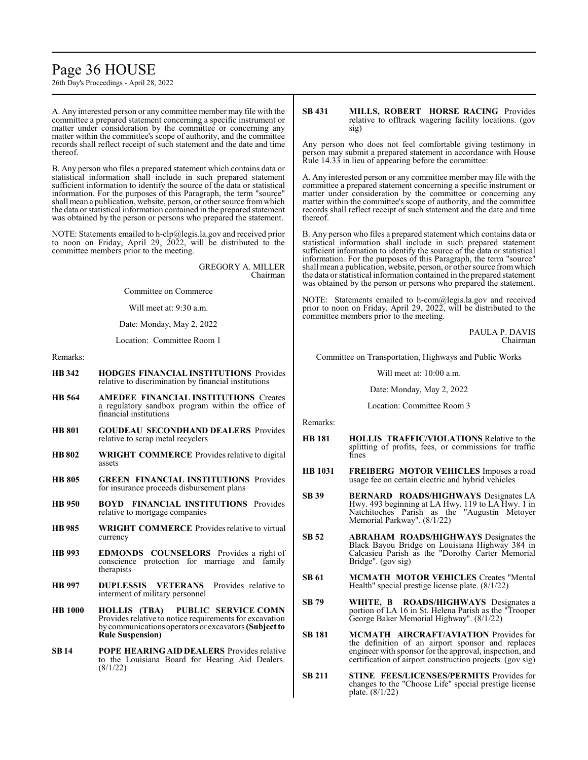# Page 36 HOUSE

26th Day's Proceedings - April 28, 2022

A. Any interested person or any committee member may file with the committee a prepared statement concerning a specific instrument or matter under consideration by the committee or concerning any matter within the committee's scope of authority, and the committee records shall reflect receipt of such statement and the date and time thereof.

B. Any person who files a prepared statement which contains data or statistical information shall include in such prepared statement sufficient information to identify the source of the data or statistical information. For the purposes of this Paragraph, the term "source" shall mean a publication, website, person, or other source fromwhich the data or statistical information contained in the prepared statement was obtained by the person or persons who prepared the statement.

NOTE: Statements emailed to h-clp@legis.la.gov and received prior to noon on Friday, April 29, 2022, will be distributed to the committee members prior to the meeting.

> GREGORY A. MILLER Chairman

Committee on Commerce

Will meet at: 9:30 a.m.

Date: Monday, May 2, 2022

Location: Committee Room 1

Remarks:

- **HB 342 HODGES FINANCIAL INSTITUTIONS** Provides relative to discrimination by financial institutions
- **HB 564 AMEDEE FINANCIAL INSTITUTIONS** Creates a regulatory sandbox program within the office of financial institutions
- **HB 801 GOUDEAU SECONDHAND DEALERS** Provides relative to scrap metal recyclers
- **HB 802 WRIGHT COMMERCE** Provides relative to digital assets
- **HB 805 GREEN FINANCIAL INSTITUTIONS** Provides for insurance proceeds disbursement plans
- **HB 950 BOYD FINANCIAL INSTITUTIONS** Provides relative to mortgage companies
- **HB 985 WRIGHT COMMERCE** Provides relative to virtual currency
- **HB 993 EDMONDS COUNSELORS** Provides a right of conscience protection for marriage and family therapists
- **HB 997 DUPLESSIS VETERANS** Provides relative to interment of military personnel
- **HB 1000 HOLLIS (TBA) PUBLIC SERVICE COMN**  Provides relative to notice requirements for excavation by communicationsoperators or excavators**(Subject to Rule Suspension)**
- **SB 14 POPE HEARING AID DEALERS** Provides relative to the Louisiana Board for Hearing Aid Dealers. (8/1/22)

#### **SB 431 MILLS, ROBERT HORSE RACING** Provides relative to offtrack wagering facility locations. (gov sig)

Any person who does not feel comfortable giving testimony in person may submit a prepared statement in accordance with House Rule 14.33 in lieu of appearing before the committee:

A. Any interested person or any committee member may file with the committee a prepared statement concerning a specific instrument or matter under consideration by the committee or concerning any matter within the committee's scope of authority, and the committee records shall reflect receipt of such statement and the date and time thereof.

B. Any person who files a prepared statement which contains data or statistical information shall include in such prepared statement sufficient information to identify the source of the data or statistical information. For the purposes of this Paragraph, the term "source" shall mean a publication, website, person, or other source fromwhich the data or statistical information contained in the prepared statement was obtained by the person or persons who prepared the statement.

NOTE: Statements emailed to h-com@legis.la.gov and received prior to noon on Friday, April 29, 2022, will be distributed to the committee members prior to the meeting.

> PAULA P. DAVIS Chairman

Committee on Transportation, Highways and Public Works

Will meet at: 10:00 a.m.

Date: Monday, May 2, 2022

Location: Committee Room 3

Remarks:

- **HB 181 HOLLIS TRAFFIC/VIOLATIONS** Relative to the splitting of profits, fees, or commissions for traffic fines
- **HB 1031 FREIBERG MOTOR VEHICLES** Imposes a road usage fee on certain electric and hybrid vehicles
- **SB 39 BERNARD ROADS/HIGHWAYS** Designates LA Hwy. 493 beginning at LA Hwy. 119 to LA Hwy. 1 in Natchitoches Parish as the "Augustin Metoyer Memorial Parkway". (8/1/22)
- **SB 52 ABRAHAM ROADS/HIGHWAYS** Designates the Black Bayou Bridge on Louisiana Highway 384 in Calcasieu Parish as the "Dorothy Carter Memorial Bridge". (gov sig)
- **SB 61 MCMATH MOTOR VEHICLES** Creates "Mental Health" special prestige license plate. (8/1/22)
- **SB 79 WHITE, B ROADS/HIGHWAYS** Designates a portion of LA 16 in St. Helena Parish as the "Trooper George Baker Memorial Highway". (8/1/22)
- **SB 181 MCMATH AIRCRAFT/AVIATION** Provides for the definition of an airport sponsor and replaces engineer with sponsor for the approval, inspection, and certification of airport construction projects. (gov sig)
- **SB 211 STINE FEES/LICENSES/PERMITS** Provides for changes to the "Choose Life" special prestige license plate. (8/1/22)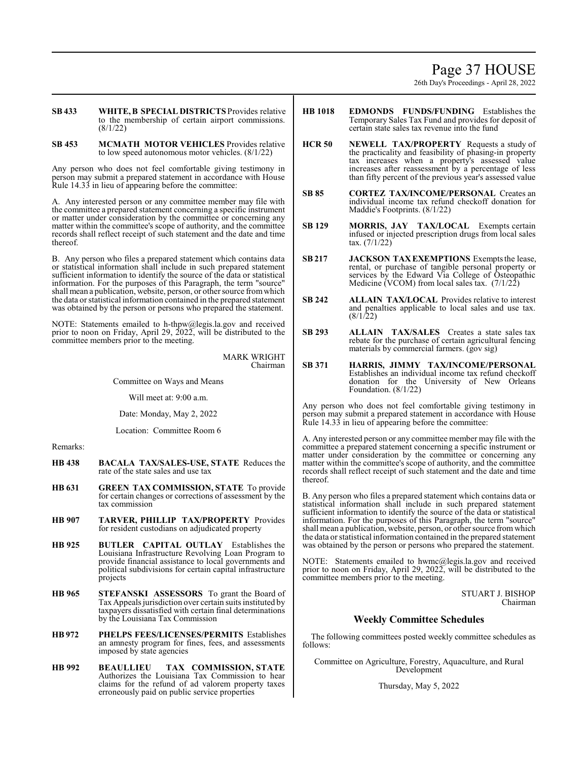# Page 37 HOUSE

26th Day's Proceedings - April 28, 2022

**SB 433 WHITE, B SPECIAL DISTRICTS** Provides relative to the membership of certain airport commissions. (8/1/22)

**SB 453 MCMATH MOTOR VEHICLES** Provides relative to low speed autonomous motor vehicles. (8/1/22)

Any person who does not feel comfortable giving testimony in person may submit a prepared statement in accordance with House Rule 14.33 in lieu of appearing before the committee:

A. Any interested person or any committee member may file with the committee a prepared statement concerning a specific instrument or matter under consideration by the committee or concerning any matter within the committee's scope of authority, and the committee records shall reflect receipt of such statement and the date and time thereof.

B. Any person who files a prepared statement which contains data or statistical information shall include in such prepared statement sufficient information to identify the source of the data or statistical information. For the purposes of this Paragraph, the term "source" shall mean a publication, website, person, or other source fromwhich the data or statistical information contained in the prepared statement was obtained by the person or persons who prepared the statement.

NOTE: Statements emailed to h-thpw@legis.la.gov and received prior to noon on Friday, April 29, 2022, will be distributed to the committee members prior to the meeting.

> MARK WRIGHT Chairman

Committee on Ways and Means

Will meet at: 9:00 a.m.

Date: Monday, May 2, 2022

Location: Committee Room 6

Remarks:

- **HB 438 BACALA TAX/SALES-USE, STATE** Reduces the rate of the state sales and use tax
- **HB 631 GREEN TAX COMMISSION, STATE** To provide for certain changes or corrections of assessment by the tax commission
- **HB 907 TARVER, PHILLIP TAX/PROPERTY** Provides for resident custodians on adjudicated property
- **HB 925 BUTLER CAPITAL OUTLAY** Establishes the Louisiana Infrastructure Revolving Loan Program to provide financial assistance to local governments and political subdivisions for certain capital infrastructure projects
- **HB 965 STEFANSKI ASSESSORS** To grant the Board of Tax Appeals jurisdiction over certain suits instituted by taxpayers dissatisfied with certain final determinations by the Louisiana Tax Commission
- **HB 972 PHELPS FEES/LICENSES/PERMITS** Establishes an amnesty program for fines, fees, and assessments imposed by state agencies
- **HB 992 BEAULLIEU TAX COMMISSION, STATE**  Authorizes the Louisiana Tax Commission to hear claims for the refund of ad valorem property taxes erroneously paid on public service properties
- **HB 1018 EDMONDS FUNDS/FUNDING** Establishes the Temporary Sales Tax Fund and provides for deposit of certain state sales tax revenue into the fund
- **HCR 50 NEWELL TAX/PROPERTY** Requests a study of the practicality and feasibility of phasing-in property tax increases when a property's assessed value increases after reassessment by a percentage of less than fifty percent of the previous year's assessed value
- **SB 85 CORTEZ TAX/INCOME/PERSONAL** Creates an individual income tax refund checkoff donation for Maddie's Footprints. (8/1/22)
- **SB 129 MORRIS, JAY TAX/LOCAL** Exempts certain infused or injected prescription drugs from local sales tax. (7/1/22)
- **SB 217 JACKSON TAXEXEMPTIONS** Exempts the lease, rental, or purchase of tangible personal property or services by the Edward Via College of Osteopathic Medicine (VCOM) from local sales tax. (7/1/22)
- **SB 242 ALLAIN TAX/LOCAL** Provides relative to interest and penalties applicable to local sales and use tax.  $(8/1/22)$
- **SB 293 ALLAIN TAX/SALES** Creates a state sales tax rebate for the purchase of certain agricultural fencing materials by commercial farmers. (gov sig)
- **SB 371 HARRIS, JIMMY TAX/INCOME/PERSONAL**  Establishes an individual income tax refund checkoff donation for the University of New Orleans Foundation. (8/1/22)

Any person who does not feel comfortable giving testimony in person may submit a prepared statement in accordance with House Rule 14.33 in lieu of appearing before the committee:

A. Any interested person or any committee member may file with the committee a prepared statement concerning a specific instrument or matter under consideration by the committee or concerning any matter within the committee's scope of authority, and the committee records shall reflect receipt of such statement and the date and time thereof.

B. Any person who files a prepared statement which contains data or statistical information shall include in such prepared statement sufficient information to identify the source of the data or statistical information. For the purposes of this Paragraph, the term "source" shall mean a publication, website, person, or other source fromwhich the data or statistical information contained in the prepared statement was obtained by the person or persons who prepared the statement.

NOTE: Statements emailed to hwmc@legis.la.gov and received prior to noon on Friday, April 29, 2022, will be distributed to the committee members prior to the meeting.

> STUART J. BISHOP Chairman

### **Weekly Committee Schedules**

The following committees posted weekly committee schedules as follows:

Committee on Agriculture, Forestry, Aquaculture, and Rural Development

Thursday, May 5, 2022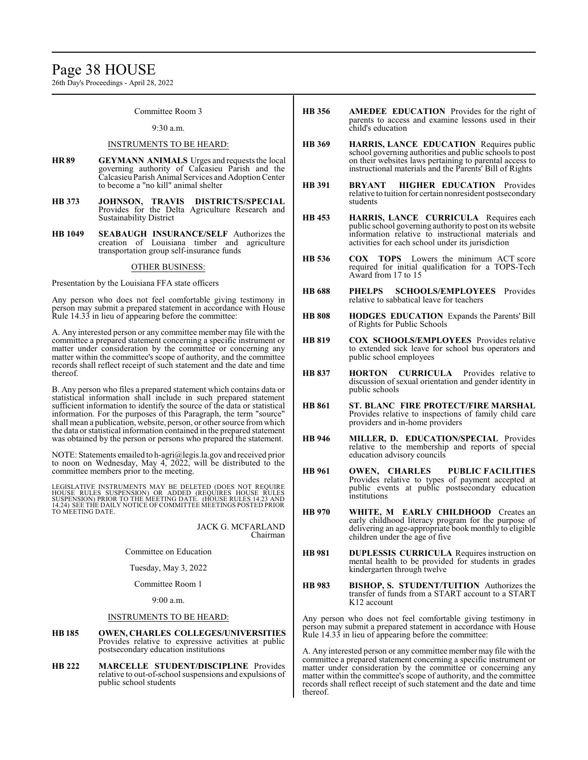# Page 38 HOUSE

26th Day's Proceedings - April 28, 2022

#### Committee Room 3

#### 9:30 a.m.

#### INSTRUMENTS TO BE HEARD:

- **HR 89 GEYMANN ANIMALS** Urges and requests the local governing authority of Calcasieu Parish and the CalcasieuParish Animal Services and AdoptionCenter to become a "no kill" animal shelter
- **HB 373 JOHNSON, TRAVIS DISTRICTS/SPECIAL** Provides for the Delta Agriculture Research and Sustainability District
- **HB 1049 SEABAUGH INSURANCE/SELF** Authorizes the creation of Louisiana timber and agriculture transportation group self-insurance funds

#### OTHER BUSINESS:

Presentation by the Louisiana FFA state officers

Any person who does not feel comfortable giving testimony in person may submit a prepared statement in accordance with House Rule 14.33 in lieu of appearing before the committee:

A. Any interested person or any committee member may file with the committee a prepared statement concerning a specific instrument or matter under consideration by the committee or concerning any matter within the committee's scope of authority, and the committee records shall reflect receipt of such statement and the date and time thereof.

B. Any person who files a prepared statement which contains data or statistical information shall include in such prepared statement sufficient information to identify the source of the data or statistical information. For the purposes of this Paragraph, the term "source" shall mean a publication, website, person, or other source fromwhich the data or statistical information contained in the prepared statement was obtained by the person or persons who prepared the statement.

NOTE: Statements emailed to h-agri@legis.la.gov and received prior to noon on Wednesday, May 4, 2022, will be distributed to the committee members prior to the meeting.

LEGISLATIVE INSTRUMENTS MAY BE DELETED (DOES NOT REQUIRE HOUSE RULES SUSPENSION) OR ADDED (REQUIRES HOUSE RULES<br>SUSPENSION)PRIOR TO THE MEETING DATE. (HOUSE RULES 14.23 AND<br>14.24) SEE THE DAILY NOTICE OF COMMITTEE MEETINGS POSTED PRIOR TO MEETING DATE.

> JACK G. MCFARLAND Chairman

Committee on Education

Tuesday, May 3, 2022

Committee Room 1

9:00 a.m.

#### INSTRUMENTS TO BE HEARD:

- **HB 185 OWEN, CHARLES COLLEGES/UNIVERSITIES** Provides relative to expressive activities at public postsecondary education institutions
- **HB 222 MARCELLE STUDENT/DISCIPLINE** Provides relative to out-of-school suspensions and expulsions of public school students
- **HB 356 AMEDEE EDUCATION** Provides for the right of parents to access and examine lessons used in their child's education
- **HB 369 HARRIS, LANCE EDUCATION** Requires public school governing authorities and public schools to post on their websites laws pertaining to parental access to instructional materials and the Parents' Bill of Rights
- **HB 391 BRYANT HIGHER EDUCATION** Provides relative to tuition for certain nonresident postsecondary students
- **HB 453 HARRIS, LANCE CURRICULA** Requires each public school governing authority to post on its website information relative to instructional materials and activities for each school under its jurisdiction
- **HB 536 COX TOPS** Lowers the minimum ACT score required for initial qualification for a TOPS-Tech Award from 17 to 15
- **HB 688 PHELPS SCHOOLS/EMPLOYEES** Provides relative to sabbatical leave for teachers
- **HB 808 HODGES EDUCATION** Expands the Parents' Bill of Rights for Public Schools
- **HB 819 COX SCHOOLS/EMPLOYEES** Provides relative to extended sick leave for school bus operators and public school employees
- **HB 837 HORTON CURRICULA** Provides relative to discussion of sexual orientation and gender identity in public schools
- **HB 861 ST. BLANC FIRE PROTECT/FIRE MARSHAL** Provides relative to inspections of family child care providers and in-home providers
- **HB 946 MILLER, D. EDUCATION/SPECIAL** Provides relative to the membership and reports of special education advisory councils
- **HB 961 OWEN, CHARLES PUBLIC FACILITIES** Provides relative to types of payment accepted at public events at public postsecondary education institutions
- **HB 970 WHITE, M EARLY CHILDHOOD** Creates an early childhood literacy program for the purpose of delivering an age-appropriate book monthly to eligible children under the age of five
- **HB 981 DUPLESSIS CURRICULA** Requires instruction on mental health to be provided for students in grades kindergarten through twelve
- **HB 983 BISHOP, S. STUDENT/TUITION** Authorizes the transfer of funds from a START account to a START K12 account

Any person who does not feel comfortable giving testimony in person may submit a prepared statement in accordance with House Rule 14.33 in lieu of appearing before the committee:

A. Any interested person or any committee member may file with the committee a prepared statement concerning a specific instrument or matter under consideration by the committee or concerning any matter within the committee's scope of authority, and the committee records shall reflect receipt of such statement and the date and time thereof.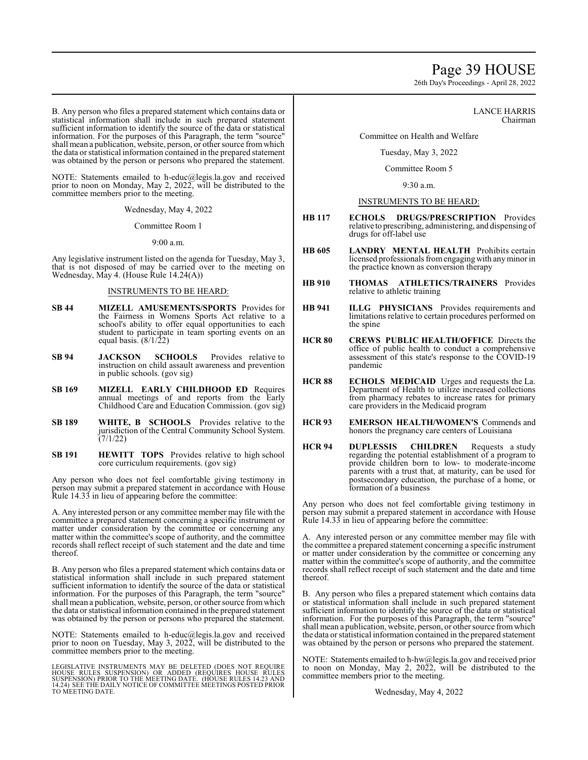# Page 39 HOUSE

26th Day's Proceedings - April 28, 2022

B. Any person who files a prepared statement which contains data or statistical information shall include in such prepared statement sufficient information to identify the source of the data or statistical information. For the purposes of this Paragraph, the term "source" shall mean a publication, website, person, or other source from which the data or statistical information contained in the prepared statement was obtained by the person or persons who prepared the statement.

NOTE: Statements emailed to h-educ@legis.la.gov and received prior to noon on Monday, May 2, 2022, will be distributed to the committee members prior to the meeting.

Wednesday, May 4, 2022

Committee Room 1

9:00 a.m.

Any legislative instrument listed on the agenda for Tuesday, May 3, that is not disposed of may be carried over to the meeting on Wednesday, May 4. (House Rule 14.24(A))

#### INSTRUMENTS TO BE HEARD:

- **SB 44 MIZELL AMUSEMENTS/SPORTS** Provides for the Fairness in Womens Sports Act relative to a school's ability to offer equal opportunities to each student to participate in team sporting events on an equal basis.  $(8/1/22)$
- **SB 94 JACKSON SCHOOLS** Provides relative to instruction on child assault awareness and prevention in public schools. (gov sig)
- **SB 169 MIZELL EARLY CHILDHOOD ED** Requires annual meetings of and reports from the Early Childhood Care and Education Commission. (gov sig)
- **SB 189 WHITE, B SCHOOLS** Provides relative to the jurisdiction of the Central Community School System.  $(7/1/22)$
- **SB 191 HEWITT TOPS** Provides relative to high school core curriculum requirements. (gov sig)

Any person who does not feel comfortable giving testimony in person may submit a prepared statement in accordance with House Rule 14.33 in lieu of appearing before the committee:

A. Any interested person or any committee member may file with the committee a prepared statement concerning a specific instrument or matter under consideration by the committee or concerning any matter within the committee's scope of authority, and the committee records shall reflect receipt of such statement and the date and time thereof.

B. Any person who files a prepared statement which contains data or statistical information shall include in such prepared statement sufficient information to identify the source of the data or statistical information. For the purposes of this Paragraph, the term "source" shall mean a publication, website, person, or other source fromwhich the data or statistical information contained in the prepared statement was obtained by the person or persons who prepared the statement.

NOTE: Statements emailed to h-educ@legis.la.gov and received prior to noon on Tuesday, May 3, 2022, will be distributed to the committee members prior to the meeting.

LEGISLATIVE INSTRUMENTS MAY BE DELETED (DOES NOT REQUIRE<br>HOUSE RULES SUSPENSION) OR ADDED (REQUIRES HOUSE RULES<br>SUSPENSION) PRIOR TO THE MEETING DATE. (HOUSE RULES 14.23 AND<br>14.24) SEE THE DAILY NOTICE OF COMMITTEE MEETING TO MEETING DATE.

LANCE HARRIS Chairman

Committee on Health and Welfare

Tuesday, May 3, 2022

Committee Room 5

9:30 a.m.

#### INSTRUMENTS TO BE HEARD:

- **HB 117 ECHOLS DRUGS/PRESCRIPTION** Provides relative to prescribing, administering, and dispensing of drugs for off-label use
- **HB 605 LANDRY MENTAL HEALTH** Prohibits certain licensed professionals fromengagingwith anyminor in the practice known as conversion therapy
- **HB 910 THOMAS ATHLETICS/TRAINERS** Provides relative to athletic training
- **HB 941 ILLG PHYSICIANS** Provides requirements and limitations relative to certain procedures performed on the spine
- **HCR 80 CREWS PUBLIC HEALTH/OFFICE** Directs the office of public health to conduct a comprehensive assessment of this state's response to the COVID-19 pandemic
- **HCR 88 ECHOLS MEDICAID** Urges and requests the La. Department of Health to utilize increased collections from pharmacy rebates to increase rates for primary care providers in the Medicaid program
- **HCR 93 EMERSON HEALTH/WOMEN'S** Commends and honors the pregnancy care centers of Louisiana
- **HCR 94 DUPLESSIS CHILDREN** Requests a study regarding the potential establishment of a program to provide children born to low- to moderate-income parents with a trust that, at maturity, can be used for postsecondary education, the purchase of a home, or formation of a business

Any person who does not feel comfortable giving testimony in person may submit a prepared statement in accordance with House Rule 14.33 in lieu of appearing before the committee:

A. Any interested person or any committee member may file with the committee a prepared statement concerning a specific instrument or matter under consideration by the committee or concerning any matter within the committee's scope of authority, and the committee records shall reflect receipt of such statement and the date and time thereof.

B. Any person who files a prepared statement which contains data or statistical information shall include in such prepared statement sufficient information to identify the source of the data or statistical information. For the purposes of this Paragraph, the term "source" shall mean a publication, website, person, or other source fromwhich the data or statistical information contained in the prepared statement was obtained by the person or persons who prepared the statement.

NOTE: Statements emailed to h-hw@legis.la.gov and received prior to noon on Monday, May 2, 2022, will be distributed to the committee members prior to the meeting.

Wednesday, May 4, 2022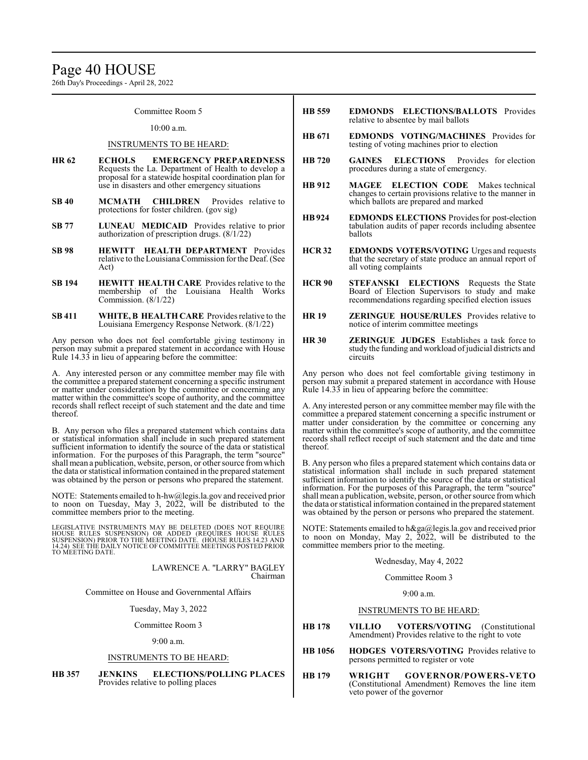# Page 40 HOUSE

26th Day's Proceedings - April 28, 2022

Committee Room 5

#### 10:00 a.m.

#### INSTRUMENTS TO BE HEARD:

- **HR 62 ECHOLS EMERGENCY PREPAREDNESS** Requests the La. Department of Health to develop a proposal for a statewide hospital coordination plan for use in disasters and other emergency situations
- **SB 40 MCMATH CHILDREN** Provides relative to protections for foster children. (gov sig)
- **SB 77 LUNEAU MEDICAID** Provides relative to prior authorization of prescription drugs. (8/1/22)
- **SB 98 HEWITT HEALTH DEPARTMENT** Provides relative to the Louisiana Commission forthe Deaf. (See Act)
- **SB 194 HEWITT HEALTH CARE** Provides relative to the membership of the Louisiana Health Works Commission. (8/1/22)
- **SB 411 WHITE, B HEALTH CARE** Provides relative to the Louisiana Emergency Response Network. (8/1/22)

Any person who does not feel comfortable giving testimony in person may submit a prepared statement in accordance with House Rule 14.33 in lieu of appearing before the committee:

A. Any interested person or any committee member may file with the committee a prepared statement concerning a specific instrument or matter under consideration by the committee or concerning any matter within the committee's scope of authority, and the committee records shall reflect receipt of such statement and the date and time thereof.

B. Any person who files a prepared statement which contains data or statistical information shall include in such prepared statement sufficient information to identify the source of the data or statistical information. For the purposes of this Paragraph, the term "source" shall mean a publication, website, person, or other source fromwhich the data or statistical information contained in the prepared statement was obtained by the person or persons who prepared the statement.

NOTE: Statements emailed to h-hw@legis.la.gov and received prior to noon on Tuesday, May 3, 2022, will be distributed to the committee members prior to the meeting.

LEGISLATIVE INSTRUMENTS MAY BE DELETED (DOES NOT REQUIRE<br>HOUSE RULES SUSPENSION) OR ADDED (REQUIRES HOUSE RULES<br>SUSPENSION) PRIOR TO THE MEETING DATE. (HOUSE RULES 14.23 AND<br>14.24) SEE THE DAILY NOTICE OF COMMITTEE MEETING TO MEETING DATE.

> LAWRENCE A. "LARRY" BAGLEY Chairman

Committee on House and Governmental Affairs

Tuesday, May 3, 2022

Committee Room 3

9:00 a.m.

#### INSTRUMENTS TO BE HEARD:

**HB 357 JENKINS ELECTIONS/POLLING PLACES** Provides relative to polling places

- **HB 559 EDMONDS ELECTIONS/BALLOTS** Provides relative to absentee by mail ballots
- **HB 671 EDMONDS VOTING/MACHINES** Provides for testing of voting machines prior to election
- **HB 720 GAINES ELECTIONS** Provides for election procedures during a state of emergency.
- **HB 912 MAGEE ELECTION CODE** Makes technical changes to certain provisions relative to the manner in which ballots are prepared and marked
- **HB924 EDMONDS ELECTIONS** Provides for post-election tabulation audits of paper records including absentee ballots
- **HCR 32 EDMONDS VOTERS/VOTING** Urges and requests that the secretary of state produce an annual report of all voting complaints
- **HCR 90 STEFANSKI ELECTIONS** Requests the State Board of Election Supervisors to study and make recommendations regarding specified election issues
- **HR 19 ZERINGUE HOUSE/RULES** Provides relative to notice of interim committee meetings
- **HR 30 ZERINGUE JUDGES** Establishes a task force to study the funding and workload of judicial districts and circuits

Any person who does not feel comfortable giving testimony in person may submit a prepared statement in accordance with House Rule 14.33 in lieu of appearing before the committee:

A. Any interested person or any committee member may file with the committee a prepared statement concerning a specific instrument or matter under consideration by the committee or concerning any matter within the committee's scope of authority, and the committee records shall reflect receipt of such statement and the date and time thereof.

B. Any person who files a prepared statement which contains data or statistical information shall include in such prepared statement sufficient information to identify the source of the data or statistical information. For the purposes of this Paragraph, the term "source" shall mean a publication, website, person, or other source fromwhich the data or statistical information contained in the prepared statement was obtained by the person or persons who prepared the statement.

NOTE: Statements emailed to h&ga@legis.la.gov and received prior to noon on Monday, May 2,  $2022$ , will be distributed to the committee members prior to the meeting.

Wednesday, May 4, 2022

Committee Room 3

 $9.00 a m$ 

#### INSTRUMENTS TO BE HEARD:

- **HB 178 VILLIO VOTERS/VOTING** (Constitutional Amendment) Provides relative to the right to vote
- **HB 1056 HODGES VOTERS/VOTING** Provides relative to persons permitted to register or vote
- **HB 179 WRIGHT GOVERNOR/POWERS-VETO** (Constitutional Amendment) Removes the line item veto power of the governor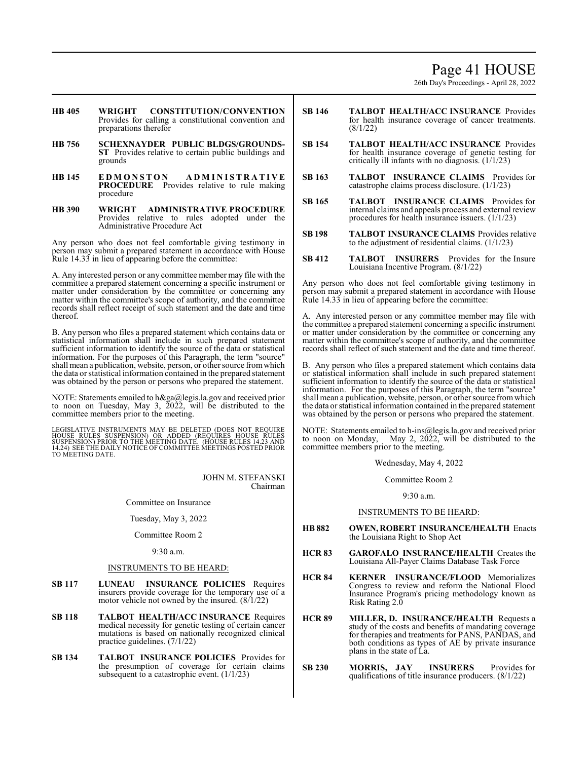# Page 41 HOUSE

26th Day's Proceedings - April 28, 2022

- **HB 405 WRIGHT CONSTITUTION/CONVENTION** Provides for calling a constitutional convention and preparations therefor
- **HB 756 SCHEXNAYDER PUBLIC BLDGS/GROUNDS-ST** Provides relative to certain public buildings and grounds
- **HB 145 E D M O N S T O N A D M I N I S T R A T I V E PROCEDURE** Provides relative to rule making procedure
- **HB 390 WRIGHT ADMINISTRATIVE PROCEDURE** Provides relative to rules adopted under the Administrative Procedure Act

Any person who does not feel comfortable giving testimony in person may submit a prepared statement in accordance with House Rule 14.33 in lieu of appearing before the committee:

A. Any interested person or any committee member may file with the committee a prepared statement concerning a specific instrument or matter under consideration by the committee or concerning any matter within the committee's scope of authority, and the committee records shall reflect receipt of such statement and the date and time thereof.

B. Any person who files a prepared statement which contains data or statistical information shall include in such prepared statement sufficient information to identify the source of the data or statistical information. For the purposes of this Paragraph, the term "source" shall mean a publication, website, person, or other source fromwhich the data or statistical information contained in the prepared statement was obtained by the person or persons who prepared the statement.

NOTE: Statements emailed to h&ga@legis.la.gov and received prior to noon on Tuesday, May 3, 2022, will be distributed to the committee members prior to the meeting.

LEGISLATIVE INSTRUMENTS MAY BE DELETED (DOES NOT REQUIRE<br>HOUSE RULES SUSPENSION) OR ADDED (REQUIRES HOUSE RULES<br>SUSPENSION) PRIOR TO THE MEETING DATE. (HOUSE RULES 14.23 AND<br>14.24) SEE THE DAILY NOTICE OF COMMITTEE MEETING

JOHN M. STEFANSKI Chairman

Committee on Insurance

Tuesday, May 3, 2022

Committee Room 2

9:30 a.m.

### INSTRUMENTS TO BE HEARD:

- **SB 117 LUNEAU INSURANCE POLICIES** Requires insurers provide coverage for the temporary use of a motor vehicle not owned by the insured. (8/1/22)
- **SB 118 TALBOT HEALTH/ACC INSURANCE** Requires medical necessity for genetic testing of certain cancer mutations is based on nationally recognized clinical practice guidelines. (7/1/22)
- **SB 134 TALBOT INSURANCE POLICIES** Provides for the presumption of coverage for certain claims subsequent to a catastrophic event.  $(1/1/23)$
- **SB 146 TALBOT HEALTH/ACC INSURANCE** Provides for health insurance coverage of cancer treatments. (8/1/22)
- **SB 154 TALBOT HEALTH/ACC INSURANCE** Provides for health insurance coverage of genetic testing for critically ill infants with no diagnosis. (1/1/23)
- **SB 163 TALBOT INSURANCE CLAIMS** Provides for catastrophe claims process disclosure. (1/1/23)
- **SB 165 TALBOT INSURANCE CLAIMS** Provides for internal claims and appeals process and external review procedures for health insurance issuers. (1/1/23)
- **SB 198 TALBOT INSURANCE CLAIMS** Provides relative to the adjustment of residential claims. (1/1/23)
- **SB 412 TALBOT INSURERS** Provides for the Insure Louisiana Incentive Program. (8/1/22)

Any person who does not feel comfortable giving testimony in person may submit a prepared statement in accordance with House Rule 14.33 in lieu of appearing before the committee:

A. Any interested person or any committee member may file with the committee a prepared statement concerning a specific instrument or matter under consideration by the committee or concerning any matter within the committee's scope of authority, and the committee records shall reflect of such statement and the date and time thereof.

B. Any person who files a prepared statement which contains data or statistical information shall include in such prepared statement sufficient information to identify the source of the data or statistical information. For the purposes of this Paragraph, the term "source" shall mean a publication, website, person, or other source fromwhich the data or statistical information contained in the prepared statement was obtained by the person or persons who prepared the statement.

NOTE: Statements emailed to h-ins@legis.la.gov and received prior to noon on Monday, May 2, 2022, will be distributed to the committee members prior to the meeting.

Wednesday, May 4, 2022

Committee Room 2

9:30 a.m.

#### INSTRUMENTS TO BE HEARD:

- **HB 882 OWEN, ROBERT INSURANCE/HEALTH** Enacts the Louisiana Right to Shop Act
- **HCR 83 GAROFALO INSURANCE/HEALTH** Creates the Louisiana All-Payer Claims Database Task Force
- **HCR 84 KERNER INSURANCE/FLOOD** Memorializes Congress to review and reform the National Flood Insurance Program's pricing methodology known as Risk Rating 2.0
- **HCR 89 MILLER, D. INSURANCE/HEALTH** Requests a study of the costs and benefits of mandating coverage for therapies and treatments for PANS, PANDAS, and both conditions as types of AE by private insurance plans in the state of La.
- **SB 230 MORRIS, JAY INSURERS** Provides for qualifications of title insurance producers. (8/1/22)